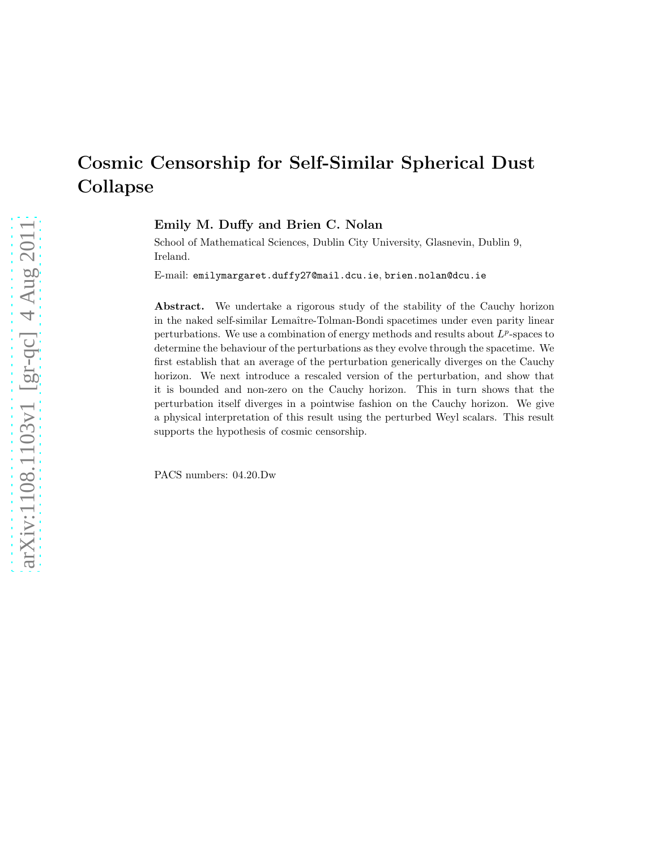Emily M. Duffy and Brien C. Nolan

School of Mathematical Sciences, Dublin City University, Glasnevin, Dublin 9, Ireland.

E-mail: emilymargaret.duffy27@mail.dcu.ie, brien.nolan@dcu.ie

Abstract. We undertake a rigorous study of the stability of the Cauchy horizon in the naked self-similar Lemaître-Tolman-Bondi spacetimes under even parity linear perturbations. We use a combination of energy methods and results about  $L^p$ -spaces to determine the behaviour of the perturbations as they evolve through the spacetime. We first establish that an average of the perturbation generically diverges on the Cauchy horizon. We next introduce a rescaled version of the perturbation, and show that it is bounded and non-zero on the Cauchy horizon. This in turn shows that the perturbation itself diverges in a pointwise fashion on the Cauchy horizon. We give a physical interpretation of this result using the perturbed Weyl scalars. This result supports the hypothesis of cosmic censorship.

PACS numbers: 04.20.Dw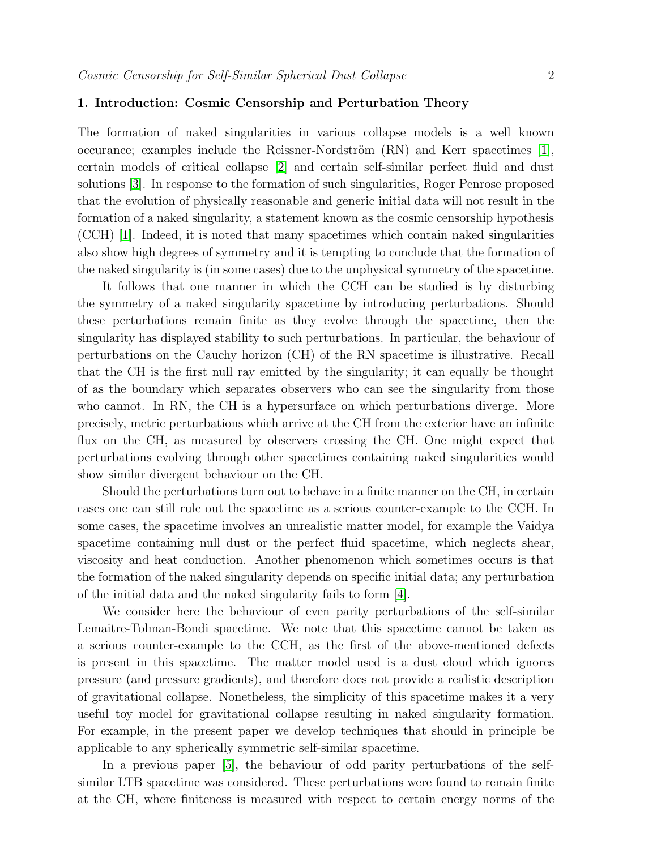### 1. Introduction: Cosmic Censorship and Perturbation Theory

The formation of naked singularities in various collapse models is a well known occurance; examples include the Reissner-Nordström  $(RN)$  and Kerr spacetimes [\[1\]](#page-47-0), certain models of critical collapse [\[2\]](#page-47-1) and certain self-similar perfect fluid and dust solutions [\[3\]](#page-47-2). In response to the formation of such singularities, Roger Penrose proposed that the evolution of physically reasonable and generic initial data will not result in the formation of a naked singularity, a statement known as the cosmic censorship hypothesis (CCH) [\[1\]](#page-47-0). Indeed, it is noted that many spacetimes which contain naked singularities also show high degrees of symmetry and it is tempting to conclude that the formation of the naked singularity is (in some cases) due to the unphysical symmetry of the spacetime.

It follows that one manner in which the CCH can be studied is by disturbing the symmetry of a naked singularity spacetime by introducing perturbations. Should these perturbations remain finite as they evolve through the spacetime, then the singularity has displayed stability to such perturbations. In particular, the behaviour of perturbations on the Cauchy horizon (CH) of the RN spacetime is illustrative. Recall that the CH is the first null ray emitted by the singularity; it can equally be thought of as the boundary which separates observers who can see the singularity from those who cannot. In RN, the CH is a hypersurface on which perturbations diverge. More precisely, metric perturbations which arrive at the CH from the exterior have an infinite flux on the CH, as measured by observers crossing the CH. One might expect that perturbations evolving through other spacetimes containing naked singularities would show similar divergent behaviour on the CH.

Should the perturbations turn out to behave in a finite manner on the CH, in certain cases one can still rule out the spacetime as a serious counter-example to the CCH. In some cases, the spacetime involves an unrealistic matter model, for example the Vaidya spacetime containing null dust or the perfect fluid spacetime, which neglects shear, viscosity and heat conduction. Another phenomenon which sometimes occurs is that the formation of the naked singularity depends on specific initial data; any perturbation of the initial data and the naked singularity fails to form [\[4\]](#page-47-3).

We consider here the behaviour of even parity perturbations of the self-similar Lemaître-Tolman-Bondi spacetime. We note that this spacetime cannot be taken as a serious counter-example to the CCH, as the first of the above-mentioned defects is present in this spacetime. The matter model used is a dust cloud which ignores pressure (and pressure gradients), and therefore does not provide a realistic description of gravitational collapse. Nonetheless, the simplicity of this spacetime makes it a very useful toy model for gravitational collapse resulting in naked singularity formation. For example, in the present paper we develop techniques that should in principle be applicable to any spherically symmetric self-similar spacetime.

In a previous paper [\[5\]](#page-47-4), the behaviour of odd parity perturbations of the selfsimilar LTB spacetime was considered. These perturbations were found to remain finite at the CH, where finiteness is measured with respect to certain energy norms of the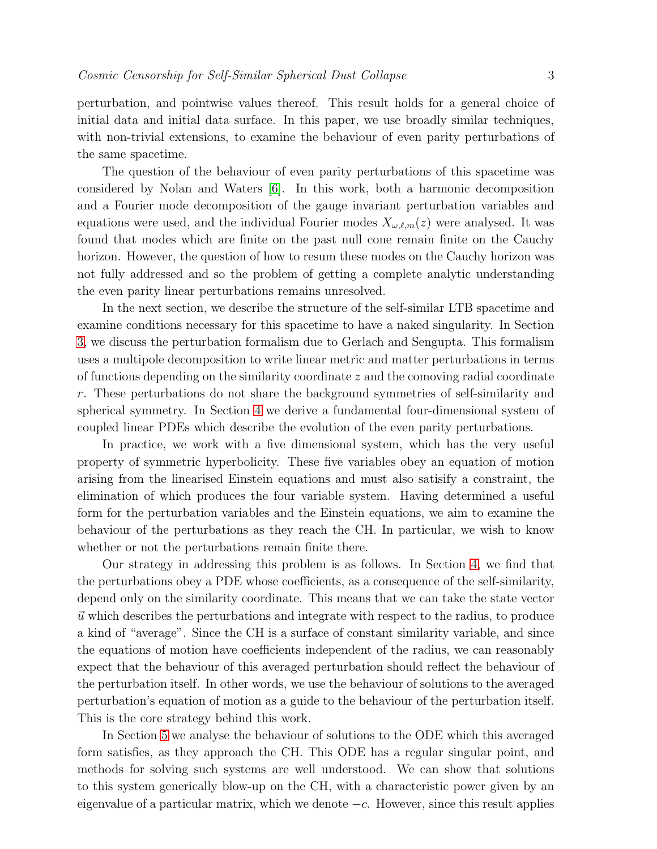perturbation, and pointwise values thereof. This result holds for a general choice of initial data and initial data surface. In this paper, we use broadly similar techniques, with non-trivial extensions, to examine the behaviour of even parity perturbations of the same spacetime.

The question of the behaviour of even parity perturbations of this spacetime was considered by Nolan and Waters [\[6\]](#page-47-5). In this work, both a harmonic decomposition and a Fourier mode decomposition of the gauge invariant perturbation variables and equations were used, and the individual Fourier modes  $X_{\omega,\ell,m}(z)$  were analysed. It was found that modes which are finite on the past null cone remain finite on the Cauchy horizon. However, the question of how to resum these modes on the Cauchy horizon was not fully addressed and so the problem of getting a complete analytic understanding the even parity linear perturbations remains unresolved.

In the next section, we describe the structure of the self-similar LTB spacetime and examine conditions necessary for this spacetime to have a naked singularity. In Section [3,](#page-6-0) we discuss the perturbation formalism due to Gerlach and Sengupta. This formalism uses a multipole decomposition to write linear metric and matter perturbations in terms of functions depending on the similarity coordinate z and the comoving radial coordinate r. These perturbations do not share the background symmetries of self-similarity and spherical symmetry. In Section [4](#page-10-0) we derive a fundamental four-dimensional system of coupled linear PDEs which describe the evolution of the even parity perturbations.

In practice, we work with a five dimensional system, which has the very useful property of symmetric hyperbolicity. These five variables obey an equation of motion arising from the linearised Einstein equations and must also satisify a constraint, the elimination of which produces the four variable system. Having determined a useful form for the perturbation variables and the Einstein equations, we aim to examine the behaviour of the perturbations as they reach the CH. In particular, we wish to know whether or not the perturbations remain finite there.

Our strategy in addressing this problem is as follows. In Section [4,](#page-10-0) we find that the perturbations obey a PDE whose coefficients, as a consequence of the self-similarity, depend only on the similarity coordinate. This means that we can take the state vector  $\vec{u}$  which describes the perturbations and integrate with respect to the radius, to produce a kind of "average". Since the CH is a surface of constant similarity variable, and since the equations of motion have coefficients independent of the radius, we can reasonably expect that the behaviour of this averaged perturbation should reflect the behaviour of the perturbation itself. In other words, we use the behaviour of solutions to the averaged perturbation's equation of motion as a guide to the behaviour of the perturbation itself. This is the core strategy behind this work.

In Section [5](#page-18-0) we analyse the behaviour of solutions to the ODE which this averaged form satisfies, as they approach the CH. This ODE has a regular singular point, and methods for solving such systems are well understood. We can show that solutions to this system generically blow-up on the CH, with a characteristic power given by an eigenvalue of a particular matrix, which we denote  $-c$ . However, since this result applies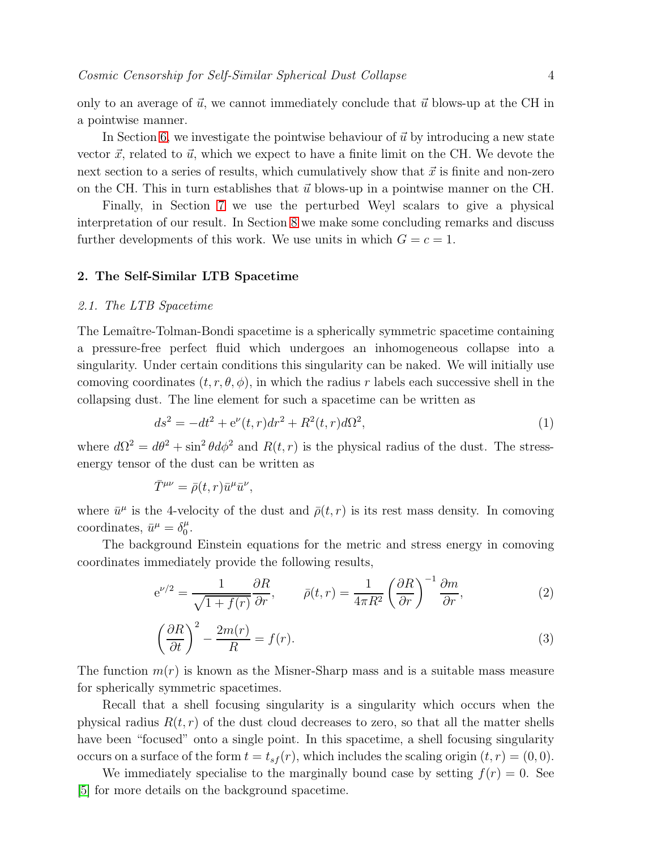only to an average of  $\vec{u}$ , we cannot immediately conclude that  $\vec{u}$  blows-up at the CH in a pointwise manner.

In Section [6,](#page-25-0) we investigate the pointwise behaviour of  $\vec{u}$  by introducing a new state vector  $\vec{x}$ , related to  $\vec{u}$ , which we expect to have a finite limit on the CH. We devote the next section to a series of results, which cumulatively show that  $\vec{x}$  is finite and non-zero on the CH. This in turn establishes that  $\vec{u}$  blows-up in a pointwise manner on the CH.

Finally, in Section [7](#page-40-0) we use the perturbed Weyl scalars to give a physical interpretation of our result. In Section [8](#page-42-0) we make some concluding remarks and discuss further developments of this work. We use units in which  $G = c = 1$ .

#### 2. The Self-Similar LTB Spacetime

### 2.1. The LTB Spacetime

The Lemaître-Tolman-Bondi spacetime is a spherically symmetric spacetime containing a pressure-free perfect fluid which undergoes an inhomogeneous collapse into a singularity. Under certain conditions this singularity can be naked. We will initially use comoving coordinates  $(t, r, \theta, \phi)$ , in which the radius r labels each successive shell in the collapsing dust. The line element for such a spacetime can be written as

<span id="page-3-1"></span>
$$
ds^{2} = -dt^{2} + e^{\nu}(t, r)dr^{2} + R^{2}(t, r)d\Omega^{2},
$$
\n(1)

where  $d\Omega^2 = d\theta^2 + \sin^2 \theta d\phi^2$  and  $R(t,r)$  is the physical radius of the dust. The stressenergy tensor of the dust can be written as

$$
\bar{T}^{\mu\nu} = \bar{\rho}(t,r)\bar{u}^{\mu}\bar{u}^{\nu},
$$

where  $\bar{u}^{\mu}$  is the 4-velocity of the dust and  $\bar{\rho}(t,r)$  is its rest mass density. In comoving coordinates,  $\bar{u}^{\mu} = \delta_0^{\mu}$  $\frac{\mu}{0}$ .

The background Einstein equations for the metric and stress energy in comoving coordinates immediately provide the following results,

<span id="page-3-2"></span>
$$
e^{\nu/2} = \frac{1}{\sqrt{1+f(r)}} \frac{\partial R}{\partial r}, \qquad \bar{\rho}(t,r) = \frac{1}{4\pi R^2} \left(\frac{\partial R}{\partial r}\right)^{-1} \frac{\partial m}{\partial r},\tag{2}
$$

<span id="page-3-0"></span>
$$
\left(\frac{\partial R}{\partial t}\right)^2 - \frac{2m(r)}{R} = f(r). \tag{3}
$$

The function  $m(r)$  is known as the Misner-Sharp mass and is a suitable mass measure for spherically symmetric spacetimes.

Recall that a shell focusing singularity is a singularity which occurs when the physical radius  $R(t, r)$  of the dust cloud decreases to zero, so that all the matter shells have been "focused" onto a single point. In this spacetime, a shell focusing singularity occurs on a surface of the form  $t = t_{sf}(r)$ , which includes the scaling origin  $(t, r) = (0, 0)$ .

We immediately specialise to the marginally bound case by setting  $f(r) = 0$ . See [\[5\]](#page-47-4) for more details on the background spacetime.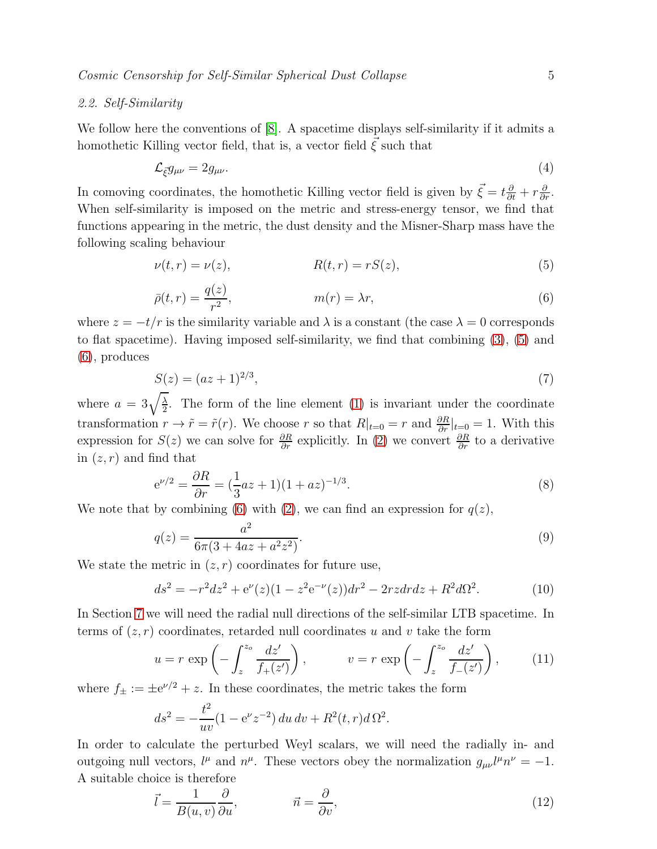## 2.2. Self-Similarity

We follow here the conventions of [\[8\]](#page-47-6). A spacetime displays self-similarity if it admits a homothetic Killing vector field, that is, a vector field  $\vec{\xi}$  such that

$$
\mathcal{L}_{\vec{\xi}}g_{\mu\nu} = 2g_{\mu\nu}.\tag{4}
$$

In comoving coordinates, the homothetic Killing vector field is given by  $\vec{\xi} = t\frac{\partial}{\partial t} + r\frac{\partial}{\partial r}$ . When self-similarity is imposed on the metric and stress-energy tensor, we find that functions appearing in the metric, the dust density and the Misner-Sharp mass have the following scaling behaviour

<span id="page-4-0"></span>
$$
\nu(t,r) = \nu(z), \qquad R(t,r) = rS(z), \tag{5}
$$

<span id="page-4-1"></span>
$$
\bar{\rho}(t,r) = \frac{q(z)}{r^2}, \qquad m(r) = \lambda r,\tag{6}
$$

where  $z = -t/r$  is the similarity variable and  $\lambda$  is a constant (the case  $\lambda = 0$  corresponds to flat spacetime). Having imposed self-similarity, we find that combining [\(3\)](#page-3-0), [\(5\)](#page-4-0) and [\(6\)](#page-4-1), produces

<span id="page-4-2"></span>
$$
S(z) = (az+1)^{2/3},\tag{7}
$$

where  $a = 3\sqrt{\frac{\lambda}{2}}$  $\frac{\lambda}{2}$ . The form of the line element [\(1\)](#page-3-1) is invariant under the coordinate transformation  $r \to \tilde{r} = \tilde{r}(r)$ . We choose r so that  $R|_{t=0} = r$  and  $\frac{\partial R}{\partial r}|_{t=0} = 1$ . With this expression for  $S(z)$  we can solve for  $\frac{\partial R}{\partial r}$  explicitly. In [\(2\)](#page-3-2) we convert  $\frac{\partial R}{\partial r}$  to a derivative in  $(z, r)$  and find that

<span id="page-4-4"></span>
$$
e^{\nu/2} = \frac{\partial R}{\partial r} = \left(\frac{1}{3}az + 1\right)(1 + az)^{-1/3}.\tag{8}
$$

We note that by combining [\(6\)](#page-4-1) with [\(2\)](#page-3-2), we can find an expression for  $q(z)$ ,

<span id="page-4-3"></span>
$$
q(z) = \frac{a^2}{6\pi (3 + 4az + a^2 z^2)}.
$$
\n(9)

We state the metric in  $(z, r)$  coordinates for future use,

$$
ds^{2} = -r^{2}dz^{2} + e^{\nu}(z)(1 - z^{2}e^{-\nu}(z))dr^{2} - 2rzdrdz + R^{2}d\Omega^{2}.
$$
 (10)

In Section [7](#page-40-0) we will need the radial null directions of the self-similar LTB spacetime. In terms of  $(z, r)$  coordinates, retarded null coordinates u and v take the form

<span id="page-4-5"></span>
$$
u = r \exp\left(-\int_{z}^{z_{o}} \frac{dz'}{f_{+}(z')}\right), \qquad v = r \exp\left(-\int_{z}^{z_{o}} \frac{dz'}{f_{-}(z')}\right), \qquad (11)
$$

where  $f_{\pm} := \pm e^{\nu/2} + z$ . In these coordinates, the metric takes the form

$$
ds^{2} = -\frac{t^{2}}{uv}(1 - e^{\nu}z^{-2}) du dv + R^{2}(t, r) d \Omega^{2}.
$$

In order to calculate the perturbed Weyl scalars, we will need the radially in- and outgoing null vectors,  $l^{\mu}$  and  $n^{\mu}$ . These vectors obey the normalization  $g_{\mu\nu}l^{\mu}n^{\nu} = -1$ . A suitable choice is therefore

<span id="page-4-6"></span>
$$
\vec{l} = \frac{1}{B(u, v)} \frac{\partial}{\partial u}, \qquad \qquad \vec{n} = \frac{\partial}{\partial v}, \qquad (12)
$$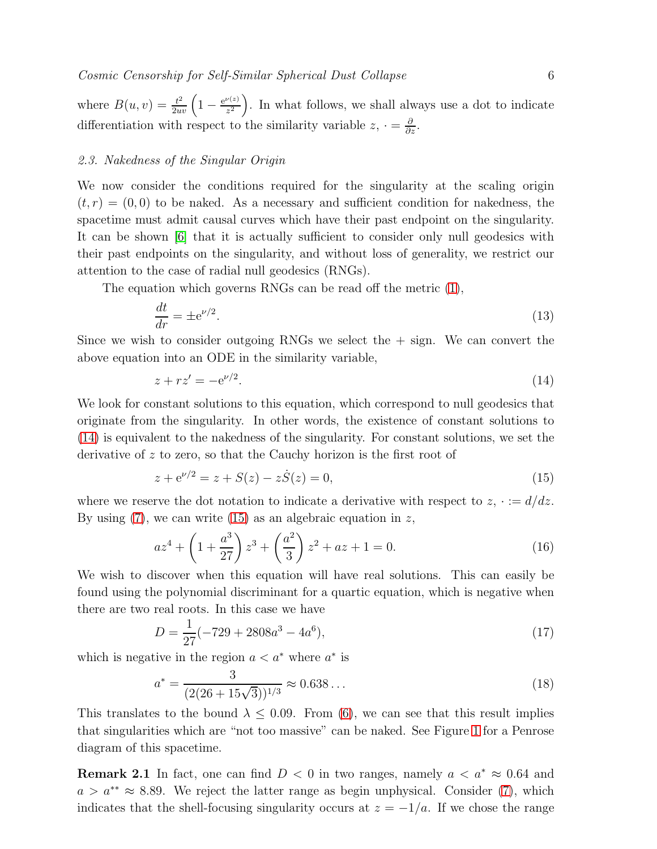where  $B(u, v) = \frac{t^2}{2uv} \left( 1 - \frac{e^{\nu(z)}}{z^2} \right)$  $\frac{\nu(z)}{z^2}$ . In what follows, we shall always use a dot to indicate differentiation with respect to the similarity variable  $z, \cdot = \frac{\partial}{\partial z}$ .

### 2.3. Nakedness of the Singular Origin

We now consider the conditions required for the singularity at the scaling origin  $(t, r) = (0, 0)$  to be naked. As a necessary and sufficient condition for nakedness, the spacetime must admit causal curves which have their past endpoint on the singularity. It can be shown [\[6\]](#page-47-5) that it is actually sufficient to consider only null geodesics with their past endpoints on the singularity, and without loss of generality, we restrict our attention to the case of radial null geodesics (RNGs).

The equation which governs RNGs can be read off the metric [\(1\)](#page-3-1),

$$
\frac{dt}{dr} = \pm e^{\nu/2}.\tag{13}
$$

Since we wish to consider outgoing RNGs we select the  $+$  sign. We can convert the above equation into an ODE in the similarity variable,

<span id="page-5-0"></span>
$$
z + rz' = -e^{\nu/2}.
$$
 (14)

We look for constant solutions to this equation, which correspond to null geodesics that originate from the singularity. In other words, the existence of constant solutions to [\(14\)](#page-5-0) is equivalent to the nakedness of the singularity. For constant solutions, we set the derivative of  $z$  to zero, so that the Cauchy horizon is the first root of

<span id="page-5-1"></span>
$$
z + e^{\nu/2} = z + S(z) - z\dot{S}(z) = 0,
$$
\n(15)

where we reserve the dot notation to indicate a derivative with respect to  $z, \cdot := d/dz$ . By using  $(7)$ , we can write  $(15)$  as an algebraic equation in z,

$$
az^{4} + \left(1 + \frac{a^{3}}{27}\right)z^{3} + \left(\frac{a^{2}}{3}\right)z^{2} + az + 1 = 0.
$$
 (16)

We wish to discover when this equation will have real solutions. This can easily be found using the polynomial discriminant for a quartic equation, which is negative when there are two real roots. In this case we have

$$
D = \frac{1}{27}(-729 + 2808a^3 - 4a^6),\tag{17}
$$

which is negative in the region  $a < a^*$  where  $a^*$  is

$$
a^* = \frac{3}{(2(26+15\sqrt{3}))^{1/3}} \approx 0.638\ldots
$$
\n(18)

This translates to the bound  $\lambda \leq 0.09$ . From [\(6\)](#page-4-1), we can see that this result implies that singularities which are "not too massive" can be naked. See Figure [1](#page-6-1) for a Penrose diagram of this spacetime.

**Remark 2.1** In fact, one can find  $D < 0$  in two ranges, namely  $a < a^* \approx 0.64$  and  $a > a^{**} \approx 8.89$ . We reject the latter range as begin unphysical. Consider [\(7\)](#page-4-2), which indicates that the shell-focusing singularity occurs at  $z = -1/a$ . If we chose the range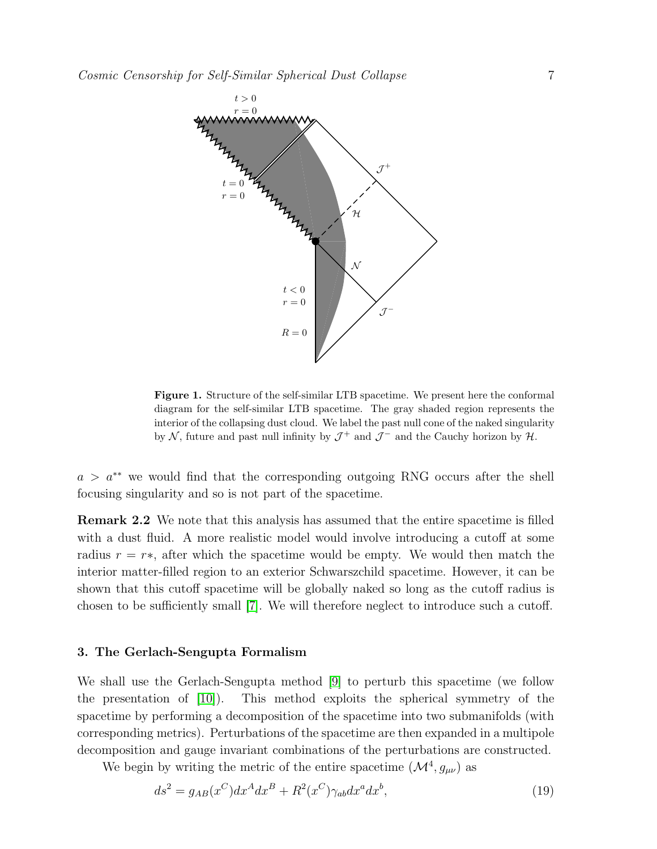

<span id="page-6-1"></span>Figure 1. Structure of the self-similar LTB spacetime. We present here the conformal diagram for the self-similar LTB spacetime. The gray shaded region represents the interior of the collapsing dust cloud. We label the past null cone of the naked singularity by  $\mathcal{N}$ , future and past null infinity by  $\mathcal{J}^+$  and  $\mathcal{J}^-$  and the Cauchy horizon by  $\mathcal{H}$ .

 $a > a^{**}$  we would find that the corresponding outgoing RNG occurs after the shell focusing singularity and so is not part of the spacetime.

Remark 2.2 We note that this analysis has assumed that the entire spacetime is filled with a dust fluid. A more realistic model would involve introducing a cutoff at some radius  $r = r*$ , after which the spacetime would be empty. We would then match the interior matter-filled region to an exterior Schwarszchild spacetime. However, it can be shown that this cutoff spacetime will be globally naked so long as the cutoff radius is chosen to be sufficiently small [\[7\]](#page-47-7). We will therefore neglect to introduce such a cutoff.

#### <span id="page-6-0"></span>3. The Gerlach-Sengupta Formalism

We shall use the Gerlach-Sengupta method [\[9\]](#page-47-8) to perturb this spacetime (we follow the presentation of [\[10\]](#page-47-9)). This method exploits the spherical symmetry of the spacetime by performing a decomposition of the spacetime into two submanifolds (with corresponding metrics). Perturbations of the spacetime are then expanded in a multipole decomposition and gauge invariant combinations of the perturbations are constructed.

We begin by writing the metric of the entire spacetime  $(\mathcal{M}^4, g_{\mu\nu})$  as

<span id="page-6-2"></span>
$$
ds^2 = g_{AB}(x^C)dx^A dx^B + R^2(x^C)\gamma_{ab}dx^a dx^b,
$$
\n(19)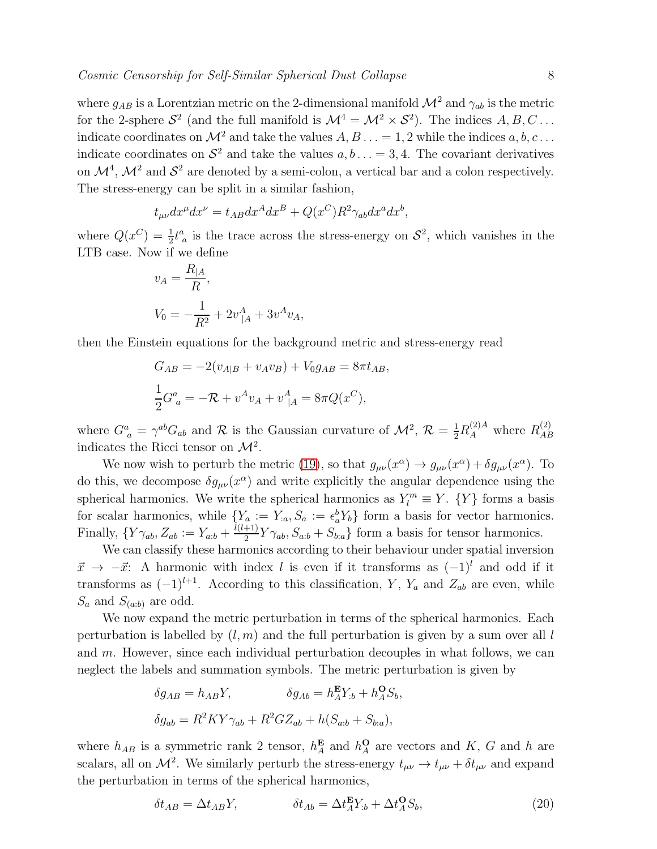where  $g_{AB}$  is a Lorentzian metric on the 2-dimensional manifold  $\mathcal{M}^2$  and  $\gamma_{ab}$  is the metric for the 2-sphere  $S^2$  (and the full manifold is  $\mathcal{M}^4 = \mathcal{M}^2 \times S^2$ ). The indices  $A, B, C \dots$ indicate coordinates on  $\mathcal{M}^2$  and take the values  $A, B \ldots = 1, 2$  while the indices  $a, b, c \ldots$ indicate coordinates on  $\mathcal{S}^2$  and take the values  $a, b \ldots = 3, 4$ . The covariant derivatives on  $\mathcal{M}^4$ ,  $\mathcal{M}^2$  and  $\mathcal{S}^2$  are denoted by a semi-colon, a vertical bar and a colon respectively. The stress-energy can be split in a similar fashion,

$$
t_{\mu\nu}dx^{\mu}dx^{\nu} = t_{AB}dx^{A}dx^{B} + Q(x^{C})R^{2}\gamma_{ab}dx^{a}dx^{b},
$$

where  $Q(x^C) = \frac{1}{2}t^a_{\ a}$  is the trace across the stress-energy on  $S^2$ , which vanishes in the LTB case. Now if we define

$$
v_A = \frac{R_{|A}}{R},
$$
  

$$
V_0 = -\frac{1}{R^2} + 2v_{|A}^A + 3v^A v_A,
$$

then the Einstein equations for the background metric and stress-energy read

$$
G_{AB} = -2(v_{A|B} + v_A v_B) + V_0 g_{AB} = 8\pi t_{AB},
$$
  
\n
$$
\frac{1}{2}G^a{}_a = -\mathcal{R} + v^A v_A + v^A_{|A} = 8\pi Q(x^C),
$$

where  $G^a_{\ a} = \gamma^{ab} G_{ab}$  and  $R$  is the Gaussian curvature of  $\mathcal{M}^2$ ,  $\mathcal{R} = \frac{1}{2} R_A^{(2)A}$  where  $R_{AE}^{(2)}$ AB indicates the Ricci tensor on  $\mathcal{M}^2$ .

We now wish to perturb the metric [\(19\)](#page-6-2), so that  $g_{\mu\nu}(x^{\alpha}) \to g_{\mu\nu}(x^{\alpha}) + \delta g_{\mu\nu}(x^{\alpha})$ . To do this, we decompose  $\delta g_{\mu\nu}(x^{\alpha})$  and write explicitly the angular dependence using the spherical harmonics. We write the spherical harmonics as  $Y_l^m \equiv Y$ .  $\{Y\}$  forms a basis for scalar harmonics, while  $\{Y_a := Y_a, S_a := \epsilon_a^b Y_b\}$  form a basis for vector harmonics. Finally,  $\{Y\gamma_{ab}, Z_{ab} := Y_{a:b} + \frac{l(l+1)}{2}\}$  $\frac{(-1)}{2}Y\gamma_{ab}, S_{a:b} + S_{b:a}$  form a basis for tensor harmonics.

We can classify these harmonics according to their behaviour under spatial inversion  $\vec{x} \rightarrow -\vec{x}$ : A harmonic with index l is even if it transforms as  $(-1)^{l}$  and odd if it transforms as  $(-1)^{l+1}$ . According to this classification, Y, Y<sub>a</sub> and Z<sub>ab</sub> are even, while  $S_a$  and  $S_{(a:b)}$  are odd.

We now expand the metric perturbation in terms of the spherical harmonics. Each perturbation is labelled by  $(l, m)$  and the full perturbation is given by a sum over all l and m. However, since each individual perturbation decouples in what follows, we can neglect the labels and summation symbols. The metric perturbation is given by

$$
\delta g_{AB} = h_{AB}Y, \qquad \delta g_{Ab} = h_A^{\mathbf{E}}Y_{:b} + h_A^{\mathbf{O}}S_b,
$$
  

$$
\delta g_{ab} = R^2KY\gamma_{ab} + R^2GZ_{ab} + h(S_{a:b} + S_{b:a}),
$$

where  $h_{AB}$  is a symmetric rank 2 tensor,  $h_A^{\mathbf{E}}$  and  $h_A^{\mathbf{O}}$  are vectors and K, G and h are scalars, all on  $\mathcal{M}^2$ . We similarly perturb the stress-energy  $t_{\mu\nu} \to t_{\mu\nu} + \delta t_{\mu\nu}$  and expand the perturbation in terms of the spherical harmonics,

<span id="page-7-0"></span>
$$
\delta t_{AB} = \Delta t_{AB} Y, \qquad \qquad \delta t_{Ab} = \Delta t_A^{\mathbf{E}} Y_{:b} + \Delta t_A^{\mathbf{O}} S_b, \tag{20}
$$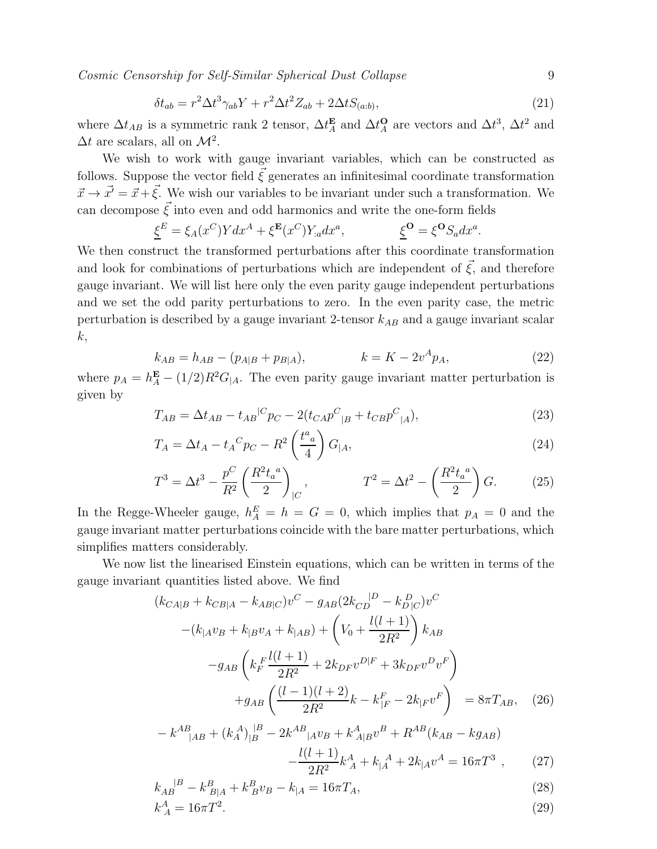$$
\delta t_{ab} = r^2 \Delta t^3 \gamma_{ab} Y + r^2 \Delta t^2 Z_{ab} + 2 \Delta t S_{(a:b)},\tag{21}
$$

where  $\Delta t_{AB}$  is a symmetric rank 2 tensor,  $\Delta t_A^{\mathbf{E}}$  and  $\Delta t_A^{\mathbf{O}}$  are vectors and  $\Delta t^3$ ,  $\Delta t^2$  and  $\Delta t$  are scalars, all on  $\mathcal{M}^2$ .

We wish to work with gauge invariant variables, which can be constructed as follows. Suppose the vector field  $\xi$  generates an infinitesimal coordinate transformation  $\vec{x} \rightarrow \vec{x'} = \vec{x} + \vec{\xi}$ . We wish our variables to be invariant under such a transformation. We can decompose  $\vec{\xi}$  into even and odd harmonics and write the one-form fields

$$
\underline{\xi}^{E} = \xi_{A}(x^{C})Ydx^{A} + \xi^{\mathbf{E}}(x^{C})Y_{:a}dx^{a}, \qquad \underline{\xi}^{\mathbf{O}} = \xi^{\mathbf{O}}S_{a}dx^{a}
$$

We then construct the transformed perturbations after this coordinate transformation and look for combinations of perturbations which are independent of  $\vec{\xi}$ , and therefore gauge invariant. We will list here only the even parity gauge independent perturbations and we set the odd parity perturbations to zero. In the even parity case, the metric perturbation is described by a gauge invariant 2-tensor  $k_{AB}$  and a gauge invariant scalar  $k,$ 

<span id="page-8-2"></span>
$$
k_{AB} = h_{AB} - (p_{A|B} + p_{B|A}), \qquad k = K - 2v^A p_A, \tag{22}
$$

where  $p_A = h_A^{\mathbf{E}} - (1/2)R^2 G_{|A}$ . The even parity gauge invariant matter perturbation is given by

<span id="page-8-0"></span>
$$
T_{AB} = \Delta t_{AB} - t_{AB}{}^{|C} p_C - 2(t_{CA} p^C{}_{|B} + t_{CB} p^C{}_{|A}),\tag{23}
$$

<span id="page-8-5"></span>
$$
T_A = \Delta t_A - t_A^C p_C - R^2 \left(\frac{t^a}{4}\right) G_{|A},\tag{24}
$$

<span id="page-8-1"></span>
$$
T^{3} = \Delta t^{3} - \frac{p^{C}}{R^{2}} \left(\frac{R^{2} t_{a}^{a}}{2}\right)_{|C}, \qquad T^{2} = \Delta t^{2} - \left(\frac{R^{2} t_{a}^{a}}{2}\right) G. \qquad (25)
$$

In the Regge-Wheeler gauge,  $h_A^E = h = G = 0$ , which implies that  $p_A = 0$  and the gauge invariant matter perturbations coincide with the bare matter perturbations, which simplifies matters considerably.

We now list the linearised Einstein equations, which can be written in terms of the gauge invariant quantities listed above. We find

<span id="page-8-4"></span>
$$
(k_{CA|B} + k_{CB|A} - k_{AB|C})v^{C} - g_{AB}(2k_{CD}^{D} - k_{D|C}^{D})v^{C}
$$

$$
-(k_{|A}v_{B} + k_{|B}v_{A} + k_{|AB}) + \left(V_{0} + \frac{l(l+1)}{2R^{2}}\right)k_{AB}
$$

$$
-g_{AB}\left(k_{F}^{F}\frac{l(l+1)}{2R^{2}} + 2k_{DF}v^{D|F} + 3k_{DF}v^{D}v^{F}\right)
$$

$$
+g_{AB}\left(\frac{(l-1)(l+2)}{2R^{2}}k - k_{|F}^{F} - 2k_{|F}v^{F}\right) = 8\pi T_{AB}, \quad (26)
$$

<span id="page-8-3"></span>
$$
-k^{AB}_{\quad|AB} + (k_A^A)_{|B}^{\quad|B} - 2k^{AB}_{\quad|A}v_B + k^A_{A|B}v^B + R^{AB}(k_{AB} - k_{A|B})
$$

$$
-\frac{l(l+1)}{2R^2}k_A^A + k_A^A + 2k_{|A}v^A = 16\pi T^3 \ , \tag{27}
$$

$$
k_{AB}^{\ \ |B} - k_{B|A}^B + k_B^B v_B - k_{|A} = 16\pi T_A,\tag{28}
$$

$$
k_A^A = 16\pi T^2. \tag{29}
$$

.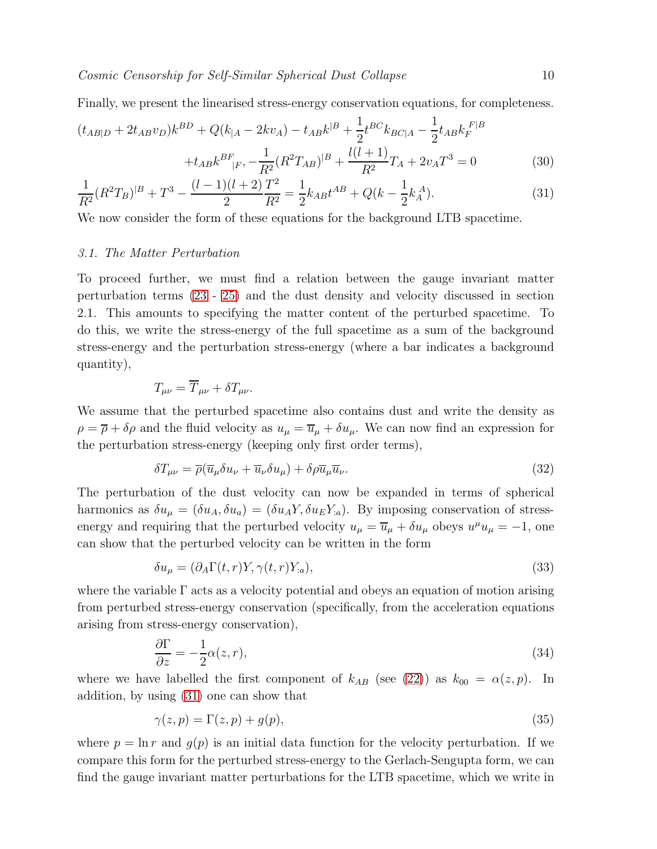Finally, we present the linearised stress-energy conservation equations, for completeness.

<span id="page-9-0"></span>
$$
(t_{AB|D} + 2t_{AB}v_D)k^{BD} + Q(k_{|A} - 2kv_A) - t_{AB}k^{|B} + \frac{1}{2}t^{BC}k_{BC|A} - \frac{1}{2}t_{AB}k_F^{F|B}
$$

$$
+ t_{AB}k^{BF}_{|F} - \frac{1}{R^2}(R^2T_{AB})^{|B} + \frac{l(l+1)}{R^2}T_A + 2v_A T^3 = 0
$$
(30)

$$
\frac{1}{R^2}(R^2T_B)^{|B|} + T^3 - \frac{(l-1)(l+2)}{2}\frac{T^2}{R^2} = \frac{1}{2}k_{AB}t^{AB} + Q(k - \frac{1}{2}k_A^A). \tag{31}
$$

We now consider the form of these equations for the background LTB spacetime.

## 3.1. The Matter Perturbation

To proceed further, we must find a relation between the gauge invariant matter perturbation terms [\(23](#page-8-0) - [25\)](#page-8-1) and the dust density and velocity discussed in section 2.1. This amounts to specifying the matter content of the perturbed spacetime. To do this, we write the stress-energy of the full spacetime as a sum of the background stress-energy and the perturbation stress-energy (where a bar indicates a background quantity),

$$
T_{\mu\nu} = \overline{T}_{\mu\nu} + \delta T_{\mu\nu}.
$$

We assume that the perturbed spacetime also contains dust and write the density as  $\rho = \overline{\rho} + \delta \rho$  and the fluid velocity as  $u_{\mu} = \overline{u}_{\mu} + \delta u_{\mu}$ . We can now find an expression for the perturbation stress-energy (keeping only first order terms),

<span id="page-9-3"></span>
$$
\delta T_{\mu\nu} = \overline{\rho}(\overline{u}_{\mu}\delta u_{\nu} + \overline{u}_{\nu}\delta u_{\mu}) + \delta \rho \overline{u}_{\mu}\overline{u}_{\nu}.
$$
\n(32)

The perturbation of the dust velocity can now be expanded in terms of spherical harmonics as  $\delta u_{\mu} = (\delta u_A, \delta u_a) = (\delta u_A Y, \delta u_E Y_{:a})$ . By imposing conservation of stressenergy and requiring that the perturbed velocity  $u_{\mu} = \overline{u}_{\mu} + \delta u_{\mu}$  obeys  $u^{\mu}u_{\mu} = -1$ , one can show that the perturbed velocity can be written in the form

<span id="page-9-2"></span>
$$
\delta u_{\mu} = (\partial_A \Gamma(t, r) Y, \gamma(t, r) Y_{a}), \qquad (33)
$$

where the variable  $\Gamma$  acts as a velocity potential and obeys an equation of motion arising from perturbed stress-energy conservation (specifically, from the acceleration equations arising from stress-energy conservation),

<span id="page-9-1"></span>
$$
\frac{\partial \Gamma}{\partial z} = -\frac{1}{2}\alpha(z, r),\tag{34}
$$

where we have labelled the first component of  $k_{AB}$  (see [\(22\)](#page-8-2)) as  $k_{00} = \alpha(z, p)$ . In addition, by using [\(31\)](#page-9-0) one can show that

$$
\gamma(z,p) = \Gamma(z,p) + g(p),\tag{35}
$$

where  $p = \ln r$  and  $q(p)$  is an initial data function for the velocity perturbation. If we compare this form for the perturbed stress-energy to the Gerlach-Sengupta form, we can find the gauge invariant matter perturbations for the LTB spacetime, which we write in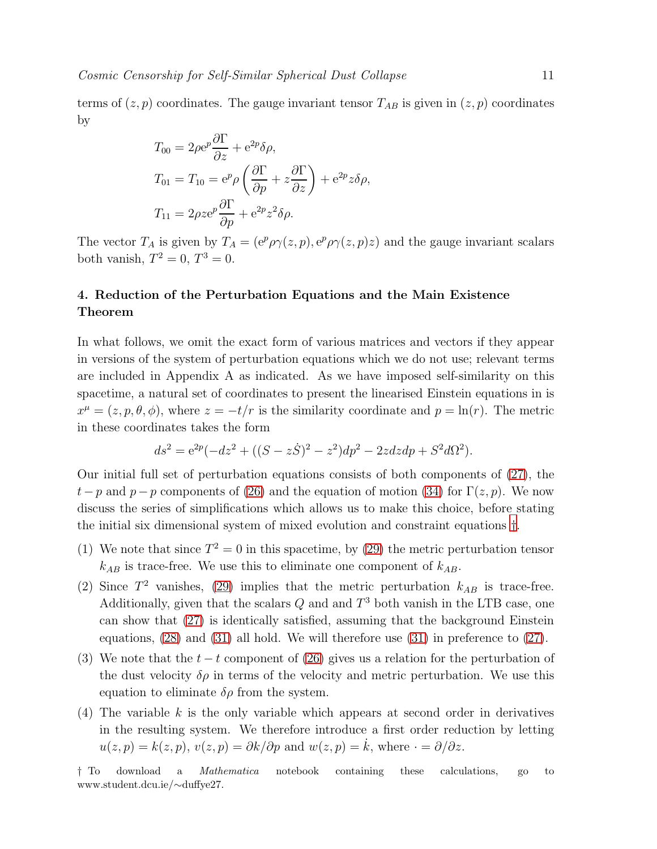terms of  $(z, p)$  coordinates. The gauge invariant tensor  $T_{AB}$  is given in  $(z, p)$  coordinates by

$$
T_{00} = 2\rho e^{p} \frac{\partial \Gamma}{\partial z} + e^{2p} \delta \rho,
$$
  
\n
$$
T_{01} = T_{10} = e^{p} \rho \left( \frac{\partial \Gamma}{\partial p} + z \frac{\partial \Gamma}{\partial z} \right) + e^{2p} z \delta \rho,
$$
  
\n
$$
T_{11} = 2\rho z e^{p} \frac{\partial \Gamma}{\partial p} + e^{2p} z^{2} \delta \rho.
$$

The vector  $T_A$  is given by  $T_A = (e^p \rho \gamma(z, p), e^p \rho \gamma(z, p) z)$  and the gauge invariant scalars both vanish,  $T^2 = 0$ ,  $T^3 = 0$ .

# <span id="page-10-0"></span>4. Reduction of the Perturbation Equations and the Main Existence Theorem

In what follows, we omit the exact form of various matrices and vectors if they appear in versions of the system of perturbation equations which we do not use; relevant terms are included in Appendix A as indicated. As we have imposed self-similarity on this spacetime, a natural set of coordinates to present the linearised Einstein equations in is  $x^{\mu} = (z, p, \theta, \phi)$ , where  $z = -t/r$  is the similarity coordinate and  $p = \ln(r)$ . The metric in these coordinates takes the form

$$
ds^{2} = e^{2p}(-dz^{2} + ((S - z\dot{S})^{2} - z^{2})dp^{2} - 2zdzdp + S^{2}d\Omega^{2}).
$$

Our initial full set of perturbation equations consists of both components of  $(27)$ , the  $t-p$  and  $p-p$  components of [\(26\)](#page-8-4) and the equation of motion [\(34\)](#page-9-1) for  $\Gamma(z, p)$ . We now discuss the series of simplifications which allows us to make this choice, before stating the initial six dimensional system of mixed evolution and constraint equations [†](#page-10-1).

- (1) We note that since  $T^2 = 0$  in this spacetime, by [\(29\)](#page-8-3) the metric perturbation tensor  $k_{AB}$  is trace-free. We use this to eliminate one component of  $k_{AB}$ .
- (2) Since  $T^2$  vanishes, [\(29\)](#page-8-3) implies that the metric perturbation  $k_{AB}$  is trace-free. Additionally, given that the scalars  $Q$  and and  $T^3$  both vanish in the LTB case, one can show that [\(27\)](#page-8-3) is identically satisfied, assuming that the background Einstein equations, [\(28\)](#page-8-3) and [\(31\)](#page-9-0) all hold. We will therefore use [\(31\)](#page-9-0) in preference to [\(27\)](#page-8-3).
- (3) We note that the  $t t$  component of [\(26\)](#page-8-4) gives us a relation for the perturbation of the dust velocity  $\delta \rho$  in terms of the velocity and metric perturbation. We use this equation to eliminate  $\delta \rho$  from the system.
- $(4)$  The variable k is the only variable which appears at second order in derivatives in the resulting system. We therefore introduce a first order reduction by letting  $u(z, p) = k(z, p), v(z, p) = \partial k/\partial p$  and  $w(z, p) = \dot{k}$ , where  $\cdot = \partial/\partial z$ .

<span id="page-10-1"></span><sup>†</sup> To download a Mathematica notebook containing these calculations, go to www.student.dcu.ie/∼duffye27.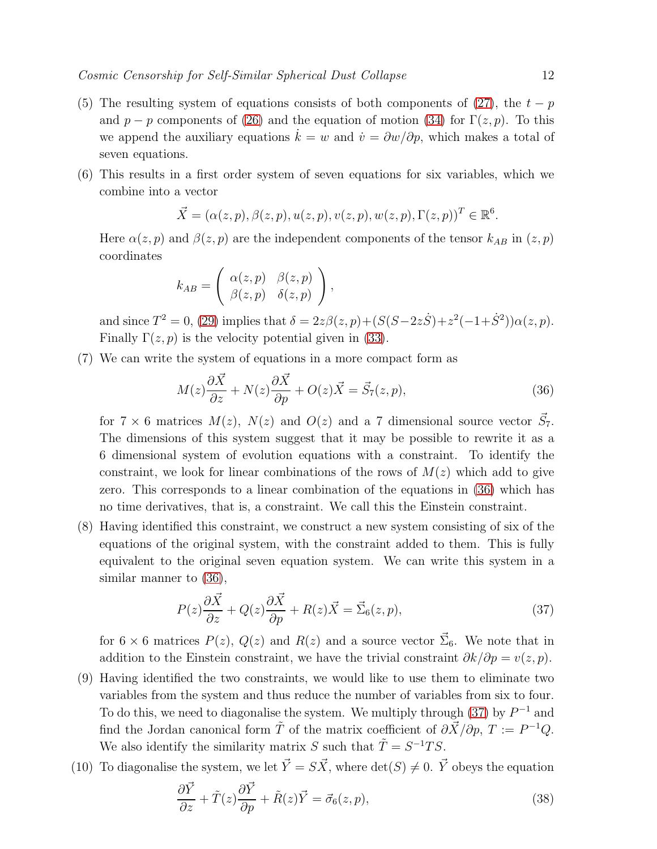- (5) The resulting system of equations consists of both components of [\(27\)](#page-8-3), the  $t p$ and  $p - p$  components of [\(26\)](#page-8-4) and the equation of motion [\(34\)](#page-9-1) for  $\Gamma(z, p)$ . To this we append the auxiliary equations  $k = w$  and  $\dot{v} = \partial w / \partial p$ , which makes a total of seven equations.
- (6) This results in a first order system of seven equations for six variables, which we combine into a vector

$$
\vec{X} = (\alpha(z, p), \beta(z, p), u(z, p), v(z, p), w(z, p), \Gamma(z, p))^T \in \mathbb{R}^6.
$$

Here  $\alpha(z, p)$  and  $\beta(z, p)$  are the independent components of the tensor  $k_{AB}$  in  $(z, p)$ coordinates

$$
k_{AB} = \begin{pmatrix} \alpha(z,p) & \beta(z,p) \\ \beta(z,p) & \delta(z,p) \end{pmatrix},
$$

and since  $T^2 = 0$ , [\(29\)](#page-8-3) implies that  $\delta = 2z\beta(z, p) + (S(S - 2z\dot{S}) + z^2(-1 + \dot{S}^2))\alpha(z, p)$ . Finally  $\Gamma(z, p)$  is the velocity potential given in [\(33\)](#page-9-2).

(7) We can write the system of equations in a more compact form as

<span id="page-11-0"></span>
$$
M(z)\frac{\partial \vec{X}}{\partial z} + N(z)\frac{\partial \vec{X}}{\partial p} + O(z)\vec{X} = \vec{S}_7(z, p),\tag{36}
$$

for  $7 \times 6$  matrices  $M(z)$ ,  $N(z)$  and  $O(z)$  and a 7 dimensional source vector  $\vec{S}_7$ . The dimensions of this system suggest that it may be possible to rewrite it as a 6 dimensional system of evolution equations with a constraint. To identify the constraint, we look for linear combinations of the rows of  $M(z)$  which add to give zero. This corresponds to a linear combination of the equations in [\(36\)](#page-11-0) which has no time derivatives, that is, a constraint. We call this the Einstein constraint.

(8) Having identified this constraint, we construct a new system consisting of six of the equations of the original system, with the constraint added to them. This is fully equivalent to the original seven equation system. We can write this system in a similar manner to [\(36\)](#page-11-0),

<span id="page-11-1"></span>
$$
P(z)\frac{\partial \vec{X}}{\partial z} + Q(z)\frac{\partial \vec{X}}{\partial p} + R(z)\vec{X} = \vec{\Sigma}_6(z, p),\tag{37}
$$

for  $6 \times 6$  matrices  $P(z)$ ,  $Q(z)$  and  $R(z)$  and a source vector  $\vec{\Sigma}_6$ . We note that in addition to the Einstein constraint, we have the trivial constraint  $\partial k/\partial p = v(z, p)$ .

- (9) Having identified the two constraints, we would like to use them to eliminate two variables from the system and thus reduce the number of variables from six to four. To do this, we need to diagonalise the system. We multiply through  $(37)$  by  $P^{-1}$  and find the Jordan canonical form  $\tilde{T}$  of the matrix coefficient of  $\partial \vec{X}/\partial p$ ,  $T := P^{-1}Q$ . We also identify the similarity matrix S such that  $\tilde{T} = S^{-1}TS$ .
- (10) To diagonalise the system, we let  $\vec{Y} = S\vec{X}$ , where  $\det(S) \neq 0$ .  $\vec{Y}$  obeys the equation

<span id="page-11-2"></span>
$$
\frac{\partial \vec{Y}}{\partial z} + \tilde{T}(z)\frac{\partial \vec{Y}}{\partial p} + \tilde{R}(z)\vec{Y} = \vec{\sigma}_6(z, p),\tag{38}
$$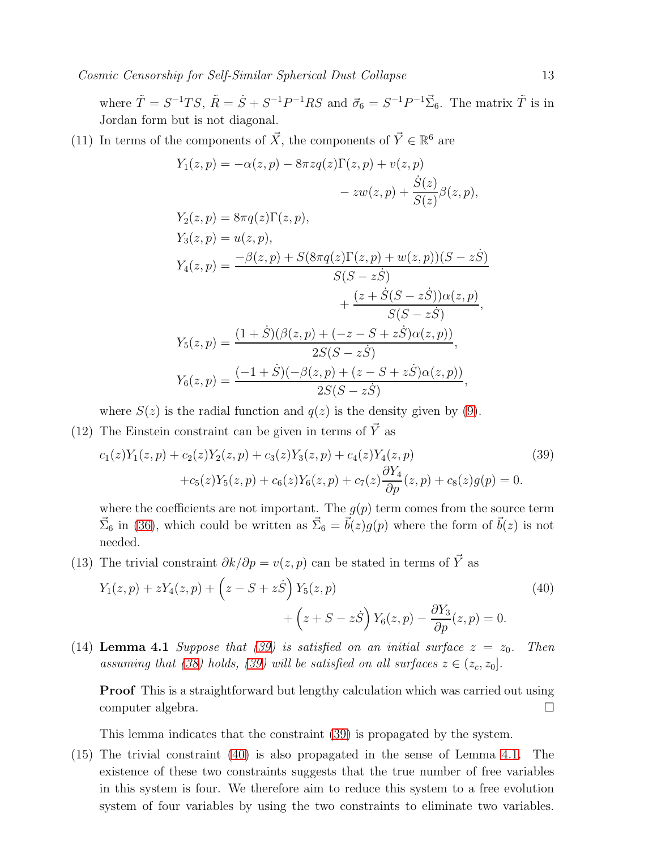where  $\tilde{T} = S^{-1}TS$ ,  $\tilde{R} = \dot{S} + S^{-1}P^{-1}RS$  and  $\vec{\sigma}_6 = S^{-1}P^{-1}\vec{\Sigma}_6$ . The matrix  $\tilde{T}$  is in Jordan form but is not diagonal.

(11) In terms of the components of  $\vec{X}$ , the components of  $\vec{Y} \in \mathbb{R}^6$  are

$$
Y_1(z,p) = -\alpha(z,p) - 8\pi z q(z) \Gamma(z,p) + v(z,p)
$$
  
\n
$$
- zw(z,p) + \frac{\dot{S}(z)}{S(z)} \beta(z,p),
$$
  
\n
$$
Y_2(z,p) = 8\pi q(z) \Gamma(z,p),
$$
  
\n
$$
Y_3(z,p) = u(z,p),
$$
  
\n
$$
Y_4(z,p) = \frac{-\beta(z,p) + S(8\pi q(z) \Gamma(z,p) + w(z,p))(S - z\dot{S})}{S(S - z\dot{S})}
$$
  
\n
$$
+ \frac{(z + \dot{S}(S - z\dot{S}))\alpha(z,p)}{\alpha(z, \dot{S})},
$$

$$
S(S - z\dot{S})
$$
  
\n
$$
Y_5(z, p) = \frac{(1 + \dot{S})(\beta(z, p) + (-z - S + z\dot{S})\alpha(z, p))}{2S(S - z\dot{S})},
$$
  
\n
$$
Y_6(z, p) = \frac{(-1 + \dot{S})(-\beta(z, p) + (z - S + z\dot{S})\alpha(z, p))}{2S(S - z\dot{S})},
$$

where  $S(z)$  is the radial function and  $q(z)$  is the density given by [\(9\)](#page-4-3).

(12) The Einstein constraint can be given in terms of  $\vec{Y}$  as

<span id="page-12-0"></span>
$$
c_1(z)Y_1(z,p) + c_2(z)Y_2(z,p) + c_3(z)Y_3(z,p) + c_4(z)Y_4(z,p)
$$
  
+
$$
c_5(z)Y_5(z,p) + c_6(z)Y_6(z,p) + c_7(z)\frac{\partial Y_4}{\partial p}(z,p) + c_8(z)g(p) = 0.
$$
 (39)

where the coefficients are not important. The  $g(p)$  term comes from the source term  $\vec{\Sigma}_6$  in [\(36\)](#page-11-0), which could be written as  $\vec{\Sigma}_6 = \vec{b}(z)g(p)$  where the form of  $\vec{b}(z)$  is not needed.

(13) The trivial constraint  $\partial k/\partial p = v(z, p)$  can be stated in terms of  $\vec{Y}$  as

<span id="page-12-1"></span>
$$
Y_1(z,p) + zY_4(z,p) + (z - S + z\dot{S})Y_5(z,p) + (z + S - z\dot{S})Y_6(z,p) - \frac{\partial Y_3}{\partial p}(z,p) = 0.
$$
\n(40)

<span id="page-12-2"></span>(14) Lemma 4.1 Suppose that [\(39\)](#page-12-0) is satisfied on an initial surface  $z = z_0$ . Then assuming that [\(38\)](#page-11-2) holds, [\(39\)](#page-12-0) will be satisfied on all surfaces  $z \in (z_c, z_0]$ .

Proof This is a straightforward but lengthy calculation which was carried out using computer algebra.

This lemma indicates that the constraint [\(39\)](#page-12-0) is propagated by the system.

(15) The trivial constraint [\(40\)](#page-12-1) is also propagated in the sense of Lemma [4.1.](#page-12-2) The existence of these two constraints suggests that the true number of free variables in this system is four. We therefore aim to reduce this system to a free evolution system of four variables by using the two constraints to eliminate two variables.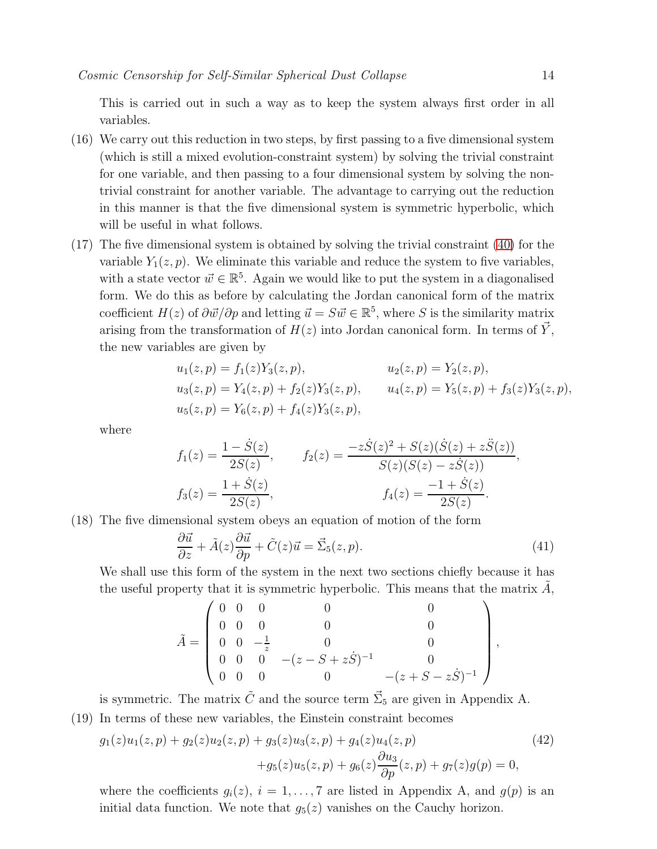This is carried out in such a way as to keep the system always first order in all variables.

- (16) We carry out this reduction in two steps, by first passing to a five dimensional system (which is still a mixed evolution-constraint system) by solving the trivial constraint for one variable, and then passing to a four dimensional system by solving the nontrivial constraint for another variable. The advantage to carrying out the reduction in this manner is that the five dimensional system is symmetric hyperbolic, which will be useful in what follows.
- (17) The five dimensional system is obtained by solving the trivial constraint [\(40\)](#page-12-1) for the variable  $Y_1(z, p)$ . We eliminate this variable and reduce the system to five variables, with a state vector  $\vec{w} \in \mathbb{R}^5$ . Again we would like to put the system in a diagonalised form. We do this as before by calculating the Jordan canonical form of the matrix coefficient  $H(z)$  of  $\partial \vec{w}/\partial p$  and letting  $\vec{u} = S \vec{w} \in \mathbb{R}^5$ , where S is the similarity matrix arising from the transformation of  $H(z)$  into Jordan canonical form. In terms of  $\vec{Y}$ , the new variables are given by

$$
u_1(z, p) = f_1(z)Y_3(z, p),
$$
  
\n
$$
u_2(z, p) = Y_2(z, p),
$$
  
\n
$$
u_3(z, p) = Y_4(z, p) + f_2(z)Y_3(z, p),
$$
  
\n
$$
u_4(z, p) = Y_5(z, p) + f_3(z)Y_3(z, p),
$$
  
\n
$$
u_5(z, p) = Y_6(z, p) + f_4(z)Y_3(z, p),
$$

where

$$
f_1(z) = \frac{1 - \dot{S}(z)}{2S(z)}, \qquad f_2(z) = \frac{-z\dot{S}(z)^2 + S(z)(\dot{S}(z) + z\ddot{S}(z))}{S(z)(S(z) - z\dot{S}(z))},
$$

$$
f_3(z) = \frac{1 + \dot{S}(z)}{2S(z)}, \qquad f_4(z) = \frac{-1 + \dot{S}(z)}{2S(z)}.
$$

(18) The five dimensional system obeys an equation of motion of the form

<span id="page-13-1"></span>
$$
\frac{\partial \vec{u}}{\partial z} + \tilde{A}(z)\frac{\partial \vec{u}}{\partial p} + \tilde{C}(z)\vec{u} = \vec{\Sigma}_5(z, p). \tag{41}
$$

We shall use this form of the system in the next two sections chiefly because it has the useful property that it is symmetric hyperbolic. This means that the matrix  $\tilde{A}$ ,

$$
\tilde{A} = \begin{pmatrix}\n0 & 0 & 0 & 0 & 0 \\
0 & 0 & 0 & 0 & 0 \\
0 & 0 & -\frac{1}{z} & 0 & 0 \\
0 & 0 & 0 & -(z - S + z\dot{S})^{-1} & 0 \\
0 & 0 & 0 & 0 & -(z + S - z\dot{S})^{-1}\n\end{pmatrix},
$$

is symmetric. The matrix  $\tilde{C}$  and the source term  $\vec{\Sigma}_5$  are given in Appendix A. (19) In terms of these new variables, the Einstein constraint becomes

<span id="page-13-0"></span>
$$
g_1(z)u_1(z,p) + g_2(z)u_2(z,p) + g_3(z)u_3(z,p) + g_4(z)u_4(z,p)
$$
  
+
$$
g_5(z)u_5(z,p) + g_6(z)\frac{\partial u_3}{\partial p}(z,p) + g_7(z)g(p) = 0,
$$
\n(42)

where the coefficients  $g_i(z)$ ,  $i = 1, \ldots, 7$  are listed in Appendix A, and  $g(p)$  is an initial data function. We note that  $q_5(z)$  vanishes on the Cauchy horizon.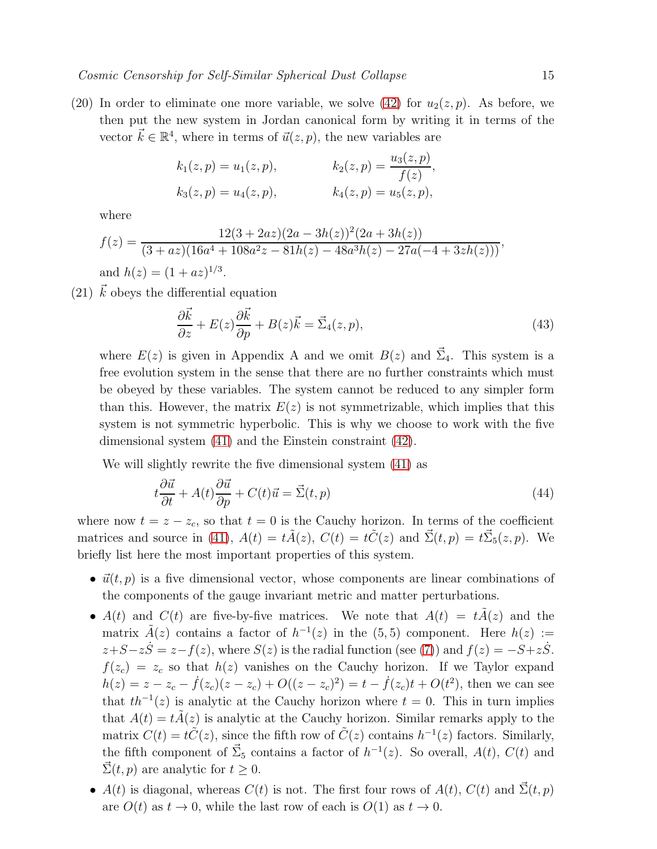(20) In order to eliminate one more variable, we solve [\(42\)](#page-13-0) for  $u_2(z, p)$ . As before, we then put the new system in Jordan canonical form by writing it in terms of the vector  $\vec{k} \in \mathbb{R}^4$ , where in terms of  $\vec{u}(z, p)$ , the new variables are

$$
k_1(z, p) = u_1(z, p),
$$
  $k_2(z, p) = \frac{u_3(z, p)}{f(z)},$   
\n $k_3(z, p) = u_4(z, p),$   $k_4(z, p) = u_5(z, p),$ 

where

$$
f(z) = \frac{12(3+2az)(2a-3h(z))^2(2a+3h(z))}{(3+az)(16a^4+108a^2z-81h(z)-48a^3h(z)-27a(-4+3zh(z)))},
$$
  
and  $h(z) = (1+az)^{1/3}$ .

(21)  $\vec{k}$  obeys the differential equation

<span id="page-14-1"></span>
$$
\frac{\partial \vec{k}}{\partial z} + E(z)\frac{\partial \vec{k}}{\partial p} + B(z)\vec{k} = \vec{\Sigma}_4(z, p),\tag{43}
$$

where  $E(z)$  is given in Appendix A and we omit  $B(z)$  and  $\vec{\Sigma}_4$ . This system is a free evolution system in the sense that there are no further constraints which must be obeyed by these variables. The system cannot be reduced to any simpler form than this. However, the matrix  $E(z)$  is not symmetrizable, which implies that this system is not symmetric hyperbolic. This is why we choose to work with the five dimensional system [\(41\)](#page-13-1) and the Einstein constraint [\(42\)](#page-13-0).

We will slightly rewrite the five dimensional system [\(41\)](#page-13-1) as

<span id="page-14-0"></span>
$$
t\frac{\partial \vec{u}}{\partial t} + A(t)\frac{\partial \vec{u}}{\partial p} + C(t)\vec{u} = \vec{\Sigma}(t, p)
$$
\n(44)

where now  $t = z - z_c$ , so that  $t = 0$  is the Cauchy horizon. In terms of the coefficient matrices and source in [\(41\)](#page-13-1),  $A(t) = t\tilde{A}(z)$ ,  $C(t) = t\tilde{C}(z)$  and  $\vec{\Sigma}(t, p) = t\vec{\Sigma}_5(z, p)$ . We briefly list here the most important properties of this system.

- $\vec{u}(t, p)$  is a five dimensional vector, whose components are linear combinations of the components of the gauge invariant metric and matter perturbations.
- $A(t)$  and  $C(t)$  are five-by-five matrices. We note that  $A(t) = tA(z)$  and the matrix  $\tilde{A}(z)$  contains a factor of  $h^{-1}(z)$  in the  $(5,5)$  component. Here  $h(z) :=$  $z+S-z\dot{S}=z-f(z)$ , where  $S(z)$  is the radial function (see [\(7\)](#page-4-2)) and  $f(z)=-S+z\dot{S}$ .  $f(z_c) = z_c$  so that  $h(z)$  vanishes on the Cauchy horizon. If we Taylor expand  $h(z) = z - z_c - \dot{f}(z_c)(z - z_c) + O((z - z_c)^2) = t - \dot{f}(z_c)t + O(t^2)$ , then we can see that  $th^{-1}(z)$  is analytic at the Cauchy horizon where  $t = 0$ . This in turn implies that  $A(t) = t\tilde{A}(z)$  is analytic at the Cauchy horizon. Similar remarks apply to the matrix  $C(t) = t\tilde{C}(z)$ , since the fifth row of  $\tilde{C}(z)$  contains  $h^{-1}(z)$  factors. Similarly, the fifth component of  $\vec{\Sigma}_5$  contains a factor of  $h^{-1}(z)$ . So overall,  $A(t)$ ,  $C(t)$  and  $\vec{\Sigma}(t, p)$  are analytic for  $t \geq 0$ .
- $A(t)$  is diagonal, whereas  $C(t)$  is not. The first four rows of  $A(t)$ ,  $C(t)$  and  $\Sigma(t, p)$ are  $O(t)$  as  $t \to 0$ , while the last row of each is  $O(1)$  as  $t \to 0$ .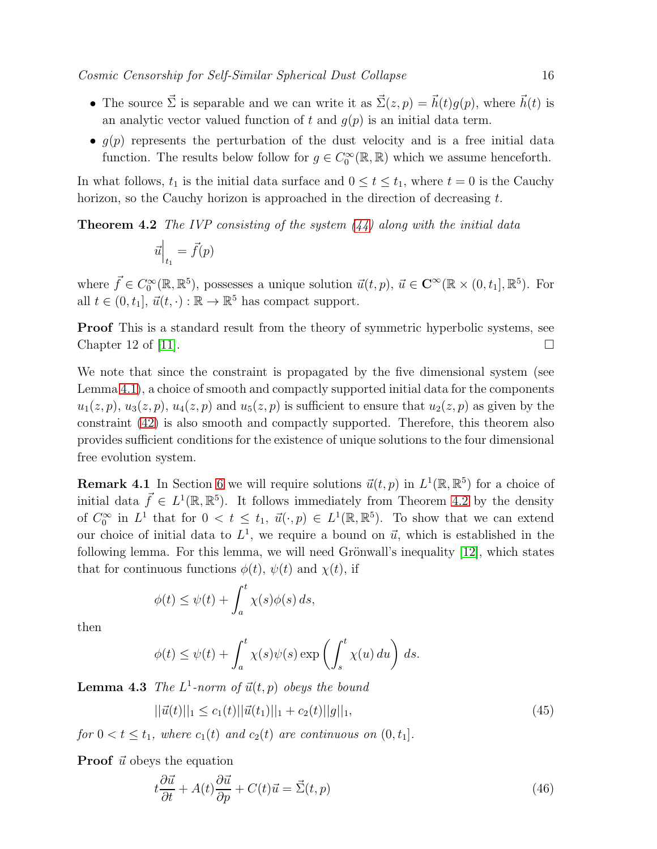- The source  $\vec{\Sigma}$  is separable and we can write it as  $\vec{\Sigma}(z, p) = \vec{h}(t)g(p)$ , where  $\vec{h}(t)$  is an analytic vector valued function of t and  $q(p)$  is an initial data term.
- $g(p)$  represents the perturbation of the dust velocity and is a free initial data function. The results below follow for  $g \in C_0^{\infty}(\mathbb{R}, \mathbb{R})$  which we assume henceforth.

<span id="page-15-0"></span>In what follows,  $t_1$  is the initial data surface and  $0 \le t \le t_1$ , where  $t = 0$  is the Cauchy horizon, so the Cauchy horizon is approached in the direction of decreasing  $t$ .

**Theorem 4.2** The IVP consisting of the system  $(44)$  along with the initial data

$$
\vec{u}\Big|_{t_1} = \vec{f}(p)
$$

where  $\vec{f} \in C_0^{\infty}(\mathbb{R}, \mathbb{R}^5)$ , possesses a unique solution  $\vec{u}(t, p)$ ,  $\vec{u} \in \mathbb{C}^{\infty}(\mathbb{R} \times (0, t_1], \mathbb{R}^5)$ . For all  $t \in (0, t_1], \, \vec{u}(t, \cdot) : \mathbb{R} \to \mathbb{R}^5$  has compact support.

Proof This is a standard result from the theory of symmetric hyperbolic systems, see Chapter 12 of [\[11\]](#page-47-10).

We note that since the constraint is propagated by the five dimensional system (see Lemma [4.1\)](#page-12-2), a choice of smooth and compactly supported initial data for the components  $u_1(z, p), u_3(z, p), u_4(z, p)$  and  $u_5(z, p)$  is sufficient to ensure that  $u_2(z, p)$  as given by the constraint [\(42\)](#page-13-0) is also smooth and compactly supported. Therefore, this theorem also provides sufficient conditions for the existence of unique solutions to the four dimensional free evolution system.

**Remark 4.1** In Section [6](#page-25-0) we will require solutions  $\vec{u}(t, p)$  in  $L^1(\mathbb{R}, \mathbb{R}^5)$  for a choice of initial data  $\vec{f} \in L^1(\mathbb{R}, \mathbb{R}^5)$ . It follows immediately from Theorem [4.2](#page-15-0) by the density of  $C_0^{\infty}$  in  $L^1$  that for  $0 < t \leq t_1$ ,  $\vec{u}(\cdot, p) \in L^1(\mathbb{R}, \mathbb{R}^5)$ . To show that we can extend our choice of initial data to  $L^1$ , we require a bound on  $\vec{u}$ , which is established in the following lemma. For this lemma, we will need Grönwall's inequality  $[12]$ , which states that for continuous functions  $\phi(t)$ ,  $\psi(t)$  and  $\chi(t)$ , if

$$
\phi(t) \le \psi(t) + \int_a^t \chi(s)\phi(s) \, ds,
$$

then

$$
\phi(t) \le \psi(t) + \int_a^t \chi(s)\psi(s) \exp\left(\int_s^t \chi(u) \, du\right) \, ds.
$$

**Lemma 4.3** The  $L^1$ -norm of  $\vec{u}(t,p)$  obeys the bound

<span id="page-15-2"></span>
$$
||\vec{u}(t)||_1 \le c_1(t)||\vec{u}(t_1)||_1 + c_2(t)||g||_1,
$$
\n(45)

for  $0 < t \leq t_1$ , where  $c_1(t)$  and  $c_2(t)$  are continuous on  $(0, t_1]$ .

**Proof**  $\vec{u}$  obeys the equation

<span id="page-15-1"></span>
$$
t\frac{\partial \vec{u}}{\partial t} + A(t)\frac{\partial \vec{u}}{\partial p} + C(t)\vec{u} = \vec{\Sigma}(t, p)
$$
\n(46)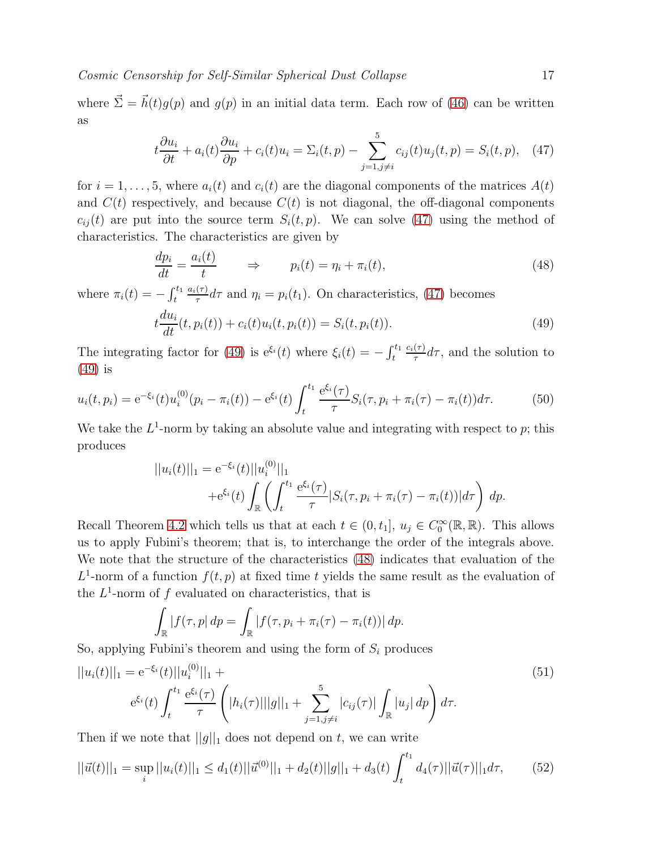where  $\vec{\Sigma} = \vec{h}(t)g(p)$  and  $g(p)$  in an initial data term. Each row of [\(46\)](#page-15-1) can be written as

<span id="page-16-0"></span>
$$
t\frac{\partial u_i}{\partial t} + a_i(t)\frac{\partial u_i}{\partial p} + c_i(t)u_i = \Sigma_i(t, p) - \sum_{j=1, j\neq i}^{5} c_{ij}(t)u_j(t, p) = S_i(t, p), \quad (47)
$$

for  $i = 1, \ldots, 5$ , where  $a_i(t)$  and  $c_i(t)$  are the diagonal components of the matrices  $A(t)$ and  $C(t)$  respectively, and because  $C(t)$  is not diagonal, the off-diagonal components  $c_{ii}(t)$  are put into the source term  $S_i(t, p)$ . We can solve [\(47\)](#page-16-0) using the method of characteristics. The characteristics are given by

<span id="page-16-2"></span>
$$
\frac{dp_i}{dt} = \frac{a_i(t)}{t} \qquad \Rightarrow \qquad p_i(t) = \eta_i + \pi_i(t), \tag{48}
$$

where  $\pi_i(t) = -\int_t^{t_1}$  $a_i(\tau)$  $\frac{d\tau}{d\tau}d\tau$  and  $\eta_i = p_i(t_1)$ . On characteristics, [\(47\)](#page-16-0) becomes

<span id="page-16-1"></span>
$$
t\frac{du_i}{dt}(t, p_i(t)) + c_i(t)u_i(t, p_i(t)) = S_i(t, p_i(t)).
$$
\n(49)

The integrating factor for [\(49\)](#page-16-1) is  $e^{\xi_i}(t)$  where  $\xi_i(t) = -\int_t^{t_1}$  $c_i(\tau)$  $\frac{(\tau)}{\tau}d\tau$ , and the solution to [\(49\)](#page-16-1) is

$$
u_i(t, p_i) = e^{-\xi_i}(t)u_i^{(0)}(p_i - \pi_i(t)) - e^{\xi_i}(t)\int_t^{t_1} \frac{e^{\xi_i}(\tau)}{\tau} S_i(\tau, p_i + \pi_i(\tau) - \pi_i(t))d\tau.
$$
 (50)

We take the  $L^1$ -norm by taking an absolute value and integrating with respect to p; this produces

<span id="page-16-3"></span>
$$
||u_i(t)||_1 = e^{-\xi_i}(t)||u_i^{(0)}||_1
$$
  
+e^{\xi\_i}(t)\int\_{\mathbb{R}}\left(\int\_t^{t\_1}\frac{e^{\xi\_i}(\tau)}{\tau}|S\_i(\tau, p\_i + \pi\_i(\tau) - \pi\_i(t))|d\tau\right) dp.

Recall Theorem [4.2](#page-15-0) which tells us that at each  $t \in (0, t_1], u_j \in C_0^{\infty}(\mathbb{R}, \mathbb{R})$ . This allows us to apply Fubini's theorem; that is, to interchange the order of the integrals above. We note that the structure of the characteristics [\(48\)](#page-16-2) indicates that evaluation of the  $L^1$ -norm of a function  $f(t, p)$  at fixed time t yields the same result as the evaluation of the  $L^1$ -norm of f evaluated on characteristics, that is

<span id="page-16-4"></span>
$$
\int_{\mathbb{R}} |f(\tau, p| dp = \int_{\mathbb{R}} |f(\tau, p_i + \pi_i(\tau) - \pi_i(t))| dp.
$$

So, applying Fubini's theorem and using the form of  $S_i$  produces

$$
||u_i(t)||_1 = e^{-\xi_i}(t)||u_i^{(0)}||_1 +
$$
  
\n
$$
e^{\xi_i}(t)\int_t^{t_1} \frac{e^{\xi_i}(\tau)}{\tau} \left( |h_i(\tau)|||g||_1 + \sum_{j=1, j\neq i}^5 |c_{ij}(\tau)| \int_{\mathbb{R}} |u_j| \, dp \right) d\tau.
$$
\n(51)

Then if we note that  $||g||_1$  does not depend on t, we can write

$$
||\vec{u}(t)||_1 = \sup_i ||u_i(t)||_1 \le d_1(t)||\vec{u}^{(0)}||_1 + d_2(t)||g||_1 + d_3(t)\int_t^{t_1} d_4(\tau)||\vec{u}(\tau)||_1 d\tau, \tag{52}
$$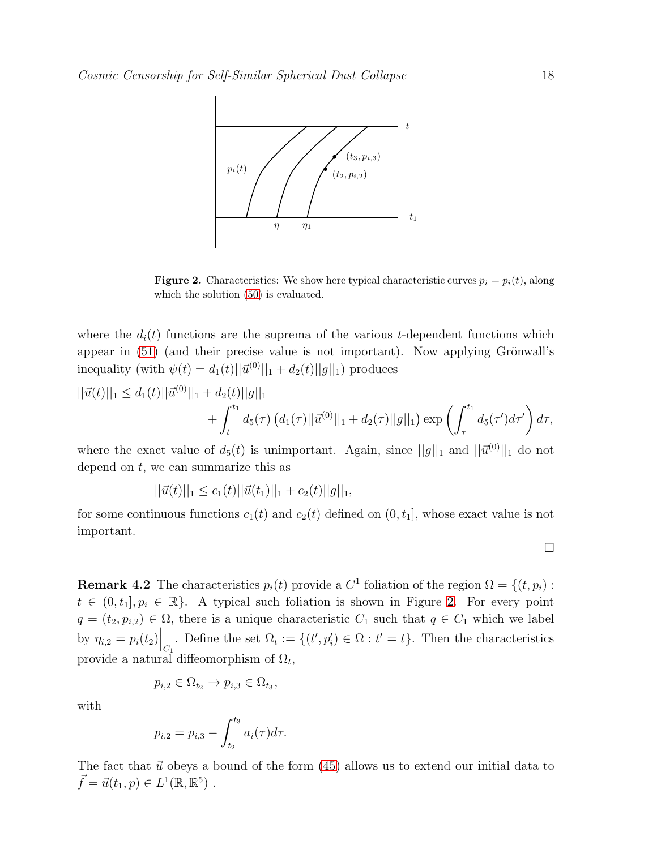

<span id="page-17-0"></span>**Figure 2.** Characteristics: We show here typical characteristic curves  $p_i = p_i(t)$ , along which the solution  $(50)$  is evaluated.

where the  $d_i(t)$  functions are the suprema of the various t-dependent functions which appear in  $(51)$  (and their precise value is not important). Now applying Grönwall's inequality (with  $\psi(t) = d_1(t) ||\vec{u}^{(0)}||_1 + d_2(t) ||g||_1$ ) produces

$$
||\vec{u}(t)||_1 \leq d_1(t)||\vec{u}^{(0)}||_1 + d_2(t)||g||_1
$$
  
+  $\int_t^{t_1} d_5(\tau) (d_1(\tau)||\vec{u}^{(0)}||_1 + d_2(\tau)||g||_1) \exp \left(\int_{\tau}^{t_1} d_5(\tau') d\tau'\right) d\tau,$ 

where the exact value of  $d_5(t)$  is unimportant. Again, since  $||g||_1$  and  $||\vec{u}^{(0)}||_1$  do not depend on  $t$ , we can summarize this as

$$
||\vec{u}(t)||_1 \leq c_1(t)||\vec{u}(t_1)||_1 + c_2(t)||g||_1,
$$

for some continuous functions  $c_1(t)$  and  $c_2(t)$  defined on  $(0, t_1]$ , whose exact value is not important.

$$
\Box
$$

**Remark 4.2** The characteristics  $p_i(t)$  provide a  $C^1$  foliation of the region  $\Omega = \{(t, p_i) :$  $t \in (0, t_1], p_i \in \mathbb{R}$ . A typical such foliation is shown in Figure [2.](#page-17-0) For every point  $q = (t_2, p_{i,2}) \in \Omega$ , there is a unique characteristic  $C_1$  such that  $q \in C_1$  which we label by  $\eta_{i,2} = p_i(t_2) \Big|_{C_1}$ . Define the set  $\Omega_t := \{(t', p'_i) \in \Omega : t' = t\}$ . Then the characteristics provide a natural diffeomorphism of  $\Omega_t$ ,

$$
p_{i,2} \in \Omega_{t_2} \to p_{i,3} \in \Omega_{t_3},
$$

with

$$
p_{i,2} = p_{i,3} - \int_{t_2}^{t_3} a_i(\tau) d\tau.
$$

<span id="page-17-1"></span>The fact that  $\vec{u}$  obeys a bound of the form [\(45\)](#page-15-2) allows us to extend our initial data to  $\vec{f} = \vec{u}(t_1, p) \in L^1(\mathbb{R}, \mathbb{R}^5)$ .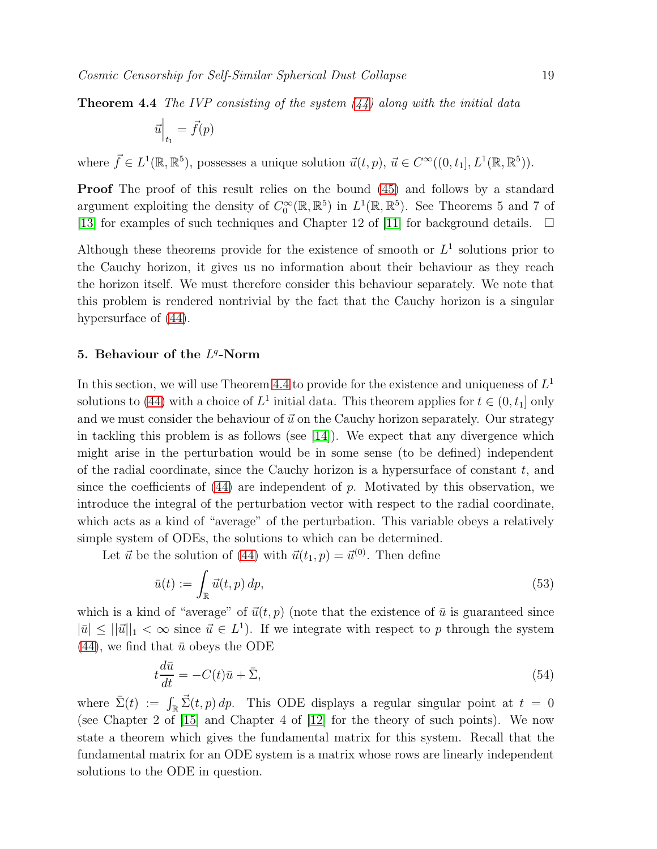**Theorem 4.4** The IVP consisting of the system  $(44)$  along with the initial data

$$
\vec{u}\Big|_{t_1} = \vec{f}(p)
$$

where  $\vec{f} \in L^1(\mathbb{R}, \mathbb{R}^5)$ , possesses a unique solution  $\vec{u}(t, p)$ ,  $\vec{u} \in C^\infty((0, t_1], L^1(\mathbb{R}, \mathbb{R}^5))$ .

Proof The proof of this result relies on the bound [\(45\)](#page-15-2) and follows by a standard argument exploiting the density of  $C_0^{\infty}(\mathbb{R}, \mathbb{R}^5)$  in  $L^1(\mathbb{R}, \mathbb{R}^5)$ . See Theorems 5 and 7 of [\[13\]](#page-47-12) for examples of such techniques and Chapter 12 of [\[11\]](#page-47-10) for background details.  $\Box$ 

Although these theorems provide for the existence of smooth or  $L^1$  solutions prior to the Cauchy horizon, it gives us no information about their behaviour as they reach the horizon itself. We must therefore consider this behaviour separately. We note that this problem is rendered nontrivial by the fact that the Cauchy horizon is a singular hypersurface of [\(44\)](#page-14-0).

# <span id="page-18-0"></span>5. Behaviour of the  $L^q$ -Norm

In this section, we will use Theorem [4.4](#page-17-1) to provide for the existence and uniqueness of  $L^1$ solutions to [\(44\)](#page-14-0) with a choice of  $L^1$  initial data. This theorem applies for  $t \in (0, t_1]$  only and we must consider the behaviour of  $\vec{u}$  on the Cauchy horizon separately. Our strategy in tackling this problem is as follows (see [\[14\]](#page-48-0)). We expect that any divergence which might arise in the perturbation would be in some sense (to be defined) independent of the radial coordinate, since the Cauchy horizon is a hypersurface of constant  $t$ , and since the coefficients of  $(44)$  are independent of p. Motivated by this observation, we introduce the integral of the perturbation vector with respect to the radial coordinate, which acts as a kind of "average" of the perturbation. This variable obeys a relatively simple system of ODEs, the solutions to which can be determined.

Let  $\vec{u}$  be the solution of [\(44\)](#page-14-0) with  $\vec{u}(t_1, p) = \vec{u}^{(0)}$ . Then define

<span id="page-18-3"></span>
$$
\bar{u}(t) := \int_{\mathbb{R}} \vec{u}(t, p) \, dp,\tag{53}
$$

which is a kind of "average" of  $\vec{u}(t, p)$  (note that the existence of  $\bar{u}$  is guaranteed since  $|\bar{u}| \le ||\vec{u}||_1 < \infty$  since  $\vec{u} \in L^1$ ). If we integrate with respect to p through the system  $(44)$ , we find that  $\bar{u}$  obeys the ODE

<span id="page-18-2"></span><span id="page-18-1"></span>
$$
t\frac{d\bar{u}}{dt} = -C(t)\bar{u} + \bar{\Sigma},\tag{54}
$$

where  $\bar{\Sigma}(t) := \int_{\mathbb{R}} \vec{\Sigma}(t, p) dp$ . This ODE displays a regular singular point at  $t = 0$ (see Chapter 2 of [\[15\]](#page-48-1) and Chapter 4 of [\[12\]](#page-47-11) for the theory of such points). We now state a theorem which gives the fundamental matrix for this system. Recall that the fundamental matrix for an ODE system is a matrix whose rows are linearly independent solutions to the ODE in question.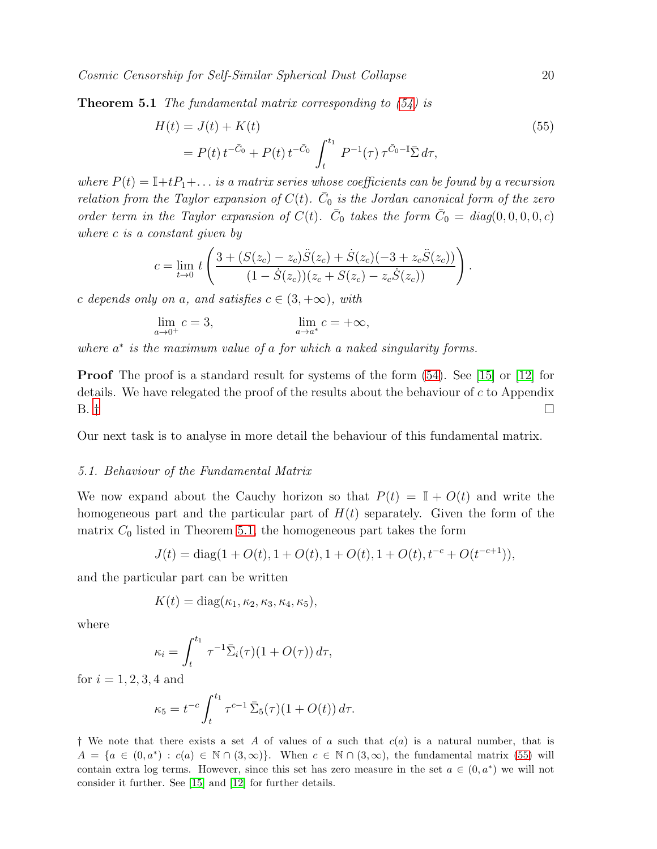**Theorem 5.1** The fundamental matrix corresponding to  $(54)$  is

<span id="page-19-1"></span>
$$
H(t) = J(t) + K(t)
$$
  
=  $P(t) t^{-\bar{C}_0} + P(t) t^{-\bar{C}_0} \int_t^{t_1} P^{-1}(\tau) \tau^{\bar{C}_0 - \mathbb{I}} \bar{\Sigma} d\tau,$  (55)

where  $P(t) = \mathbb{I} + tP_1 + \dots$  is a matrix series whose coefficients can be found by a recursion relation from the Taylor expansion of  $C(t)$ .  $\overline{C}_0$  is the Jordan canonical form of the zero order term in the Taylor expansion of  $C(t)$ .  $\bar{C}_0$  takes the form  $\bar{C}_0 = diag(0, 0, 0, 0, c)$ where c is a constant given by

$$
c = \lim_{t \to 0} t \left( \frac{3 + (S(z_c) - z_c)\ddot{S}(z_c) + \dot{S}(z_c)(-3 + z_c\ddot{S}(z_c))}{(1 - \dot{S}(z_c))(z_c + S(z_c) - z_c\dot{S}(z_c))} \right).
$$

c depends only on a, and satisfies  $c \in (3, +\infty)$ , with

$$
\lim_{a \to 0^+} c = 3, \qquad \lim_{a \to a^*} c = +\infty,
$$

where  $a^*$  is the maximum value of a for which a naked singularity forms.

**Proof** The proof is a standard result for systems of the form  $(54)$ . See [\[15\]](#page-48-1) or [\[12\]](#page-47-11) for details. We have relegated the proof of the results about the behaviour of  $c$  to Appendix B.  $\dagger$ 

Our next task is to analyse in more detail the behaviour of this fundamental matrix.

### 5.1. Behaviour of the Fundamental Matrix

We now expand about the Cauchy horizon so that  $P(t) = \mathbb{I} + O(t)$  and write the homogeneous part and the particular part of  $H(t)$  separately. Given the form of the matrix  $C_0$  listed in Theorem [5.1,](#page-18-2) the homogeneous part takes the form

$$
J(t) = diag(1 + O(t), 1 + O(t), 1 + O(t), 1 + O(t), t^{-c} + O(t^{-c+1})),
$$

and the particular part can be written

$$
K(t) = diag(\kappa_1, \kappa_2, \kappa_3, \kappa_4, \kappa_5),
$$

where

$$
\kappa_i = \int_t^{t_1} \tau^{-1} \bar{\Sigma}_i(\tau) (1 + O(\tau)) d\tau,
$$

for  $i = 1, 2, 3, 4$  and

$$
\kappa_5 = t^{-c} \int_t^{t_1} \tau^{c-1} \, \bar{\Sigma}_5(\tau) (1 + O(t)) \, d\tau.
$$

<span id="page-19-0"></span><sup>†</sup> We note that there exists a set A of values of a such that  $c(a)$  is a natural number, that is  $A = \{a \in (0, a^*) : c(a) \in \mathbb{N} \cap (3, \infty)\}\.$  When  $c \in \mathbb{N} \cap (3, \infty)$ , the fundamental matrix [\(55\)](#page-19-1) will contain extra log terms. However, since this set has zero measure in the set  $a \in (0, a^*)$  we will not consider it further. See [\[15\]](#page-48-1) and [\[12\]](#page-47-11) for further details.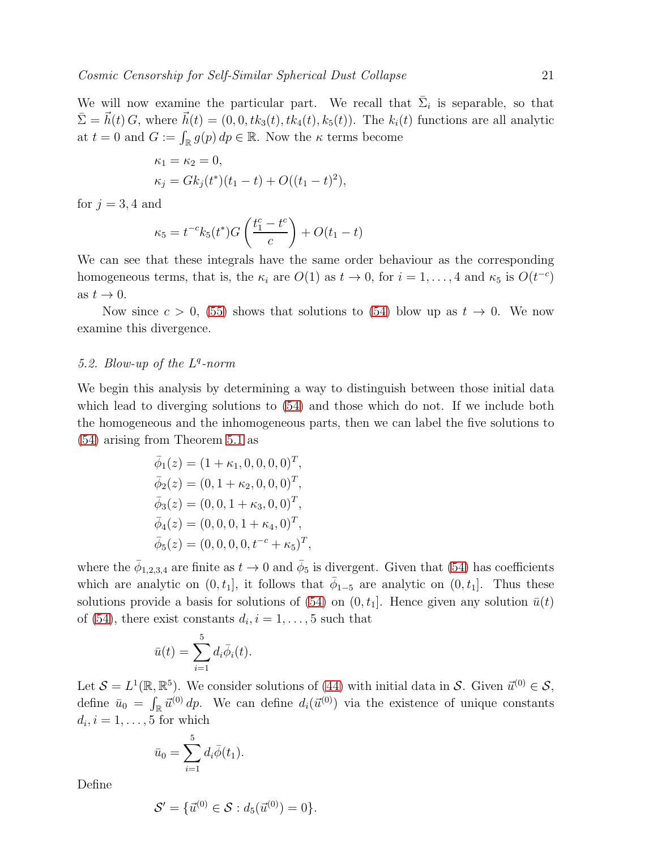We will now examine the particular part. We recall that  $\bar{\Sigma}_i$  is separable, so that  $\overline{\Sigma} = \vec{h}(t) G$ , where  $\vec{h}(t) = (0, 0, tk_3(t), tk_4(t), k_5(t))$ . The  $k_i(t)$  functions are all analytic at  $t = 0$  and  $G := \int_{\mathbb{R}} g(p) dp \in \mathbb{R}$ . Now the  $\kappa$  terms become

$$
\kappa_1 = \kappa_2 = 0,
$$
  
\n
$$
\kappa_j = Gk_j(t^*)(t_1 - t) + O((t_1 - t)^2),
$$

for  $j = 3, 4$  and

$$
\kappa_5 = t^{-c} k_5(t^*) G\left(\frac{t_1^c - t^c}{c}\right) + O(t_1 - t)
$$

We can see that these integrals have the same order behaviour as the corresponding homogeneous terms, that is, the  $\kappa_i$  are  $O(1)$  as  $t \to 0$ , for  $i = 1, ..., 4$  and  $\kappa_5$  is  $O(t^{-c})$ as  $t \to 0$ .

Now since  $c > 0$ , [\(55\)](#page-19-1) shows that solutions to [\(54\)](#page-18-1) blow up as  $t \to 0$ . We now examine this divergence.

# 5.2. Blow-up of the  $L^q$ -norm

We begin this analysis by determining a way to distinguish between those initial data which lead to diverging solutions to [\(54\)](#page-18-1) and those which do not. If we include both the homogeneous and the inhomogeneous parts, then we can label the five solutions to [\(54\)](#page-18-1) arising from Theorem [5.1](#page-18-2) as

$$
\bar{\phi}_1(z) = (1 + \kappa_1, 0, 0, 0, 0)^T, \n\bar{\phi}_2(z) = (0, 1 + \kappa_2, 0, 0, 0)^T, \n\bar{\phi}_3(z) = (0, 0, 1 + \kappa_3, 0, 0)^T, \n\bar{\phi}_4(z) = (0, 0, 0, 1 + \kappa_4, 0)^T, \n\bar{\phi}_5(z) = (0, 0, 0, 0, t^{-c} + \kappa_5)^T,
$$

where the  $\bar{\phi}_{1,2,3,4}$  are finite as  $t \to 0$  and  $\bar{\phi}_5$  is divergent. Given that [\(54\)](#page-18-1) has coefficients which are analytic on  $(0, t_1]$ , it follows that  $\overline{\phi}_{1-5}$  are analytic on  $(0, t_1]$ . Thus these solutions provide a basis for solutions of [\(54\)](#page-18-1) on  $(0, t_1]$ . Hence given any solution  $\bar{u}(t)$ of [\(54\)](#page-18-1), there exist constants  $d_i$ ,  $i = 1, \ldots, 5$  such that

$$
\bar{u}(t) = \sum_{i=1}^{5} d_i \bar{\phi}_i(t).
$$

Let  $S = L^1(\mathbb{R}, \mathbb{R}^5)$ . We consider solutions of [\(44\)](#page-14-0) with initial data in S. Given  $\vec{u}^{(0)} \in S$ , define  $\bar{u}_0 = \int_{\mathbb{R}} \vec{u}^{(0)} d p$ . We can define  $d_i(\vec{u}^{(0)})$  via the existence of unique constants  $d_i, i = 1, \ldots, 5$  for which

$$
\bar{u}_0 = \sum_{i=1}^5 d_i \bar{\phi}(t_1).
$$

Define

$$
\mathcal{S}' = \{ \vec{u}^{(0)} \in \mathcal{S} : d_5(\vec{u}^{(0)}) = 0 \}.
$$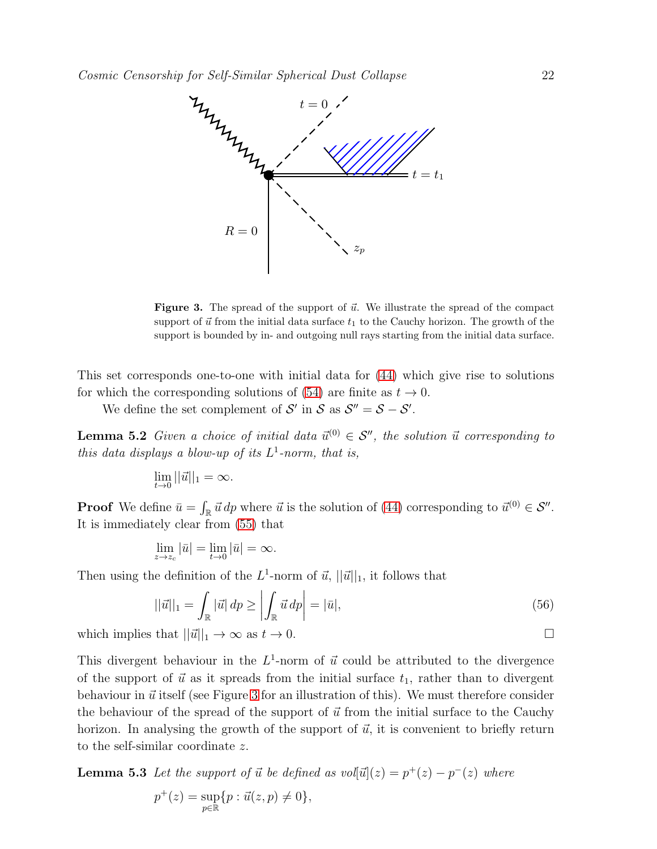

<span id="page-21-0"></span>**Figure 3.** The spread of the support of  $\vec{u}$ . We illustrate the spread of the compact support of  $\vec{u}$  from the initial data surface  $t_1$  to the Cauchy horizon. The growth of the support is bounded by in- and outgoing null rays starting from the initial data surface.

This set corresponds one-to-one with initial data for [\(44\)](#page-14-0) which give rise to solutions for which the corresponding solutions of [\(54\)](#page-18-1) are finite as  $t \to 0$ .

We define the set complement of  $\mathcal{S}'$  in  $\mathcal{S}$  as  $\mathcal{S}'' = \mathcal{S} - \mathcal{S}'$ .

**Lemma 5.2** Given a choice of initial data  $\vec{u}^{(0)} \in \mathcal{S}''$ , the solution  $\vec{u}$  corresponding to this data displays a blow-up of its  $L^1$ -norm, that is,

$$
\lim_{t \to 0} ||\vec{u}||_1 = \infty.
$$

**Proof** We define  $\bar{u} = \int_{\mathbb{R}} \vec{u} \, dp$  where  $\vec{u}$  is the solution of [\(44\)](#page-14-0) corresponding to  $\vec{u}^{(0)} \in \mathcal{S}''$ . It is immediately clear from [\(55\)](#page-19-1) that

$$
\lim_{z \to z_c} |\bar{u}| = \lim_{t \to 0} |\bar{u}| = \infty.
$$

Then using the definition of the  $L^1$ -norm of  $\vec{u}$ ,  $||\vec{u}||_1$ , it follows that

<span id="page-21-1"></span>
$$
||\vec{u}||_1 = \int_{\mathbb{R}} |\vec{u}| \, dp \ge \left| \int_{\mathbb{R}} \vec{u} \, dp \right| = |\vec{u}|,\tag{56}
$$

which implies that  $||\vec{u}||_1 \to \infty$  as  $t \to 0$ .

This divergent behaviour in the  $L^1$ -norm of  $\vec{u}$  could be attributed to the divergence of the support of  $\vec{u}$  as it spreads from the initial surface  $t_1$ , rather than to divergent behaviour in  $\vec{u}$  itself (see Figure [3](#page-21-0) for an illustration of this). We must therefore consider the behaviour of the spread of the support of  $\vec{u}$  from the initial surface to the Cauchy horizon. In analysing the growth of the support of  $\vec{u}$ , it is convenient to briefly return to the self-similar coordinate z.

<span id="page-21-2"></span>**Lemma 5.3** Let the support of  $\vec{u}$  be defined as vol $[\vec{u}](z) = p^+(z) - p^-(z)$  where  $p^+(z) = \sup$  $\sup_{p\in\mathbb{R}}\{p:\vec{u}(z,p)\neq 0\},\,$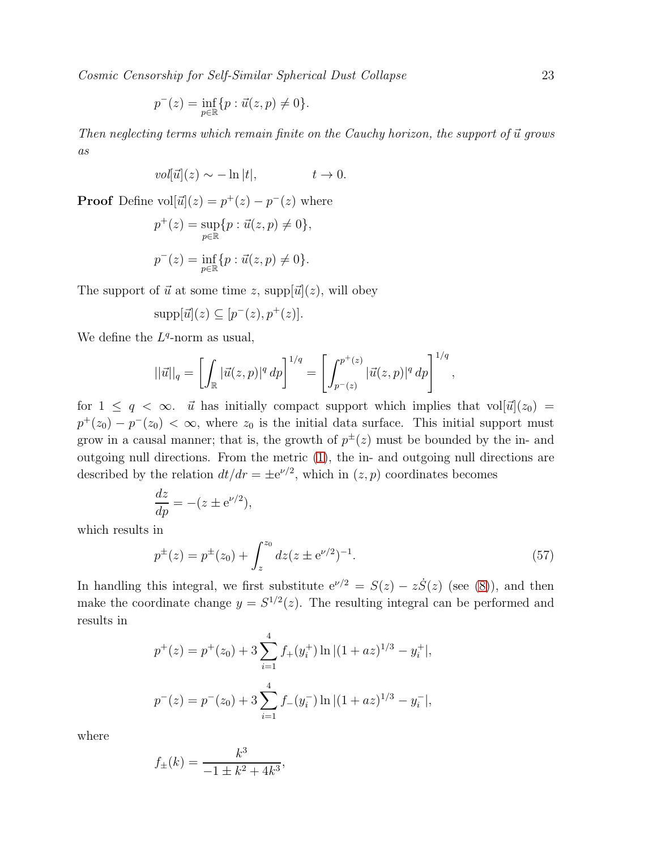$$
p^{-}(z) = \inf_{p \in \mathbb{R}} \{ p : \vec{u}(z, p) \neq 0 \}.
$$

Then neglecting terms which remain finite on the Cauchy horizon, the support of  $\vec{u}$  grows as

$$
vol[\vec{u}](z) \sim -\ln|t|, \qquad t \to 0.
$$

**Proof** Define  $vol[\vec{u}](z) = p^+(z) - p^-(z)$  where

$$
p^{+}(z) = \sup_{p \in \mathbb{R}} \{p : \vec{u}(z, p) \neq 0\},\
$$
  

$$
p^{-}(z) = \inf_{p \in \mathbb{R}} \{p : \vec{u}(z, p) \neq 0\}.
$$

The support of  $\vec{u}$  at some time z, supp $[\vec{u}](z)$ , will obey

$$
\mathrm{supp}[\vec{u}](z) \subseteq [p^-(z), p^+(z)].
$$

We define the  $L^q$ -norm as usual,

$$
||\vec{u}||_q = \left[ \int_{\mathbb{R}} |\vec{u}(z,p)|^q \, dp \right]^{1/q} = \left[ \int_{p^-(z)}^{p^+(z)} |\vec{u}(z,p)|^q \, dp \right]^{1/q},
$$

for  $1 \leq q < \infty$ .  $\vec{u}$  has initially compact support which implies that vol[ $\vec{u}$ ]( $z_0$ ) =  $p^+(z_0) - p^-(z_0) < \infty$ , where  $z_0$  is the initial data surface. This initial support must grow in a causal manner; that is, the growth of  $p^{\pm}(z)$  must be bounded by the in- and outgoing null directions. From the metric [\(1\)](#page-3-1), the in- and outgoing null directions are described by the relation  $dt/dr = \pm e^{\nu/2}$ , which in  $(z, p)$  coordinates becomes

$$
\frac{dz}{dp} = -(z \pm e^{\nu/2}),
$$

which results in

<span id="page-22-0"></span>
$$
p^{\pm}(z) = p^{\pm}(z_0) + \int_z^{z_0} dz (z \pm e^{\nu/2})^{-1}.
$$
 (57)

In handling this integral, we first substitute  $e^{\nu/2} = S(z) - z\dot{S}(z)$  (see [\(8\)](#page-4-4)), and then make the coordinate change  $y = S^{1/2}(z)$ . The resulting integral can be performed and results in

$$
p^{+}(z) = p^{+}(z_0) + 3 \sum_{i=1}^{4} f_{+}(y_i^{+}) \ln |(1 + az)^{1/3} - y_i^{+}|,
$$
  

$$
p^{-}(z) = p^{-}(z_0) + 3 \sum_{i=1}^{4} f_{-}(y_i^{-}) \ln |(1 + az)^{1/3} - y_i^{-}|,
$$

where

$$
f_{\pm}(k) = \frac{k^3}{-1 \pm k^2 + 4k^3},
$$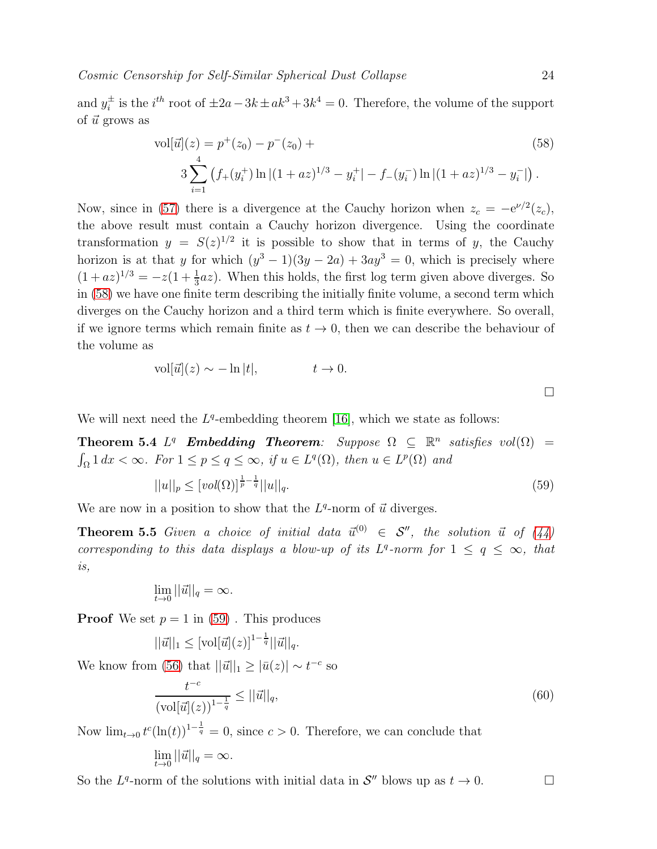and  $y_i^{\pm}$  $i<sup>±</sup>$  is the  $i<sup>th</sup>$  root of  $±2a-3k±ak<sup>3</sup>+3k<sup>4</sup> = 0$ . Therefore, the volume of the support of  $\vec{u}$  grows as

<span id="page-23-0"></span>
$$
\text{vol}[\vec{u}](z) = p^+(z_0) - p^-(z_0) + \tag{58}
$$
\n
$$
3 \sum_{i=1}^4 \left( f_+(y_i^+) \ln|(1+az)^{1/3} - y_i^+| - f_-(y_i^-) \ln|(1+az)^{1/3} - y_i^-| \right).
$$

Now, since in [\(57\)](#page-22-0) there is a divergence at the Cauchy horizon when  $z_c = -e^{\nu/2}(z_c)$ , the above result must contain a Cauchy horizon divergence. Using the coordinate transformation  $y = S(z)^{1/2}$  it is possible to show that in terms of y, the Cauchy horizon is at that y for which  $(y^3 - 1)(3y - 2a) + 3ay^3 = 0$ , which is precisely where  $(1+az)^{1/3} = -z(1+\frac{1}{3}az)$ . When this holds, the first log term given above diverges. So in [\(58\)](#page-23-0) we have one finite term describing the initially finite volume, a second term which diverges on the Cauchy horizon and a third term which is finite everywhere. So overall, if we ignore terms which remain finite as  $t \to 0$ , then we can describe the behaviour of the volume as

$$
\text{vol}[\vec{u}](z) \sim -\ln|t|, \qquad t \to 0.
$$

<span id="page-23-2"></span> $\Box$ 

We will next need the  $L^q$ -embedding theorem [\[16\]](#page-48-2), which we state as follows:

**Theorem 5.4**  $L^q$  **Embedding Theorem**: Suppose  $\Omega \subseteq \mathbb{R}^n$  satisfies  $vol(\Omega)$  =  $\int_{\Omega} 1 \, dx < \infty$ . For  $1 \le p \le q \le \infty$ , if  $u \in L^{q}(\Omega)$ , then  $u \in L^{p}(\Omega)$  and

<span id="page-23-1"></span>
$$
||u||_p \le [vol(\Omega)]^{\frac{1}{p} - \frac{1}{q}} ||u||_q.
$$
\n(59)

We are now in a position to show that the  $L^q$ -norm of  $\vec{u}$  diverges.

**Theorem 5.5** Given a choice of initial data  $\vec{u}^{(0)} \in S''$ , the solution  $\vec{u}$  of [\(44\)](#page-14-0) corresponding to this data displays a blow-up of its  $L^q$ -norm for  $1 \le q \le \infty$ , that is,

$$
\lim_{t \to 0} ||\vec{u}||_q = \infty.
$$

**Proof** We set  $p = 1$  in [\(59\)](#page-23-1). This produces

$$
||\vec{u}||_1 \leq [vol[\vec{u}](z)]^{1-\frac{1}{q}} ||\vec{u}||_q.
$$

We know from [\(56\)](#page-21-1) that  $||\vec{u}||_1 \geq |\bar{u}(z)| \sim t^{-c}$  so

$$
\frac{t^{-c}}{(\text{vol}[\vec{u}](z))^{1-\frac{1}{q}}} \le ||\vec{u}||_q,\tag{60}
$$

Now  $\lim_{t\to 0} t^c(\ln(t))^{1-\frac{1}{q}}=0$ , since  $c>0$ . Therefore, we can conclude that  $\lim_{t\to 0}||\vec{u}||_q = \infty.$ 

So the  $L^q$ -norm of the solutions with initial data in  $\mathcal{S}''$  blows up as  $t \to 0$ .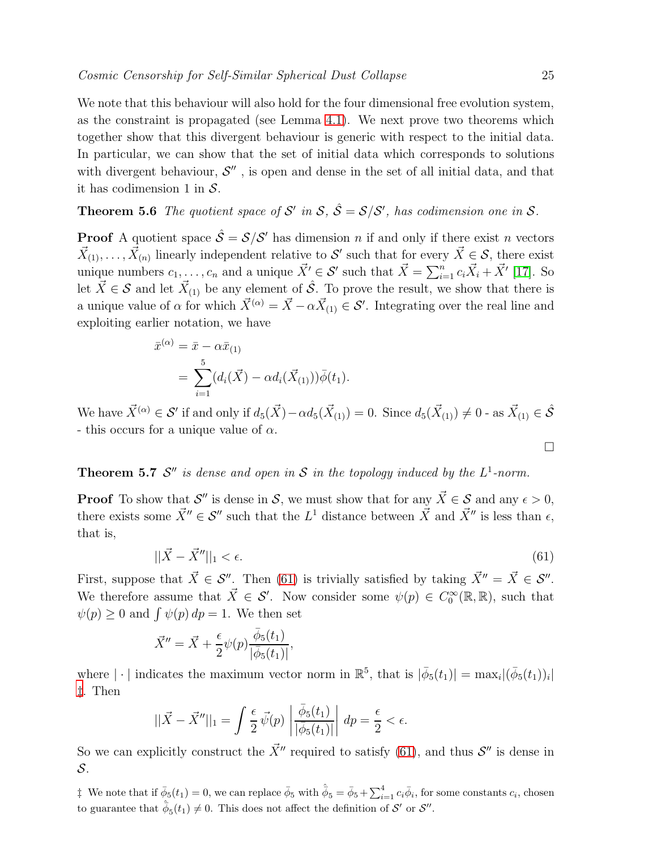We note that this behaviour will also hold for the four dimensional free evolution system, as the constraint is propagated (see Lemma [4.1\)](#page-12-2). We next prove two theorems which together show that this divergent behaviour is generic with respect to the initial data. In particular, we can show that the set of initial data which corresponds to solutions with divergent behaviour,  $\mathcal{S}''$ , is open and dense in the set of all initial data, and that it has codimension 1 in  $S$ .

# <span id="page-24-2"></span>**Theorem 5.6** The quotient space of S' in S,  $\hat{S} = S/S'$ , has codimension one in S.

**Proof** A quotient space  $\hat{\mathcal{S}} = \mathcal{S}/\mathcal{S}'$  has dimension *n* if and only if there exist *n* vectors  $\vec{X}_{(1)}, \ldots, \vec{X}_{(n)}$  linearly independent relative to S' such that for every  $\vec{X} \in S$ , there exist unique numbers  $c_1, \ldots, c_n$  and a unique  $\vec{X}' \in \mathcal{S}'$  such that  $\vec{X} = \sum_{i=1}^n c_i \vec{X}_i + \vec{X}'$  [\[17\]](#page-48-3). So let  $\vec{X} \in \mathcal{S}$  and let  $\vec{X}_{(1)}$  be any element of  $\hat{\mathcal{S}}$ . To prove the result, we show that there is a unique value of  $\alpha$  for which  $\vec{X}^{(\alpha)} = \vec{X} - \alpha \vec{X}_{(1)} \in \mathcal{S}'$ . Integrating over the real line and exploiting earlier notation, we have

$$
\bar{x}^{(\alpha)} = \bar{x} - \alpha \bar{x}_{(1)} \n= \sum_{i=1}^{5} (d_i(\vec{X}) - \alpha d_i(\vec{X}_{(1)})) \bar{\phi}(t_1).
$$

We have  $\vec{X}^{(\alpha)} \in \mathcal{S}'$  if and only if  $d_5(\vec{X}) - \alpha d_5(\vec{X}_{(1)}) = 0$ . Since  $d_5(\vec{X}_{(1)}) \neq 0$  - as  $\vec{X}_{(1)} \in \hat{\mathcal{S}}$ - this occurs for a unique value of  $\alpha$ .

# <span id="page-24-3"></span>**Theorem 5.7**  $\mathcal{S}''$  is dense and open in  $\mathcal{S}$  in the topology induced by the  $L^1$ -norm.

**Proof** To show that  $\mathcal{S}''$  is dense in  $\mathcal{S}$ , we must show that for any  $\vec{X} \in \mathcal{S}$  and any  $\epsilon > 0$ , there exists some  $\vec{X}'' \in \mathcal{S}''$  such that the  $L^1$  distance between  $\vec{X}$  and  $\vec{X}''$  is less than  $\epsilon$ , that is,

<span id="page-24-0"></span>
$$
||\vec{X} - \vec{X}''||_1 < \epsilon. \tag{61}
$$

First, suppose that  $\vec{X} \in \mathcal{S}''$ . Then [\(61\)](#page-24-0) is trivially satisfied by taking  $\vec{X}'' = \vec{X} \in \mathcal{S}''$ . We therefore assume that  $\vec{X} \in \mathcal{S}'$ . Now consider some  $\psi(p) \in C_0^{\infty}(\mathbb{R}, \mathbb{R})$ , such that  $\psi(p) \geq 0$  and  $\int \psi(p) dp = 1$ . We then set

$$
\vec{X}'' = \vec{X} + \frac{\epsilon}{2} \psi(p) \frac{\bar{\phi}_5(t_1)}{|\bar{\phi}_5(t_1)|},
$$

where  $|\cdot|$  indicates the maximum vector norm in  $\mathbb{R}^5$ , that is  $|\bar{\phi}_5(t_1)| = \max_i |(\bar{\phi}_5(t_1))_i|$ [‡](#page-24-1). Then

$$
||\vec{X} - \vec{X}''||_1 = \int \frac{\epsilon}{2} \vec{\psi}(p) \left| \frac{\bar{\phi}_5(t_1)}{|\bar{\phi}_5(t_1)|} \right| dp = \frac{\epsilon}{2} < \epsilon.
$$

So we can explicitly construct the  $\vec{X}$ <sup>"</sup> required to satisfy [\(61\)](#page-24-0), and thus  $\mathcal{S}$ " is dense in S.

<span id="page-24-1"></span><sup> $\dagger$ </sup> We note that if  $\bar{\phi}_5(t_1) = 0$ , we can replace  $\bar{\phi}_5$  with  $\hat{\bar{\phi}}_5 = \bar{\phi}_5 + \sum_{i=1}^4 c_i \bar{\phi}_i$ , for some constants  $c_i$ , chosen to guarantee that  $\hat{\phi}_5(t_1) \neq 0$ . This does not affect the definition of  $\mathcal{S}'$  or  $\mathcal{S}''$ .

 $\Box$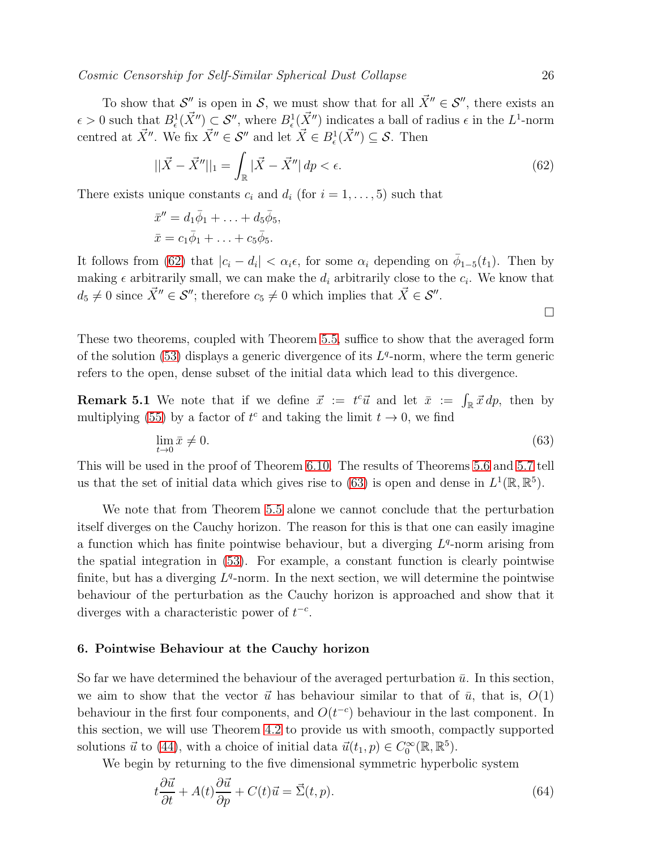$\Box$ 

To show that  $\mathcal{S}''$  is open in  $\mathcal{S}$ , we must show that for all  $\vec{X}'' \in \mathcal{S}''$ , there exists an  $\epsilon > 0$  such that  $B_{\epsilon}^1(\vec{X}'') \subset S''$ , where  $B_{\epsilon}^1(\vec{X}'')$  indicates a ball of radius  $\epsilon$  in the  $L^1$ -norm centred at  $\vec{X}''$ . We fix  $\vec{X}'' \in \mathcal{S}''$  and let  $\vec{X} \in B_{\epsilon}^1(\vec{X}''') \subseteq \mathcal{S}$ . Then

<span id="page-25-1"></span>
$$
||\vec{X} - \vec{X}''||_1 = \int_{\mathbb{R}} |\vec{X} - \vec{X}''| \, dp < \epsilon. \tag{62}
$$

There exists unique constants  $c_i$  and  $d_i$  (for  $i = 1, \ldots, 5$ ) such that

$$
\bar{x}'' = d_1\bar{\phi}_1 + \ldots + d_5\bar{\phi}_5,
$$
  

$$
\bar{x} = c_1\bar{\phi}_1 + \ldots + c_5\bar{\phi}_5.
$$

It follows from [\(62\)](#page-25-1) that  $|c_i - d_i| < \alpha_i \epsilon$ , for some  $\alpha_i$  depending on  $\bar{\phi}_{1-5}(t_1)$ . Then by making  $\epsilon$  arbitrarily small, we can make the  $d_i$  arbitrarily close to the  $c_i$ . We know that  $d_5 \neq 0$  since  $\vec{X}'' \in \mathcal{S}''$ ; therefore  $c_5 \neq 0$  which implies that  $\vec{X} \in \mathcal{S}''$ .

These two theorems, coupled with Theorem [5.5,](#page-23-2) suffice to show that the averaged form of the solution  $(53)$  displays a generic divergence of its  $L<sup>q</sup>$ -norm, where the term generic refers to the open, dense subset of the initial data which lead to this divergence.

<span id="page-25-4"></span>**Remark 5.1** We note that if we define  $\vec{x} := t^c \vec{u}$  and let  $\bar{x} := \int_{\mathbb{R}} \vec{x} \, dp$ , then by multiplying [\(55\)](#page-19-1) by a factor of  $t^c$  and taking the limit  $t \to 0$ , we find

<span id="page-25-2"></span>
$$
\lim_{t \to 0} \bar{x} \neq 0. \tag{63}
$$

This will be used in the proof of Theorem [6.10.](#page-39-0) The results of Theorems [5.6](#page-24-2) and [5.7](#page-24-3) tell us that the set of initial data which gives rise to [\(63\)](#page-25-2) is open and dense in  $L^1(\mathbb{R}, \mathbb{R}^5)$ .

We note that from Theorem [5.5](#page-23-2) alone we cannot conclude that the perturbation itself diverges on the Cauchy horizon. The reason for this is that one can easily imagine a function which has finite pointwise behaviour, but a diverging  $L<sup>q</sup>$ -norm arising from the spatial integration in [\(53\)](#page-18-3). For example, a constant function is clearly pointwise finite, but has a diverging  $L<sup>q</sup>$ -norm. In the next section, we will determine the pointwise behaviour of the perturbation as the Cauchy horizon is approached and show that it diverges with a characteristic power of  $t^{-c}$ .

## <span id="page-25-0"></span>6. Pointwise Behaviour at the Cauchy horizon

So far we have determined the behaviour of the averaged perturbation  $\bar{u}$ . In this section, we aim to show that the vector  $\vec{u}$  has behaviour similar to that of  $\bar{u}$ , that is,  $O(1)$ behaviour in the first four components, and  $O(t^{-c})$  behaviour in the last component. In this section, we will use Theorem [4.2](#page-15-0) to provide us with smooth, compactly supported solutions  $\vec{u}$  to [\(44\)](#page-14-0), with a choice of initial data  $\vec{u}(t_1, p) \in C_0^{\infty}(\mathbb{R}, \mathbb{R}^5)$ .

We begin by returning to the five dimensional symmetric hyperbolic system

<span id="page-25-3"></span>
$$
t\frac{\partial \vec{u}}{\partial t} + A(t)\frac{\partial \vec{u}}{\partial p} + C(t)\vec{u} = \vec{\Sigma}(t, p). \tag{64}
$$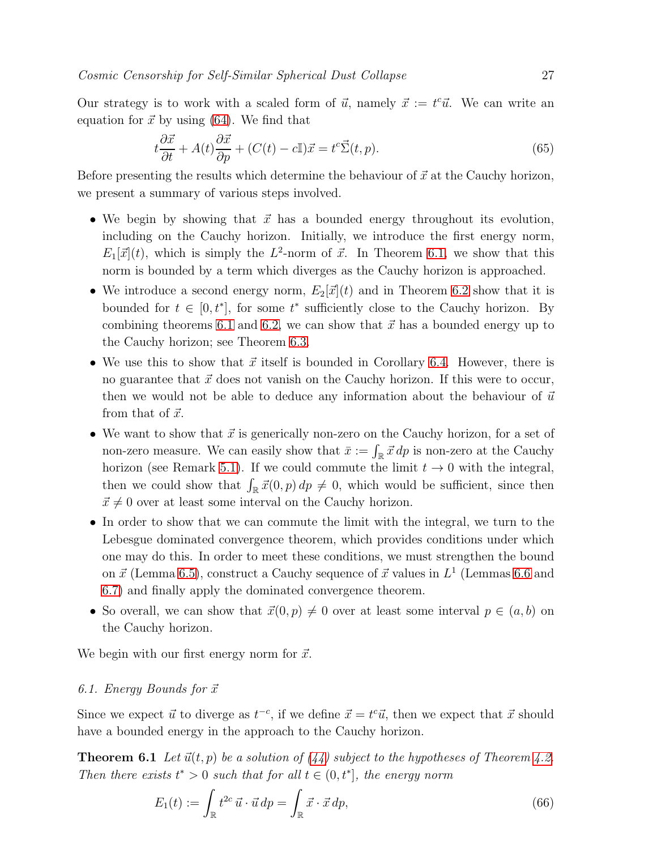Our strategy is to work with a scaled form of  $\vec{u}$ , namely  $\vec{x} := t^c \vec{u}$ . We can write an equation for  $\vec{x}$  by using [\(64\)](#page-25-3). We find that

<span id="page-26-2"></span>
$$
t\frac{\partial \vec{x}}{\partial t} + A(t)\frac{\partial \vec{x}}{\partial p} + (C(t) - c\mathbb{I})\vec{x} = t^c \vec{\Sigma}(t, p). \tag{65}
$$

Before presenting the results which determine the behaviour of  $\vec{x}$  at the Cauchy horizon, we present a summary of various steps involved.

- We begin by showing that  $\vec{x}$  has a bounded energy throughout its evolution, including on the Cauchy horizon. Initially, we introduce the first energy norm,  $E_1[\vec{x}](t)$ , which is simply the  $L^2$ -norm of  $\vec{x}$ . In Theorem [6.1,](#page-26-0) we show that this norm is bounded by a term which diverges as the Cauchy horizon is approached.
- We introduce a second energy norm,  $E_2[\vec{x}](t)$  and in Theorem [6.2](#page-28-0) show that it is bounded for  $t \in [0, t^*]$ , for some  $t^*$  sufficiently close to the Cauchy horizon. By combining theorems [6.1](#page-26-0) and [6.2,](#page-28-0) we can show that  $\vec{x}$  has a bounded energy up to the Cauchy horizon; see Theorem [6.3.](#page-31-0)
- We use this to show that  $\vec{x}$  itself is bounded in Corollary [6.4.](#page-31-1) However, there is no guarantee that  $\vec{x}$  does not vanish on the Cauchy horizon. If this were to occur, then we would not be able to deduce any information about the behaviour of  $\vec{u}$ from that of  $\vec{x}$ .
- We want to show that  $\vec{x}$  is generically non-zero on the Cauchy horizon, for a set of non-zero measure. We can easily show that  $\bar{x} := \int_{\mathbb{R}} \vec{x} \, dp$  is non-zero at the Cauchy horizon (see Remark [5.1\)](#page-25-4). If we could commute the limit  $t \to 0$  with the integral, then we could show that  $\int_{\mathbb{R}} \vec{x}(0, p) dp \neq 0$ , which would be sufficient, since then  $\vec{x} \neq 0$  over at least some interval on the Cauchy horizon.
- In order to show that we can commute the limit with the integral, we turn to the Lebesgue dominated convergence theorem, which provides conditions under which one may do this. In order to meet these conditions, we must strengthen the bound on  $\vec{x}$  (Lemma [6.5\)](#page-32-0), construct a Cauchy sequence of  $\vec{x}$  values in  $L^1$  (Lemmas [6.6](#page-35-0) and [6.7\)](#page-36-0) and finally apply the dominated convergence theorem.
- So overall, we can show that  $\vec{x}(0, p) \neq 0$  over at least some interval  $p \in (a, b)$  on the Cauchy horizon.

<span id="page-26-3"></span>We begin with our first energy norm for  $\vec{x}$ .

# 6.1. Energy Bounds for  $\vec{x}$

<span id="page-26-0"></span>Since we expect  $\vec{u}$  to diverge as  $t^{-c}$ , if we define  $\vec{x} = t^c \vec{u}$ , then we expect that  $\vec{x}$  should have a bounded energy in the approach to the Cauchy horizon.

**Theorem 6.1** Let  $\vec{u}(t, p)$  be a solution of [\(44\)](#page-14-0) subject to the hypotheses of Theorem [4.2.](#page-15-0) Then there exists  $t^* > 0$  such that for all  $t \in (0, t^*]$ , the energy norm

<span id="page-26-1"></span>
$$
E_1(t) := \int_{\mathbb{R}} t^{2c} \, \vec{u} \cdot \vec{u} \, dp = \int_{\mathbb{R}} \vec{x} \cdot \vec{x} \, dp,\tag{66}
$$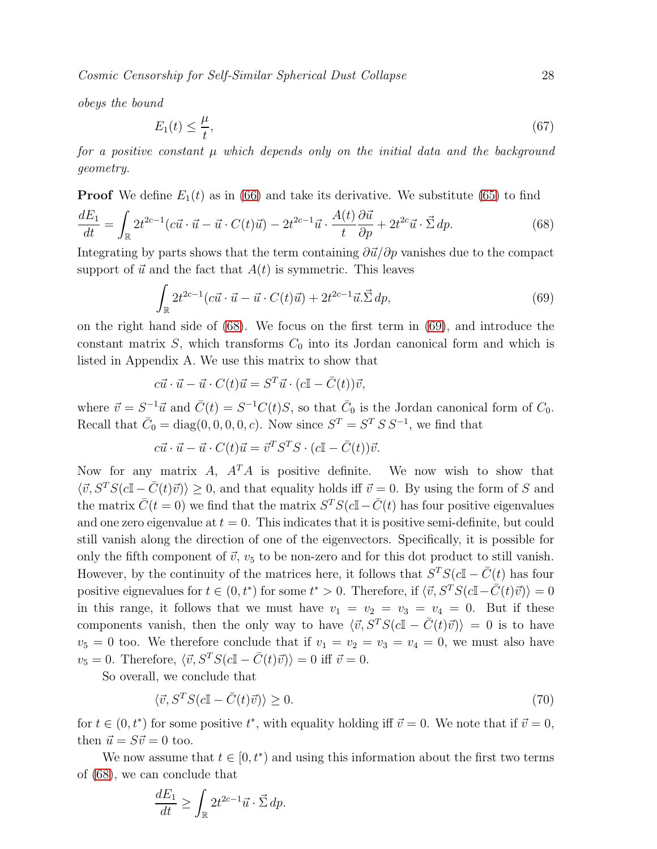obeys the bound

$$
E_1(t) \le \frac{\mu}{t},\tag{67}
$$

for a positive constant  $\mu$  which depends only on the initial data and the background geometry.

**Proof** We define  $E_1(t)$  as in [\(66\)](#page-26-1) and take its derivative. We substitute [\(65\)](#page-26-2) to find

$$
\frac{dE_1}{dt} = \int_{\mathbb{R}} 2t^{2c-1} (c\vec{u} \cdot \vec{u} - \vec{u} \cdot C(t)\vec{u}) - 2t^{2c-1}\vec{u} \cdot \frac{A(t)}{t} \frac{\partial \vec{u}}{\partial p} + 2t^{2c} \vec{u} \cdot \vec{\Sigma} dp.
$$
 (68)

Integrating by parts shows that the term containing  $\frac{\partial \vec{u}}{\partial p}$  vanishes due to the compact support of  $\vec{u}$  and the fact that  $A(t)$  is symmetric. This leaves

<span id="page-27-1"></span><span id="page-27-0"></span>
$$
\int_{\mathbb{R}} 2t^{2c-1}(c\vec{u}\cdot\vec{u}-\vec{u}\cdot C(t)\vec{u}) + 2t^{2c-1}\vec{u}\cdot\vec{\Sigma}\,dp,\tag{69}
$$

on the right hand side of [\(68\)](#page-27-0). We focus on the first term in [\(69\)](#page-27-1), and introduce the constant matrix  $S$ , which transforms  $C_0$  into its Jordan canonical form and which is listed in Appendix A. We use this matrix to show that

$$
c\vec{u} \cdot \vec{u} - \vec{u} \cdot C(t)\vec{u} = S^T \vec{u} \cdot (c\mathbb{I} - \bar{C}(t))\vec{v},
$$

where  $\vec{v} = S^{-1}\vec{u}$  and  $\vec{C}(t) = S^{-1}C(t)S$ , so that  $\vec{C}_0$  is the Jordan canonical form of  $C_0$ . Recall that  $\bar{C}_0 = \text{diag}(0, 0, 0, 0, c)$ . Now since  $S^T = S^T S S^{-1}$ , we find that

$$
c\vec{u} \cdot \vec{u} - \vec{u} \cdot C(t)\vec{u} = \vec{v}^T S^T S \cdot (c\mathbb{I} - \bar{C}(t))\vec{v}.
$$

Now for any matrix A,  $A<sup>T</sup>A$  is positive definite. We now wish to show that  $\langle \vec{v}, S^T S(c \mathbb{I} - \bar{C}(t)\vec{v}) \rangle \geq 0$ , and that equality holds iff  $\vec{v} = 0$ . By using the form of S and the matrix  $\bar{C}(t = 0)$  we find that the matrix  $S^{T}S(c\mathbb{I} - \bar{C}(t))$  has four positive eigenvalues and one zero eigenvalue at  $t = 0$ . This indicates that it is positive semi-definite, but could still vanish along the direction of one of the eigenvectors. Specifically, it is possible for only the fifth component of  $\vec{v}$ ,  $v_5$  to be non-zero and for this dot product to still vanish. However, by the continuity of the matrices here, it follows that  $S<sup>T</sup>S(c\mathbb{I} - \bar{C}(t))$  has four positive eignevalues for  $t \in (0, t^*)$  for some  $t^* > 0$ . Therefore, if  $\langle \vec{v}, S^T S(c\mathbb{I} - \bar{C}(t)\vec{v}) \rangle = 0$ in this range, it follows that we must have  $v_1 = v_2 = v_3 = v_4 = 0$ . But if these components vanish, then the only way to have  $\langle \vec{v}, S^T S(cI - \bar{C}(t)\vec{v}) \rangle = 0$  is to have  $v_5 = 0$  too. We therefore conclude that if  $v_1 = v_2 = v_3 = v_4 = 0$ , we must also have  $v_5 = 0$ . Therefore,  $\langle \vec{v}, S^T S(c\mathbb{I} - \bar{C}(t)\vec{v}) \rangle = 0$  iff  $\vec{v} = 0$ .

So overall, we conclude that

$$
\langle \vec{v}, S^T S (c \mathbb{I} - \bar{C}(t)\vec{v}) \rangle \ge 0. \tag{70}
$$

for  $t \in (0, t^*)$  for some positive  $t^*$ , with equality holding iff  $\vec{v} = 0$ . We note that if  $\vec{v} = 0$ , then  $\vec{u} = S\vec{v} = 0$  too.

We now assume that  $t \in [0, t^*)$  and using this information about the first two terms of [\(68\)](#page-27-0), we can conclude that

$$
\frac{dE_1}{dt} \ge \int_{\mathbb{R}} 2t^{2c-1}\vec{u} \cdot \vec{\Sigma} \, dp.
$$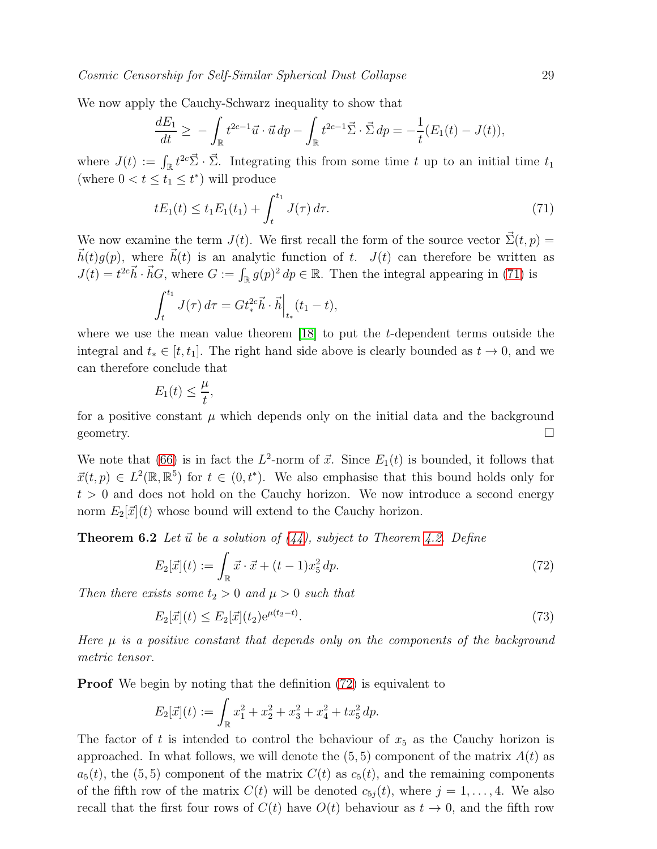We now apply the Cauchy-Schwarz inequality to show that

$$
\frac{dE_1}{dt} \geq -\int_{\mathbb{R}} t^{2c-1} \vec{u} \cdot \vec{u} \, dp - \int_{\mathbb{R}} t^{2c-1} \vec{\Sigma} \cdot \vec{\Sigma} \, dp = -\frac{1}{t} (E_1(t) - J(t)),
$$

where  $J(t) := \int_{\mathbb{R}} t^{2c} \vec{\Sigma} \cdot \vec{\Sigma}$ . Integrating this from some time t up to an initial time  $t_1$ (where  $0 < t \leq t_1 \leq t^*$ ) will produce

<span id="page-28-1"></span>
$$
tE_1(t) \le t_1E_1(t_1) + \int_t^{t_1} J(\tau) d\tau.
$$
 (71)

We now examine the term  $J(t)$ . We first recall the form of the source vector  $\vec{\Sigma}(t, p) =$  $\vec{h}(t)g(p)$ , where  $\vec{h}(t)$  is an analytic function of t.  $J(t)$  can therefore be written as  $J(t) = t^{2c} \vec{h} \cdot \vec{h} G$ , where  $G := \int_{\mathbb{R}} g(p)^2 dp \in \mathbb{R}$ . Then the integral appearing in [\(71\)](#page-28-1) is

$$
\int_{t}^{t_1} J(\tau) d\tau = G t_*^{2c} \vec{h} \cdot \vec{h} \Big|_{t_*} (t_1 - t),
$$

where we use the mean value theorem [\[18\]](#page-48-4) to put the t-dependent terms outside the integral and  $t_* \in [t, t_1]$ . The right hand side above is clearly bounded as  $t \to 0$ , and we can therefore conclude that

$$
E_1(t) \le \frac{\mu}{t},
$$

for a positive constant  $\mu$  which depends only on the initial data and the background geometry.  $\Box$ 

We note that [\(66\)](#page-26-1) is in fact the  $L^2$ -norm of  $\vec{x}$ . Since  $E_1(t)$  is bounded, it follows that  $\vec{x}(t, p) \in L^2(\mathbb{R}, \mathbb{R}^5)$  for  $t \in (0, t^*)$ . We also emphasise that this bound holds only for  $t > 0$  and does not hold on the Cauchy horizon. We now introduce a second energy norm  $E_2[\vec{x}](t)$  whose bound will extend to the Cauchy horizon.

<span id="page-28-0"></span>**Theorem 6.2** Let  $\vec{u}$  be a solution of [\(44\)](#page-14-0), subject to Theorem [4.2.](#page-15-0) Define

<span id="page-28-2"></span>
$$
E_2[\vec{x}](t) := \int_{\mathbb{R}} \vec{x} \cdot \vec{x} + (t - 1)x_5^2 dp.
$$
 (72)

Then there exists some  $t_2 > 0$  and  $\mu > 0$  such that

<span id="page-28-3"></span>
$$
E_2[\vec{x}](t) \le E_2[\vec{x}](t_2) e^{\mu(t_2 - t)}.
$$
\n(73)

Here  $\mu$  is a positive constant that depends only on the components of the background metric tensor.

**Proof** We begin by noting that the definition  $(72)$  is equivalent to

$$
E_2[\vec{x}](t) := \int_{\mathbb{R}} x_1^2 + x_2^2 + x_3^2 + x_4^2 + tx_5^2 dp.
$$

The factor of t is intended to control the behaviour of  $x<sub>5</sub>$  as the Cauchy horizon is approached. In what follows, we will denote the  $(5, 5)$  component of the matrix  $A(t)$  as  $a_5(t)$ , the (5,5) component of the matrix  $C(t)$  as  $c_5(t)$ , and the remaining components of the fifth row of the matrix  $C(t)$  will be denoted  $c_{5j}(t)$ , where  $j = 1, \ldots, 4$ . We also recall that the first four rows of  $C(t)$  have  $O(t)$  behaviour as  $t \to 0$ , and the fifth row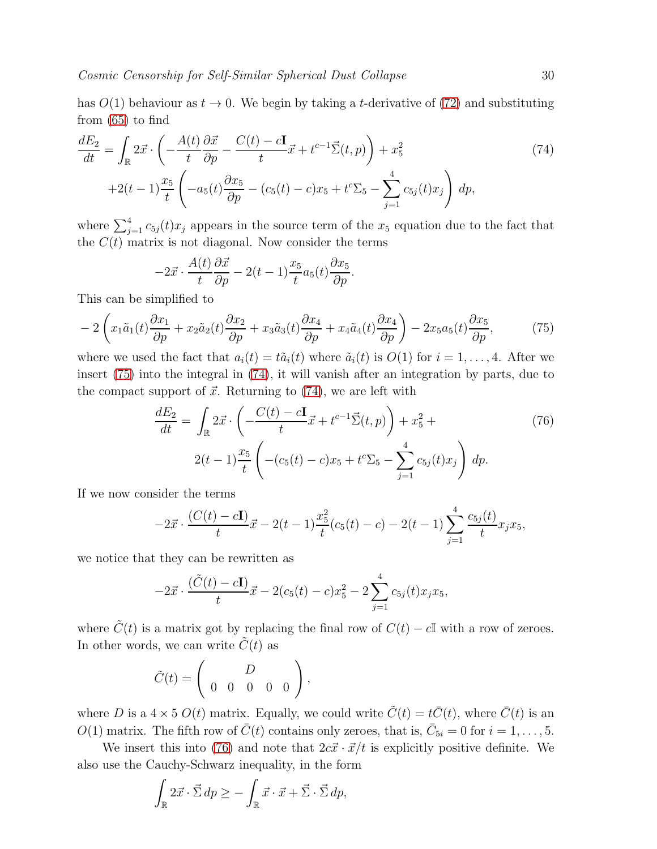has  $O(1)$  behaviour as  $t \to 0$ . We begin by taking a t-derivative of [\(72\)](#page-28-2) and substituting from [\(65\)](#page-26-2) to find

<span id="page-29-1"></span>
$$
\frac{dE_2}{dt} = \int_{\mathbb{R}} 2\vec{x} \cdot \left( -\frac{A(t)}{t} \frac{\partial \vec{x}}{\partial p} - \frac{C(t) - c\mathbf{I}}{t} \vec{x} + t^{c-1} \vec{\Sigma}(t, p) \right) + x_5^2
$$
\n
$$
+2(t-1)\frac{x_5}{t} \left( -a_5(t) \frac{\partial x_5}{\partial p} - (c_5(t) - c)x_5 + t^c \Sigma_5 - \sum_{j=1}^4 c_{5j}(t)x_j \right) dp,
$$
\n(74)

where  $\sum_{j=1}^{4} c_{5j}(t)x_j$  appears in the source term of the  $x_5$  equation due to the fact that the  $C(t)$  matrix is not diagonal. Now consider the terms

<span id="page-29-0"></span>
$$
-2\vec{x} \cdot \frac{A(t)}{t} \frac{\partial \vec{x}}{\partial p} - 2(t-1) \frac{x_5}{t} a_5(t) \frac{\partial x_5}{\partial p}.
$$

This can be simplified to

$$
-2\left(x_1\tilde{a}_1(t)\frac{\partial x_1}{\partial p} + x_2\tilde{a}_2(t)\frac{\partial x_2}{\partial p} + x_3\tilde{a}_3(t)\frac{\partial x_4}{\partial p} + x_4\tilde{a}_4(t)\frac{\partial x_4}{\partial p}\right) - 2x_5a_5(t)\frac{\partial x_5}{\partial p},\tag{75}
$$

where we used the fact that  $a_i(t) = t\tilde{a}_i(t)$  where  $\tilde{a}_i(t)$  is  $O(1)$  for  $i = 1, \ldots, 4$ . After we insert [\(75\)](#page-29-0) into the integral in [\(74\)](#page-29-1), it will vanish after an integration by parts, due to the compact support of  $\vec{x}$ . Returning to [\(74\)](#page-29-1), we are left with

<span id="page-29-2"></span>
$$
\frac{dE_2}{dt} = \int_{\mathbb{R}} 2\vec{x} \cdot \left( -\frac{C(t) - c\mathbf{I}}{t} \vec{x} + t^{c-1} \vec{\Sigma}(t, p) \right) + x_5^2 +
$$
\n
$$
2(t-1)\frac{x_5}{t} \left( -(c_5(t) - c)x_5 + t^c \Sigma_5 - \sum_{j=1}^4 c_{5j}(t)x_j \right) dp.
$$
\n(76)

If we now consider the terms

$$
-2\vec{x} \cdot \frac{(C(t) - c\mathbf{I})}{t}\vec{x} - 2(t - 1)\frac{x_5^2}{t}(c_5(t) - c) - 2(t - 1)\sum_{j=1}^4 \frac{c_{5j}(t)}{t}x_jx_5,
$$

we notice that they can be rewritten as

$$
-2\vec{x} \cdot \frac{(\tilde{C}(t) - c\mathbf{I})}{t}\vec{x} - 2(c_5(t) - c)x_5^2 - 2\sum_{j=1}^4 c_{5j}(t)x_jx_5,
$$

where  $\tilde{C}(t)$  is a matrix got by replacing the final row of  $C(t) - c\mathbb{I}$  with a row of zeroes. In other words, we can write  $\tilde{C}(t)$  as

$$
\tilde{C}(t) = \left(\begin{array}{cccc} & D & \\ 0 & 0 & 0 & 0 \end{array}\right),
$$

where D is a  $4 \times 5 O(t)$  matrix. Equally, we could write  $\tilde{C}(t) = t\bar{C}(t)$ , where  $\bar{C}(t)$  is an  $O(1)$  matrix. The fifth row of  $\bar{C}(t)$  contains only zeroes, that is,  $\bar{C}_{5i} = 0$  for  $i = 1, \ldots, 5$ .

We insert this into [\(76\)](#page-29-2) and note that  $2c\vec{x} \cdot \vec{x}/t$  is explicitly positive definite. We also use the Cauchy-Schwarz inequality, in the form

$$
\int_{\mathbb{R}} 2\vec{x} \cdot \vec{\Sigma} \, dp \ge -\int_{\mathbb{R}} \vec{x} \cdot \vec{x} + \vec{\Sigma} \cdot \vec{\Sigma} \, dp,
$$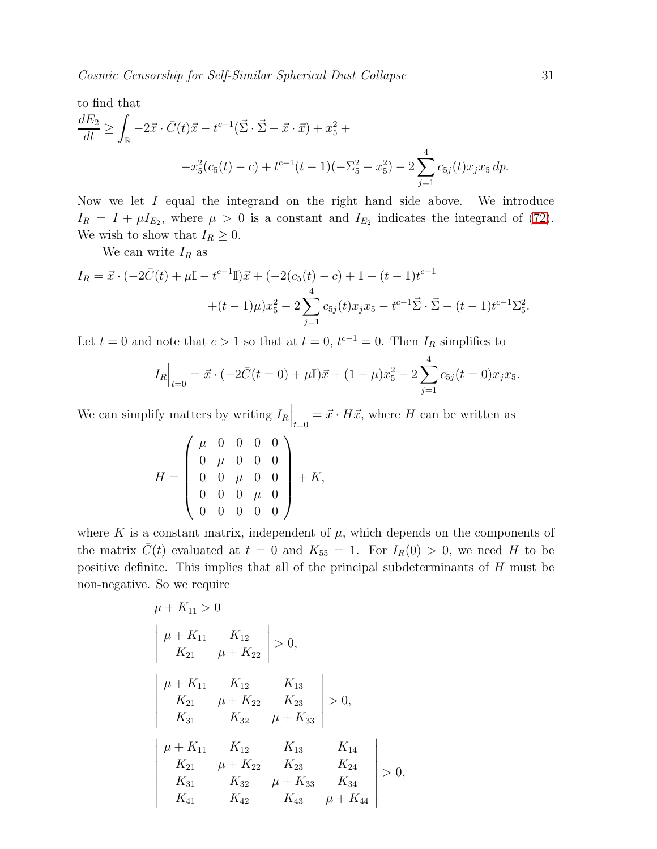to find that  
\n
$$
\frac{dE_2}{dt} \ge \int_{\mathbb{R}} -2\vec{x} \cdot \vec{C}(t)\vec{x} - t^{c-1}(\vec{\Sigma} \cdot \vec{\Sigma} + \vec{x} \cdot \vec{x}) + x_5^2 + (-x_5^2 - x_5^2) - 2\sum_{j=1}^4 c_{5j}(t)x_jx_5 dp.
$$

Now we let I equal the integrand on the right hand side above. We introduce  $I_R = I + \mu I_{E_2}$ , where  $\mu > 0$  is a constant and  $I_{E_2}$  indicates the integrand of [\(72\)](#page-28-2). We wish to show that  $I_R \geq 0$ .

We can write  $I_R$  as

$$
I_R = \vec{x} \cdot (-2\vec{C}(t) + \mu \mathbb{I} - t^{c-1} \mathbb{I}) \vec{x} + (-2(c_5(t) - c) + 1 - (t - 1)t^{c-1} + (t - 1)\mu)x_5^2 - 2\sum_{j=1}^4 c_{5j}(t)x_j x_5 - t^{c-1}\vec{\Sigma} \cdot \vec{\Sigma} - (t - 1)t^{c-1}\Sigma_5^2.
$$

Let  $t = 0$  and note that  $c > 1$  so that at  $t = 0$ ,  $t^{c-1} = 0$ . Then  $I_R$  simplifies to

$$
I_R\Big|_{t=0} = \vec{x} \cdot (-2\bar{C}(t=0) + \mu \mathbb{I})\vec{x} + (1-\mu)x_5^2 - 2\sum_{j=1}^4 c_{5j}(t=0)x_jx_5.
$$

We can simplify matters by writing  $I_R\Big|_{t=0} = \vec{x} \cdot H\vec{x}$ , where H can be written as

$$
H = \left(\begin{array}{cccc} \mu & 0 & 0 & 0 & 0 \\ 0 & \mu & 0 & 0 & 0 \\ 0 & 0 & \mu & 0 & 0 \\ 0 & 0 & 0 & \mu & 0 \\ 0 & 0 & 0 & 0 & 0 \end{array}\right) + K,
$$

where K is a constant matrix, independent of  $\mu$ , which depends on the components of the matrix  $\bar{C}(t)$  evaluated at  $t = 0$  and  $K_{55} = 1$ . For  $I_R(0) > 0$ , we need H to be positive definite. This implies that all of the principal subdeterminants of H must be non-negative. So we require

$$
\mu + K_{11} > 0
$$
\n
$$
\begin{vmatrix}\n\mu + K_{11} & K_{12} \\
K_{21} & \mu + K_{22}\n\end{vmatrix} > 0,
$$
\n
$$
\begin{vmatrix}\n\mu + K_{11} & K_{12} & K_{13} \\
K_{21} & \mu + K_{22} & K_{23} \\
K_{31} & K_{32} & \mu + K_{33}\n\end{vmatrix} > 0,
$$
\n
$$
\begin{vmatrix}\n\mu + K_{11} & K_{12} & K_{13} & K_{14} \\
K_{21} & \mu + K_{22} & K_{23} & K_{24} \\
K_{31} & K_{32} & \mu + K_{33} & K_{34} \\
K_{41} & K_{42} & K_{43} & \mu + K_{44}\n\end{vmatrix} > 0,
$$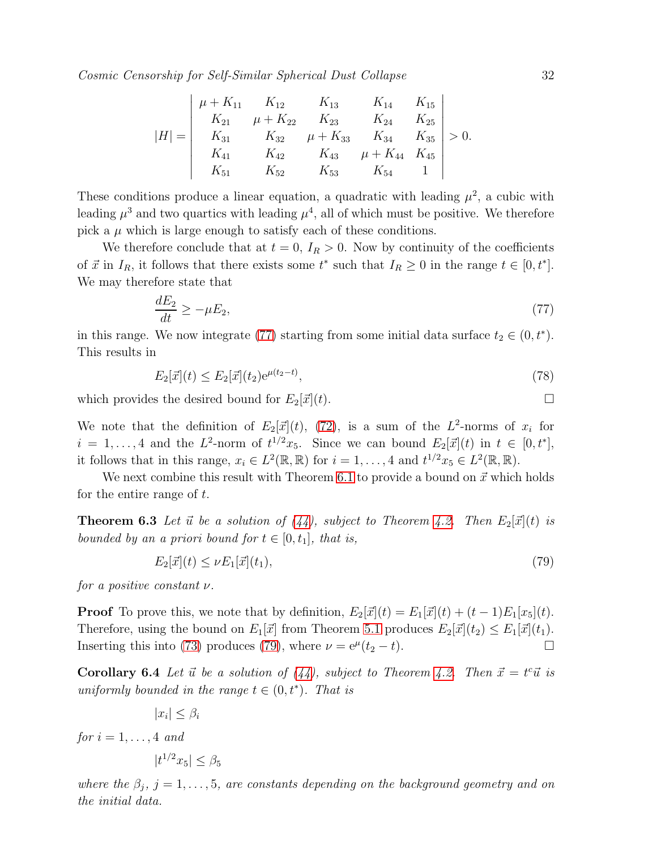$$
|H| = \begin{vmatrix} \mu + K_{11} & K_{12} & K_{13} & K_{14} & K_{15} \\ K_{21} & \mu + K_{22} & K_{23} & K_{24} & K_{25} \\ K_{31} & K_{32} & \mu + K_{33} & K_{34} & K_{35} \\ K_{41} & K_{42} & K_{43} & \mu + K_{44} & K_{45} \\ K_{51} & K_{52} & K_{53} & K_{54} & 1 \end{vmatrix} > 0.
$$

These conditions produce a linear equation, a quadratic with leading  $\mu^2$ , a cubic with leading  $\mu^3$  and two quartics with leading  $\mu^4$ , all of which must be positive. We therefore pick a  $\mu$  which is large enough to satisfy each of these conditions.

We therefore conclude that at  $t = 0$ ,  $I_R > 0$ . Now by continuity of the coefficients of  $\vec{x}$  in  $I_R$ , it follows that there exists some  $t^*$  such that  $I_R \geq 0$  in the range  $t \in [0, t^*]$ . We may therefore state that

<span id="page-31-2"></span>
$$
\frac{dE_2}{dt} \ge -\mu E_2,\tag{77}
$$

in this range. We now integrate [\(77\)](#page-31-2) starting from some initial data surface  $t_2 \in (0, t^*)$ . This results in

$$
E_2[\vec{x}](t) \le E_2[\vec{x}](t_2) e^{\mu(t_2 - t)},\tag{78}
$$

which provides the desired bound for  $E_2[\vec{x}](t)$ .

We note that the definition of  $E_2[\vec{x}](t)$ , [\(72\)](#page-28-2), is a sum of the  $L^2$ -norms of  $x_i$  for  $i = 1, \ldots, 4$  and the  $L^2$ -norm of  $t^{1/2}x_5$ . Since we can bound  $E_2[\vec{x}](t)$  in  $t \in [0, t^*]$ , it follows that in this range,  $x_i \in L^2(\mathbb{R}, \mathbb{R})$  for  $i = 1, ..., 4$  and  $t^{1/2}x_5 \in L^2(\mathbb{R}, \mathbb{R})$ .

<span id="page-31-0"></span>We next combine this result with Theorem [6.1](#page-26-0) to provide a bound on  $\vec{x}$  which holds for the entire range of t.

**Theorem 6.3** Let  $\vec{u}$  be a solution of [\(44\)](#page-14-0), subject to Theorem [4.2.](#page-15-0) Then  $E_2[\vec{x}](t)$  is bounded by an a priori bound for  $t \in [0, t_1]$ , that is,

<span id="page-31-3"></span>
$$
E_2[\vec{x}](t) \le \nu E_1[\vec{x}](t_1),\tag{79}
$$

for a positive constant  $\nu$ .

**Proof** To prove this, we note that by definition,  $E_2[\vec{x}](t) = E_1[\vec{x}](t) + (t-1)E_1[x_5](t)$ . Therefore, using the bound on  $E_1[\vec{x}]$  from Theorem [5.1](#page-18-2) produces  $E_2[\vec{x}](t_2) \leq E_1[\vec{x}](t_1)$ . Inserting this into [\(73\)](#page-28-3) produces [\(79\)](#page-31-3), where  $\nu = e^{\mu}(t_2 - t)$ .

<span id="page-31-1"></span>**Corollary 6.4** Let  $\vec{u}$  be a solution of [\(44\)](#page-14-0), subject to Theorem [4.2.](#page-15-0) Then  $\vec{x} = t^c \vec{u}$  is uniformly bounded in the range  $t \in (0, t^*)$ . That is

$$
|x_i| \leq \beta_i
$$

for  $i = 1, \ldots, 4$  and

$$
|t^{1/2}x_5|\leq \beta_5
$$

where the  $\beta_j$ ,  $j = 1, \ldots, 5$ , are constants depending on the background geometry and on the initial data.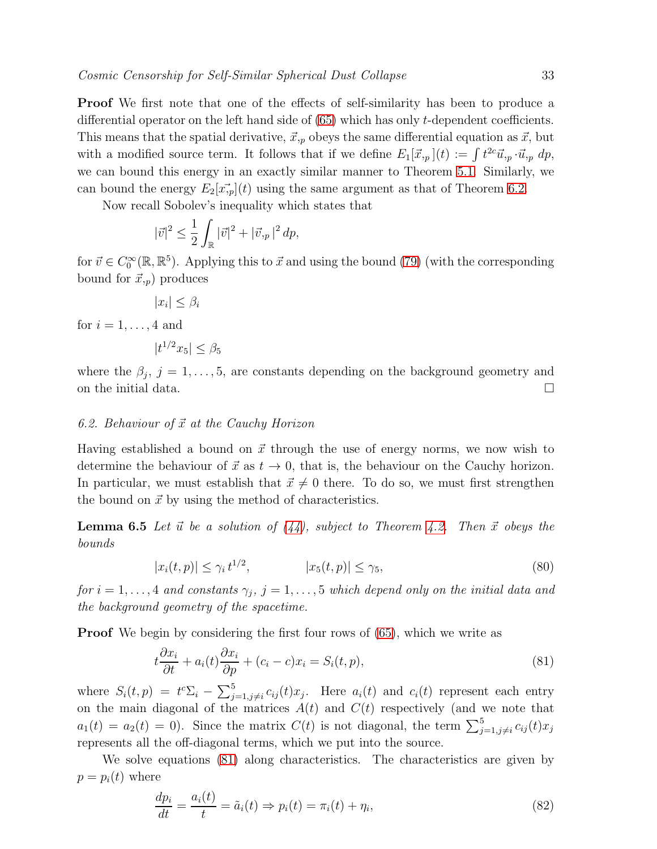Proof We first note that one of the effects of self-similarity has been to produce a differential operator on the left hand side of [\(65\)](#page-26-2) which has only t-dependent coefficients. This means that the spatial derivative,  $\vec{x}_{ip}$  obeys the same differential equation as  $\vec{x}$ , but with a modified source term. It follows that if we define  $E_1[\vec{x},p](t) := \int t^{2c} \vec{u}, p \cdot \vec{u}, p \, dp$ , we can bound this energy in an exactly similar manner to Theorem [5.1.](#page-18-2) Similarly, we can bound the energy  $E_2[\vec{x}_p](t)$  using the same argument as that of Theorem [6.2.](#page-28-0)

Now recall Sobolev's inequality which states that

$$
|\vec{v}|^2 \le \frac{1}{2} \int_{\mathbb{R}} |\vec{v}|^2 + |\vec{v}_{,p}|^2 \, dp,
$$

for  $\vec{v} \in C_0^{\infty}(\mathbb{R}, \mathbb{R}^5)$ . Applying this to  $\vec{x}$  and using the bound [\(79\)](#page-31-3) (with the corresponding bound for  $\vec{x}_{,p}$ ) produces

$$
|x_i| \leq \beta_i
$$

for  $i = 1, \ldots, 4$  and

$$
|t^{1/2}x_5|\leq \beta_5
$$

where the  $\beta_j$ ,  $j = 1, \ldots, 5$ , are constants depending on the background geometry and on the initial data.

## 6.2. Behaviour of  $\vec{x}$  at the Cauchy Horizon

Having established a bound on  $\vec{x}$  through the use of energy norms, we now wish to determine the behaviour of  $\vec{x}$  as  $t \to 0$ , that is, the behaviour on the Cauchy horizon. In particular, we must establish that  $\vec{x} \neq 0$  there. To do so, we must first strengthen the bound on  $\vec{x}$  by using the method of characteristics.

<span id="page-32-0"></span>**Lemma 6.5** Let  $\vec{u}$  be a solution of [\(44\)](#page-14-0), subject to Theorem [4.2.](#page-15-0) Then  $\vec{x}$  obeys the bounds

<span id="page-32-3"></span>
$$
|x_i(t,p)| \le \gamma_i t^{1/2}, \qquad |x_5(t,p)| \le \gamma_5, \tag{80}
$$

for  $i = 1, \ldots, 4$  and constants  $\gamma_j$ ,  $j = 1, \ldots, 5$  which depend only on the initial data and the background geometry of the spacetime.

**Proof** We begin by considering the first four rows of  $(65)$ , which we write as

<span id="page-32-1"></span>
$$
t\frac{\partial x_i}{\partial t} + a_i(t)\frac{\partial x_i}{\partial p} + (c_i - c)x_i = S_i(t, p),\tag{81}
$$

where  $S_i(t,p) = t^c \Sigma_i - \sum_{j=1,j\neq i}^5 c_{ij}(t)x_j$ . Here  $a_i(t)$  and  $c_i(t)$  represent each entry on the main diagonal of the matrices  $A(t)$  and  $C(t)$  respectively (and we note that  $a_1(t) = a_2(t) = 0$ . Since the matrix  $C(t)$  is not diagonal, the term  $\sum_{j=1,j\neq i}^{5} c_{ij}(t)x_j$ represents all the off-diagonal terms, which we put into the source.

We solve equations [\(81\)](#page-32-1) along characteristics. The characteristics are given by  $p = p_i(t)$  where

<span id="page-32-2"></span>
$$
\frac{dp_i}{dt} = \frac{a_i(t)}{t} = \tilde{a}_i(t) \Rightarrow p_i(t) = \pi_i(t) + \eta_i,
$$
\n(82)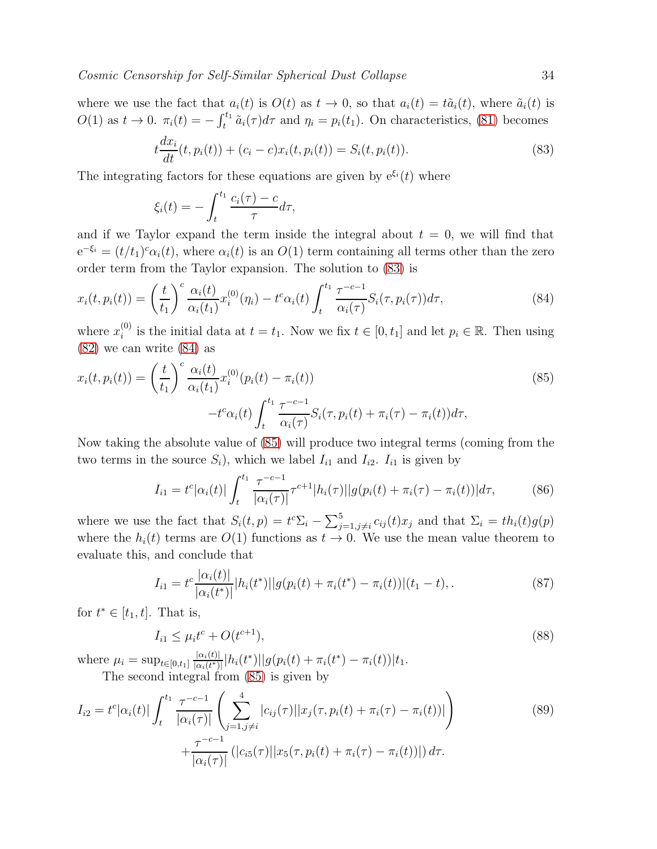where we use the fact that  $a_i(t)$  is  $O(t)$  as  $t \to 0$ , so that  $a_i(t) = t\tilde{a}_i(t)$ , where  $\tilde{a}_i(t)$  is  $O(1)$  as  $t \to 0$ .  $\pi_i(t) = -\int_t^{t_1} \tilde{a}_i(\tau) d\tau$  and  $\eta_i = p_i(t_1)$ . On characteristics, [\(81\)](#page-32-1) becomes

<span id="page-33-0"></span>
$$
t\frac{dx_i}{dt}(t, p_i(t)) + (c_i - c)x_i(t, p_i(t)) = S_i(t, p_i(t)).
$$
\n(83)

The integrating factors for these equations are given by  $e^{\xi_i}(t)$  where

$$
\xi_i(t) = -\int_t^{t_1} \frac{c_i(\tau) - c}{\tau} d\tau,
$$

and if we Taylor expand the term inside the integral about  $t = 0$ , we will find that  $e^{-\xi_i} = (t/t_1)^c \alpha_i(t)$ , where  $\alpha_i(t)$  is an  $O(1)$  term containing all terms other than the zero order term from the Taylor expansion. The solution to [\(83\)](#page-33-0) is

<span id="page-33-1"></span>
$$
x_i(t, p_i(t)) = \left(\frac{t}{t_1}\right)^c \frac{\alpha_i(t)}{\alpha_i(t_1)} x_i^{(0)}(\eta_i) - t^c \alpha_i(t) \int_t^{t_1} \frac{\tau^{-c-1}}{\alpha_i(\tau)} S_i(\tau, p_i(\tau)) d\tau,
$$
\n(84)

where  $x_i^{(0)}$ <sup>(0)</sup> is the initial data at  $t = t_1$ . Now we fix  $t \in [0, t_1]$  and let  $p_i \in \mathbb{R}$ . Then using [\(82\)](#page-32-2) we can write [\(84\)](#page-33-1) as

<span id="page-33-2"></span>
$$
x_i(t, p_i(t)) = \left(\frac{t}{t_1}\right)^c \frac{\alpha_i(t)}{\alpha_i(t_1)} x_i^{(0)}(p_i(t) - \pi_i(t))
$$
  

$$
-t^c \alpha_i(t) \int_t^{t_1} \frac{\tau^{-c-1}}{\alpha_i(\tau)} S_i(\tau, p_i(t) + \pi_i(\tau) - \pi_i(t)) d\tau,
$$
 (85)

Now taking the absolute value of [\(85\)](#page-33-2) will produce two integral terms (coming from the two terms in the source  $S_i$ ), which we label  $I_{i1}$  and  $I_{i2}$ .  $I_{i1}$  is given by

$$
I_{i1} = t^{c} |\alpha_i(t)| \int_t^{t_1} \frac{\tau^{-c-1}}{|\alpha_i(\tau)|} \tau^{c+1} |h_i(\tau)| |g(p_i(t) + \pi_i(\tau) - \pi_i(t))| d\tau,
$$
 (86)

where we use the fact that  $S_i(t, p) = t^c \Sigma_i - \sum_{j=1, j \neq i}^{5} c_{ij}(t) x_j$  and that  $\Sigma_i = th_i(t) g(p)$ where the  $h_i(t)$  terms are  $O(1)$  functions as  $t \to 0$ . We use the mean value theorem to evaluate this, and conclude that

$$
I_{i1} = t^{c} \frac{|\alpha_{i}(t)|}{|\alpha_{i}(t^{*})|} |h_{i}(t^{*})| |g(p_{i}(t) + \pi_{i}(t^{*}) - \pi_{i}(t))| (t_{1} - t), \qquad (87)
$$

for  $t^* \in [t_1, t]$ . That is,

<span id="page-33-3"></span>
$$
I_{i1} \le \mu_i t^c + O(t^{c+1}),\tag{88}
$$

where  $\mu_i = \sup_{t \in [0,t_1]} \frac{|\alpha_i(t)|}{|\alpha_i(t^*)|}$  $\frac{|\alpha_i(t)|}{|\alpha_i(t^*)|} |h_i(t^*)| |g(p_i(t) + \pi_i(t^*) - \pi_i(t))|t_1.$ The second integral from [\(85\)](#page-33-2) is given by

$$
I_{i2} = t^{c} |\alpha_i(t)| \int_t^{t_1} \frac{\tau^{-c-1}}{|\alpha_i(\tau)|} \left( \sum_{j=1, j \neq i}^4 |c_{ij}(\tau)| |x_j(\tau, p_i(t) + \pi_i(\tau) - \pi_i(t))| \right) + \frac{\tau^{-c-1}}{|\alpha_i(\tau)|} (|c_{i5}(\tau)| |x_5(\tau, p_i(t) + \pi_i(\tau) - \pi_i(t))|) d\tau.
$$
 (89)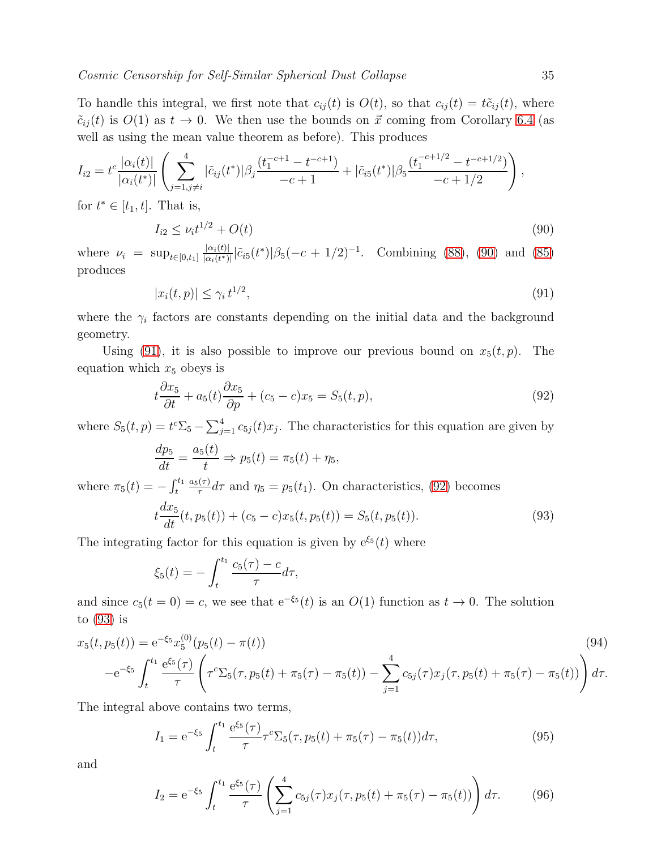To handle this integral, we first note that  $c_{ij}(t)$  is  $O(t)$ , so that  $c_{ij}(t) = t\tilde{c}_{ij}(t)$ , where  $\tilde{c}_{ij}(t)$  is  $O(1)$  as  $t \to 0$ . We then use the bounds on  $\vec{x}$  coming from Corollary [6.4](#page-31-1) (as well as using the mean value theorem as before). This produces

$$
I_{i2} = t^{c} \frac{|\alpha_{i}(t)|}{|\alpha_{i}(t^{*})|} \left( \sum_{j=1, j \neq i}^{4} |\tilde{c}_{ij}(t^{*})| \beta_{j} \frac{(t_{1}^{-c+1} - t^{-c+1})}{-c+1} + |\tilde{c}_{i5}(t^{*})| \beta_{5} \frac{(t_{1}^{-c+1/2} - t^{-c+1/2})}{-c+1/2} \right),
$$

for  $t^* \in [t_1, t]$ . That is,

<span id="page-34-0"></span>
$$
I_{i2} \le \nu_i t^{1/2} + O(t) \tag{90}
$$

where  $\nu_i = \sup_{t \in [0,t_1]} \frac{|\alpha_i(t)|}{|\alpha_i(t^*)|}$  $\frac{|\alpha_i(t)|}{|\alpha_i(t^*)|} |\tilde{c}_{i5}(t^*)| \beta_5(-c+1/2)^{-1}$ . Combining [\(88\)](#page-33-3), [\(90\)](#page-34-0) and [\(85\)](#page-33-2) produces

<span id="page-34-1"></span>
$$
|x_i(t, p)| \le \gamma_i t^{1/2},\tag{91}
$$

where the  $\gamma_i$  factors are constants depending on the initial data and the background geometry.

Using [\(91\)](#page-34-1), it is also possible to improve our previous bound on  $x_5(t, p)$ . The equation which  $x_5$  obeys is

<span id="page-34-2"></span>
$$
t\frac{\partial x_5}{\partial t} + a_5(t)\frac{\partial x_5}{\partial p} + (c_5 - c)x_5 = S_5(t, p),\tag{92}
$$

where  $S_5(t, p) = t^c \Sigma_5 - \sum_{j=1}^4 c_{5j}(t) x_j$ . The characteristics for this equation are given by

$$
\frac{dp_5}{dt} = \frac{a_5(t)}{t} \Rightarrow p_5(t) = \pi_5(t) + \eta_5,
$$

where  $\pi_5(t) = -\int_t^{t_1}$  $a_5(\tau)$  $\tau_{\tau}^{(\tau)} d\tau$  and  $\eta_5 = p_5(t_1)$ . On characteristics, [\(92\)](#page-34-2) becomes

<span id="page-34-3"></span>
$$
t\frac{dx_5}{dt}(t, p_5(t)) + (c_5 - c)x_5(t, p_5(t)) = S_5(t, p_5(t)).
$$
\n(93)

The integrating factor for this equation is given by  $e^{\xi_5}(t)$  where

$$
\xi_5(t) = -\int_{t}^{t_1} \frac{c_5(\tau) - c}{\tau} d\tau,
$$

and since  $c_5(t=0) = c$ , we see that  $e^{-\xi_5}(t)$  is an  $O(1)$  function as  $t \to 0$ . The solution to [\(93\)](#page-34-3) is

<span id="page-34-4"></span>
$$
x_5(t, p_5(t)) = e^{-\xi_5} x_5^{(0)}(p_5(t) - \pi(t))
$$
\n
$$
-e^{-\xi_5} \int_t^{t_1} \frac{e^{\xi_5}(\tau)}{\tau} \left( \tau^c \Sigma_5(\tau, p_5(t) + \pi_5(\tau) - \pi_5(t)) - \sum_{j=1}^4 c_{5j}(\tau) x_j(\tau, p_5(t) + \pi_5(\tau) - \pi_5(t)) \right) d\tau.
$$
\n(94)

The integral above contains two terms,

$$
I_1 = e^{-\xi_5} \int_t^{t_1} \frac{e^{\xi_5}(\tau)}{\tau} \tau^c \Sigma_5(\tau, p_5(t) + \pi_5(\tau) - \pi_5(t)) d\tau,
$$
\n(95)

and

$$
I_2 = e^{-\xi_5} \int_t^{t_1} \frac{e^{\xi_5}(\tau)}{\tau} \left( \sum_{j=1}^4 c_{5j}(\tau) x_j(\tau, p_5(t) + \pi_5(\tau) - \pi_5(t)) \right) d\tau.
$$
 (96)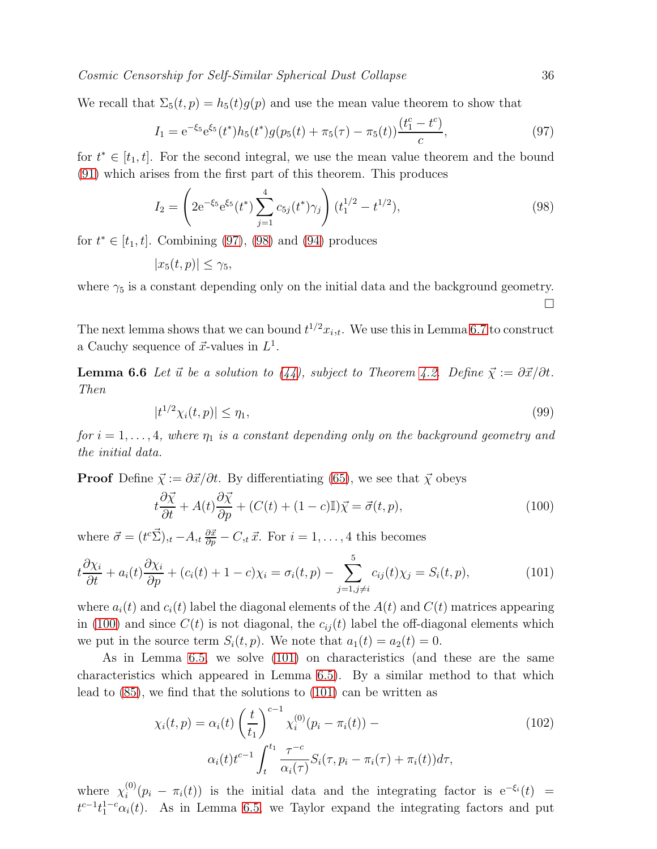We recall that  $\Sigma_5(t, p) = h_5(t)g(p)$  and use the mean value theorem to show that

<span id="page-35-1"></span>
$$
I_1 = e^{-\xi_5} e^{\xi_5} (t^*) h_5(t^*) g(p_5(t) + \pi_5(\tau) - \pi_5(t)) \frac{(t_1^c - t^c)}{c}, \tag{97}
$$

for  $t^* \in [t_1, t]$ . For the second integral, we use the mean value theorem and the bound [\(91\)](#page-34-1) which arises from the first part of this theorem. This produces

<span id="page-35-2"></span>
$$
I_2 = \left(2e^{-\xi_5}e^{\xi_5}(t^*)\sum_{j=1}^4 c_{5j}(t^*)\gamma_j\right)(t_1^{1/2} - t^{1/2}),\tag{98}
$$

for  $t^* \in [t_1, t]$ . Combining [\(97\)](#page-35-1), [\(98\)](#page-35-2) and [\(94\)](#page-34-4) produces

$$
|x_5(t,p)| \le \gamma_5,
$$

where  $\gamma_5$  is a constant depending only on the initial data and the background geometry.

<span id="page-35-0"></span>The next lemma shows that we can bound  $t^{1/2}x_{i,t}$ . We use this in Lemma [6.7](#page-36-0) to construct a Cauchy sequence of  $\vec{x}$ -values in  $L^1$ .

**Lemma 6.6** Let  $\vec{u}$  be a solution to [\(44\)](#page-14-0), subject to Theorem [4.2.](#page-15-0) Define  $\vec{\chi} := \partial \vec{x}/\partial t$ . Then

$$
|t^{1/2}\chi_i(t,p)| \leq \eta_1,\tag{99}
$$

for  $i = 1, \ldots, 4$ , where  $\eta_1$  is a constant depending only on the background geometry and the initial data.

**Proof** Define  $\vec{\chi} := \partial \vec{x}/\partial t$ . By differentiating [\(65\)](#page-26-2), we see that  $\vec{\chi}$  obeys

<span id="page-35-4"></span><span id="page-35-3"></span>
$$
t\frac{\partial \vec{\chi}}{\partial t} + A(t)\frac{\partial \vec{\chi}}{\partial p} + (C(t) + (1 - c)\mathbb{I})\vec{\chi} = \vec{\sigma}(t, p),\tag{100}
$$

where  $\vec{\sigma} = (t^c \vec{\Sigma})_{,t} - A_{,t} \frac{\partial \vec{x}}{\partial p} - C_{,t} \vec{x}$ . For  $i = 1, ..., 4$  this becomes

$$
t\frac{\partial \chi_i}{\partial t} + a_i(t)\frac{\partial \chi_i}{\partial p} + (c_i(t) + 1 - c)\chi_i = \sigma_i(t, p) - \sum_{j=1, j \neq i}^{5} c_{ij}(t)\chi_j = S_i(t, p),\tag{101}
$$

where  $a_i(t)$  and  $c_i(t)$  label the diagonal elements of the  $A(t)$  and  $C(t)$  matrices appearing in [\(100\)](#page-35-3) and since  $C(t)$  is not diagonal, the  $c_{ij}(t)$  label the off-diagonal elements which we put in the source term  $S_i(t, p)$ . We note that  $a_1(t) = a_2(t) = 0$ .

As in Lemma [6.5,](#page-32-0) we solve [\(101\)](#page-35-4) on characteristics (and these are the same characteristics which appeared in Lemma [6.5\)](#page-32-0). By a similar method to that which lead to [\(85\)](#page-33-2), we find that the solutions to [\(101\)](#page-35-4) can be written as

<span id="page-35-5"></span>
$$
\chi_i(t, p) = \alpha_i(t) \left(\frac{t}{t_1}\right)^{c-1} \chi_i^{(0)}(p_i - \pi_i(t)) -
$$
  

$$
\alpha_i(t) t^{c-1} \int_t^{t_1} \frac{\tau^{-c}}{\alpha_i(\tau)} S_i(\tau, p_i - \pi_i(\tau) + \pi_i(t)) d\tau,
$$
 (102)

where  $\chi_i^{(0)}$  $i^{(0)}(p_i - \pi_i(t))$  is the initial data and the integrating factor is  $e^{-\xi_i}(t)$  =  $t^{c-1}t_1^{1-c}\alpha_i(t)$ . As in Lemma [6.5,](#page-32-0) we Taylor expand the integrating factors and put

 $\Box$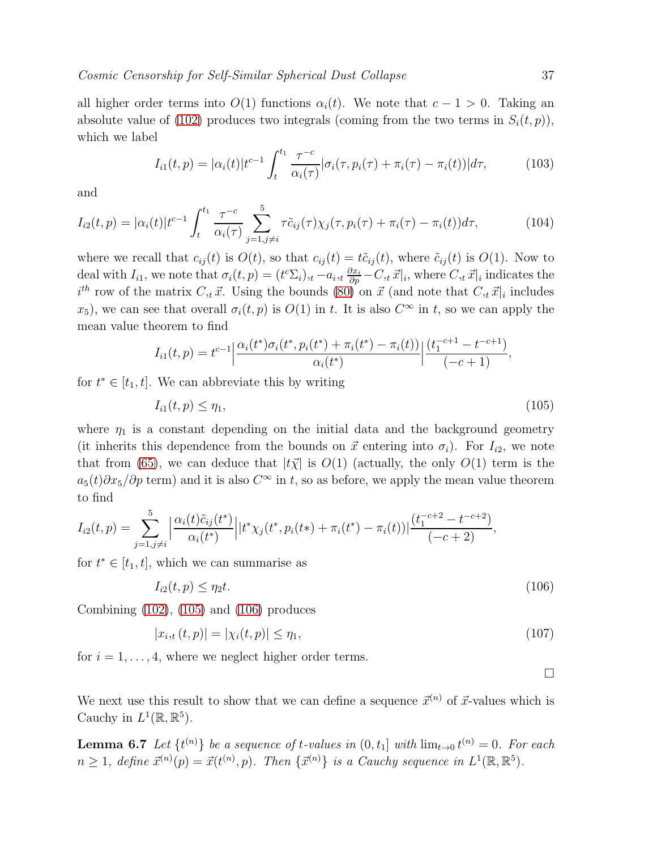all higher order terms into  $O(1)$  functions  $\alpha_i(t)$ . We note that  $c - 1 > 0$ . Taking an absolute value of [\(102\)](#page-35-5) produces two integrals (coming from the two terms in  $S_i(t, p)$ ), which we label

$$
I_{i1}(t,p) = |\alpha_i(t)| t^{c-1} \int_t^{t_1} \frac{\tau^{-c}}{\alpha_i(\tau)} |\sigma_i(\tau, p_i(\tau) + \pi_i(\tau) - \pi_i(t))| d\tau,
$$
 (103)

and

$$
I_{i2}(t,p) = |\alpha_i(t)|t^{c-1} \int_t^{t_1} \frac{\tau^{-c}}{\alpha_i(\tau)} \sum_{j=1, j \neq i}^5 \tau \tilde{c}_{ij}(\tau) \chi_j(\tau, p_i(\tau) + \pi_i(\tau) - \pi_i(t)) d\tau,
$$
 (104)

where we recall that  $c_{ij}(t)$  is  $O(t)$ , so that  $c_{ij}(t) = t\tilde{c}_{ij}(t)$ , where  $\tilde{c}_{ij}(t)$  is  $O(1)$ . Now to deal with  $I_{i1}$ , we note that  $\sigma_i(t,p) = (t^c \Sigma_i)_t - a_{i,t} \frac{\partial x_i}{\partial p} - C_{i,t} \vec{x}|_i$ , where  $C_{i,t} \vec{x}|_i$  indicates the  $i^{th}$  row of the matrix  $C_{,t} \vec{x}$ . Using the bounds [\(80\)](#page-32-3) on  $\vec{x}$  (and note that  $C_{,t} \vec{x}|_i$  includes  $x_5$ ), we can see that overall  $\sigma_i(t, p)$  is  $O(1)$  in t. It is also  $C^{\infty}$  in t, so we can apply the mean value theorem to find

$$
I_{i1}(t,p) = t^{c-1} \left| \frac{\alpha_i(t^*) \sigma_i(t^*, p_i(t^*) + \pi_i(t^*) - \pi_i(t))}{\alpha_i(t^*)} \right| \frac{(t_1^{-c+1} - t^{-c+1})}{(-c+1)},
$$

for  $t^* \in [t_1, t]$ . We can abbreviate this by writing

<span id="page-36-1"></span>
$$
I_{i1}(t, p) \le \eta_1,\tag{105}
$$

where  $\eta_1$  is a constant depending on the initial data and the background geometry (it inherits this dependence from the bounds on  $\vec{x}$  entering into  $\sigma_i$ ). For  $I_{i2}$ , we note that from [\(65\)](#page-26-2), we can deduce that  $|t\vec{\chi}|$  is  $O(1)$  (actually, the only  $O(1)$  term is the  $a_5(t)\partial x_5/\partial p$  term) and it is also  $C^{\infty}$  in t, so as before, we apply the mean value theorem to find

$$
I_{i2}(t,p) = \sum_{j=1,j\neq i}^{5} \left| \frac{\alpha_i(t)\tilde{c}_{ij}(t^*)}{\alpha_i(t^*)} \right| |t^* \chi_j(t^*,p_i(t*) + \pi_i(t^*) - \pi_i(t))| \frac{(t_1^{-c+2} - t^{-c+2})}{(-c+2)},
$$

for  $t^* \in [t_1, t]$ , which we can summarise as

<span id="page-36-2"></span>
$$
I_{i2}(t, p) \le \eta_2 t. \tag{106}
$$

Combining [\(102\)](#page-35-5), [\(105\)](#page-36-1) and [\(106\)](#page-36-2) produces

$$
|x_{i,t}(t,p)| = |\chi_i(t,p)| \le \eta_1,\tag{107}
$$

for  $i = 1, \ldots, 4$ , where we neglect higher order terms.

 $\Box$ 

<span id="page-36-0"></span>We next use this result to show that we can define a sequence  $\vec{x}^{(n)}$  of  $\vec{x}$ -values which is Cauchy in  $L^1(\mathbb{R}, \mathbb{R}^5)$ .

**Lemma 6.7** Let  $\{t^{(n)}\}$  be a sequence of t-values in  $(0, t_1]$  with  $\lim_{t\to 0} t^{(n)} = 0$ . For each  $n \geq 1$ , define  $\vec{x}^{(n)}(p) = \vec{x}(t^{(n)}, p)$ . Then  $\{\vec{x}^{(n)}\}$  is a Cauchy sequence in  $L^1(\mathbb{R}, \mathbb{R}^5)$ .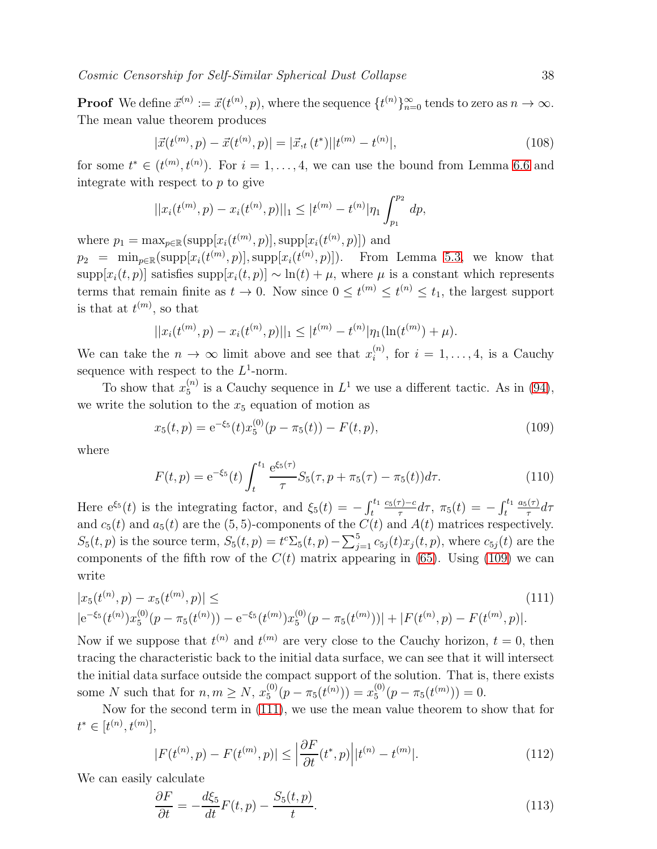**Proof** We define  $\vec{x}^{(n)} := \vec{x}(t^{(n)}, p)$ , where the sequence  $\{t^{(n)}\}_{n=0}^{\infty}$  tends to zero as  $n \to \infty$ . The mean value theorem produces

$$
|\vec{x}(t^{(m)},p) - \vec{x}(t^{(n)},p)| = |\vec{x}_{,t}(t^*)||t^{(m)} - t^{(n)}|,
$$
\n(108)

for some  $t^* \in (t^{(m)}, t^{(n)})$ . For  $i = 1, ..., 4$ , we can use the bound from Lemma [6.6](#page-35-0) and integrate with respect to  $p$  to give

$$
||x_i(t^{(m)}, p) - x_i(t^{(n)}, p)||_1 \le |t^{(m)} - t^{(n)}|\eta_1 \int_{p_1}^{p_2} dp,
$$

where  $p_1 = \max_{p \in \mathbb{R}} (\text{supp}[x_i(t^{(m)}, p)], \text{supp}[x_i(t^{(n)}, p)])$  and

 $p_2 = \min_{p \in \mathbb{R}} (\text{supp}[x_i(t^{(m)}, p)], \text{supp}[x_i(t^{(n)}, p)]).$  From Lemma [5.3,](#page-21-2) we know that supp $[x_i(t, p)]$  satisfies supp $[x_i(t, p)] \sim \ln(t) + \mu$ , where  $\mu$  is a constant which represents terms that remain finite as  $t \to 0$ . Now since  $0 \le t^{(m)} \le t^{(n)} \le t_1$ , the largest support is that at  $t^{(m)}$ , so that

$$
||x_i(t^{(m)}, p) - x_i(t^{(n)}, p)||_1 \leq |t^{(m)} - t^{(n)}|\eta_1(\ln(t^{(m)}) + \mu).
$$

We can take the  $n \to \infty$  limit above and see that  $x_i^{(n)}$  $i^{(n)}$ , for  $i = 1, \ldots, 4$ , is a Cauchy sequence with respect to the  $L^1$ -norm.

To show that  $x_5^{(n)}$  $_5^{(n)}$  is a Cauchy sequence in  $L^1$  we use a different tactic. As in [\(94\)](#page-34-4), we write the solution to the  $x_5$  equation of motion as

<span id="page-37-0"></span>
$$
x_5(t,p) = e^{-\xi_5}(t)x_5^{(0)}(p - \pi_5(t)) - F(t,p),
$$
\n(109)

where

$$
F(t,p) = e^{-\xi_5}(t) \int_t^{t_1} \frac{e^{\xi_5(\tau)}}{\tau} S_5(\tau, p + \pi_5(\tau) - \pi_5(t)) d\tau.
$$
 (110)

Here  $e^{\xi_5}(t)$  is the integrating factor, and  $\xi_5(t) = -\int_t^{t_1}$  $c_5(\tau)-c$  $\frac{\tau_{0}-c}{\tau_{0}-d\tau_{0}}, \ \pi_{5}(t) = -\int_{t}^{t_{1}}$  $a_5(\tau)$  $rac{(\tau)}{\tau}d\tau$ and  $c_5(t)$  and  $a_5(t)$  are the (5, 5)-components of the  $C(t)$  and  $A(t)$  matrices respectively.  $S_5(t, p)$  is the source term,  $S_5(t, p) = t^c \Sigma_5(t, p) - \sum_{j=1}^5 c_{5j}(t) x_j(t, p)$ , where  $c_{5j}(t)$  are the components of the fifth row of the  $C(t)$  matrix appearing in [\(65\)](#page-26-2). Using [\(109\)](#page-37-0) we can write

<span id="page-37-1"></span>
$$
|x_5(t^{(n)}, p) - x_5(t^{(m)}, p)| \le (111)
$$
  

$$
|e^{-\xi_5}(t^{(n)})x_5^{(0)}(p - \pi_5(t^{(n)})) - e^{-\xi_5}(t^{(m)})x_5^{(0)}(p - \pi_5(t^{(m)}))| + |F(t^{(n)}, p) - F(t^{(m)}, p)|.
$$
 (111)

Now if we suppose that  $t^{(n)}$  and  $t^{(m)}$  are very close to the Cauchy horizon,  $t = 0$ , then tracing the characteristic back to the initial data surface, we can see that it will intersect the initial data surface outside the compact support of the solution. That is, there exists some N such that for  $n, m \ge N$ ,  $x_5^{(0)}$  $f_5^{(0)}(p-\pi_5(t^{(n)}))=x_5^{(0)}$  $_{5}^{(0)}(p-\pi_{5}(t^{(m)}))=0.$ 

Now for the second term in [\(111\)](#page-37-1), we use the mean value theorem to show that for  $t^* \in [t^{(n)}, t^{(m)}],$ 

<span id="page-37-2"></span>
$$
|F(t^{(n)},p) - F(t^{(m)},p)| \le \left| \frac{\partial F}{\partial t}(t^*,p) \right| |t^{(n)} - t^{(m)}|.
$$
\n(112)

We can easily calculate

$$
\frac{\partial F}{\partial t} = -\frac{d\xi_5}{dt}F(t, p) - \frac{S_5(t, p)}{t}.\tag{113}
$$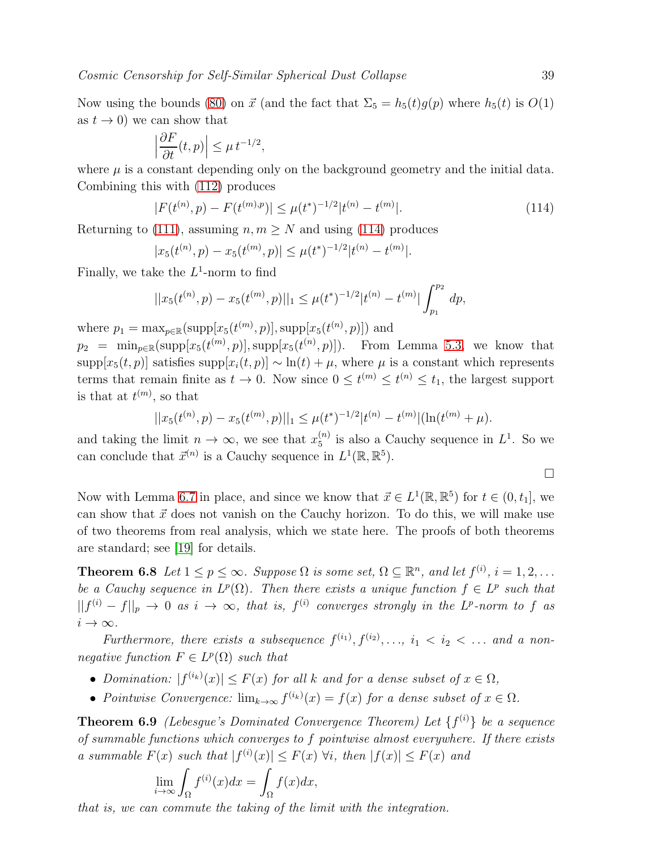Now using the bounds [\(80\)](#page-32-3) on  $\vec{x}$  (and the fact that  $\Sigma_5 = h_5(t)g(p)$  where  $h_5(t)$  is  $O(1)$ as  $t \to 0$ ) we can show that

$$
\left|\frac{\partial F}{\partial t}(t,p)\right| \leq \mu \, t^{-1/2},
$$

where  $\mu$  is a constant depending only on the background geometry and the initial data. Combining this with [\(112\)](#page-37-2) produces

<span id="page-38-0"></span>
$$
|F(t^{(n)}, p) - F(t^{(m), p})| \le \mu(t^*)^{-1/2} |t^{(n)} - t^{(m)}|.
$$
\n(114)

Returning to [\(111\)](#page-37-1), assuming  $n, m \geq N$  and using [\(114\)](#page-38-0) produces

$$
|x_5(t^{(n)}, p) - x_5(t^{(m)}, p)| \le \mu(t^*)^{-1/2} |t^{(n)} - t^{(m)}|.
$$

Finally, we take the  $L^1$ -norm to find

$$
||x_5(t^{(n)}, p) - x_5(t^{(m)}, p)||_1 \le \mu(t^*)^{-1/2} |t^{(n)} - t^{(m)}| \int_{p_1}^{p_2} dp,
$$

where  $p_1 = \max_{p \in \mathbb{R}} (\text{supp}[x_5(t^{(m)}, p)], \text{supp}[x_5(t^{(n)}, p)])$  and

 $p_2 = \min_{p \in \mathbb{R}} (\text{supp}[x_5(t^{(m)}, p)], \text{supp}[x_5(t^{(n)}, p)]).$  From Lemma [5.3,](#page-21-2) we know that supp $[x_5(t, p)]$  satisfies supp $[x_i(t, p)] \sim \ln(t) + \mu$ , where  $\mu$  is a constant which represents terms that remain finite as  $t \to 0$ . Now since  $0 \le t^{(m)} \le t^{(n)} \le t_1$ , the largest support is that at  $t^{(m)}$ , so that

$$
||x_5(t^{(n)}, p) - x_5(t^{(m)}, p)||_1 \le \mu(t^*)^{-1/2} |t^{(n)} - t^{(m)}| (\ln(t^{(m)} + \mu).
$$

and taking the limit  $n \to \infty$ , we see that  $x_5^{(n)}$  $_5^{(n)}$  is also a Cauchy sequence in  $L^1$ . So we can conclude that  $\vec{x}^{(n)}$  is a Cauchy sequence in  $L^1(\mathbb{R}, \mathbb{R}^5)$ .

$$
\Box
$$

Now with Lemma [6.7](#page-36-0) in place, and since we know that  $\vec{x} \in L^1(\mathbb{R}, \mathbb{R}^5)$  for  $t \in (0, t_1]$ , we can show that  $\vec{x}$  does not vanish on the Cauchy horizon. To do this, we will make use of two theorems from real analysis, which we state here. The proofs of both theorems are standard; see [\[19\]](#page-48-5) for details.

<span id="page-38-1"></span>**Theorem 6.8** Let  $1 \leq p \leq \infty$ . Suppose  $\Omega$  is some set,  $\Omega \subseteq \mathbb{R}^n$ , and let  $f^{(i)}$ ,  $i = 1, 2, \ldots$ be a Cauchy sequence in  $L^p(\Omega)$ . Then there exists a unique function  $f \in L^p$  such that  $||f^{(i)} - f||_p \to 0$  as  $i \to \infty$ , that is,  $f^{(i)}$  converges strongly in the L<sup>p</sup>-norm to f as  $i \to \infty$ .

Furthermore, there exists a subsequence  $f^{(i_1)}, f^{(i_2)}, \ldots, i_1 < i_2 < \ldots$  and a nonnegative function  $F \in L^p(\Omega)$  such that

- Domination:  $|f^{(i_k)}(x)| \leq F(x)$  for all k and for a dense subset of  $x \in \Omega$ ,
- <span id="page-38-2"></span>• Pointwise Convergence:  $\lim_{k\to\infty} f^{(i_k)}(x) = f(x)$  for a dense subset of  $x \in \Omega$ .

**Theorem 6.9** (Lebesgue's Dominated Convergence Theorem) Let  $\{f^{(i)}\}$  be a sequence of summable functions which converges to f pointwise almost everywhere. If there exists a summable  $F(x)$  such that  $|f^{(i)}(x)| \leq F(x) \forall i$ , then  $|f(x)| \leq F(x)$  and

$$
\lim_{i \to \infty} \int_{\Omega} f^{(i)}(x) dx = \int_{\Omega} f(x) dx,
$$

that is, we can commute the taking of the limit with the integration.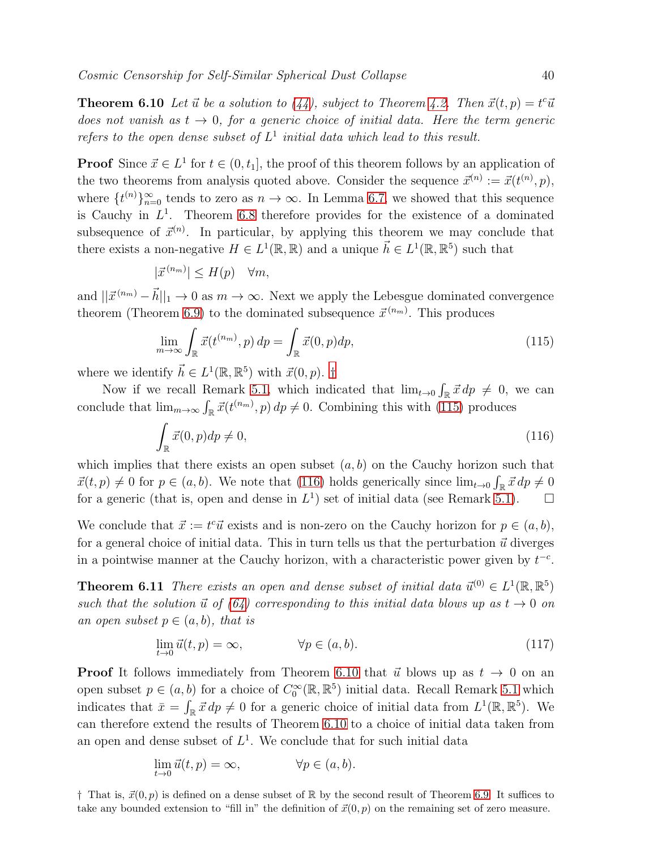<span id="page-39-0"></span>**Theorem 6.10** Let  $\vec{u}$  be a solution to [\(44\)](#page-14-0), subject to Theorem [4.2.](#page-15-0) Then  $\vec{x}(t, p) = t^c \vec{u}$ does not vanish as  $t \to 0$ , for a generic choice of initial data. Here the term generic refers to the open dense subset of  $L^1$  initial data which lead to this result.

**Proof** Since  $\vec{x} \in L^1$  for  $t \in (0, t_1]$ , the proof of this theorem follows by an application of the two theorems from analysis quoted above. Consider the sequence  $\vec{x}^{(n)} := \vec{x}(t^{(n)}, p)$ , where  $\{t^{(n)}\}_{n=0}^{\infty}$  tends to zero as  $n \to \infty$ . In Lemma [6.7,](#page-36-0) we showed that this sequence is Cauchy in  $L^1$ . Theorem [6.8](#page-38-1) therefore provides for the existence of a dominated subsequence of  $\vec{x}^{(n)}$ . In particular, by applying this theorem we may conclude that there exists a non-negative  $H \in L^1(\mathbb{R}, \mathbb{R})$  and a unique  $\vec{h} \in L^1(\mathbb{R}, \mathbb{R}^5)$  such that

$$
|\vec{x}^{(n_m)}| \le H(p) \quad \forall m,
$$

and  $||\vec{x}^{(n_m)} - \vec{h}||_1 \rightarrow 0$  as  $m \rightarrow \infty$ . Next we apply the Lebesgue dominated convergence theorem (Theorem [6.9\)](#page-38-2) to the dominated subsequence  $\vec{x}^{(n_m)}$ . This produces

<span id="page-39-2"></span>
$$
\lim_{m \to \infty} \int_{\mathbb{R}} \vec{x}(t^{(n_m)}, p) dp = \int_{\mathbb{R}} \vec{x}(0, p) dp,
$$
\n(115)

where we identify  $\vec{h} \in L^1(\mathbb{R}, \mathbb{R}^5)$  with  $\vec{x}(0, p)$ . [†](#page-39-1)

Now if we recall Remark [5.1,](#page-25-4) which indicated that  $\lim_{t\to 0} \int_{\mathbb{R}} \vec{x} \, dp \neq 0$ , we can conclude that  $\lim_{m\to\infty} \int_{\mathbb{R}} \vec{x}(t^{(n_m)}, p) dp \neq 0$ . Combining this with [\(115\)](#page-39-2) produces

<span id="page-39-3"></span>
$$
\int_{\mathbb{R}} \vec{x}(0, p) dp \neq 0,\tag{116}
$$

which implies that there exists an open subset  $(a, b)$  on the Cauchy horizon such that  $\vec{x}(t, p) \neq 0$  for  $p \in (a, b)$ . We note that [\(116\)](#page-39-3) holds generically since  $\lim_{t\to 0} \int_{\mathbb{R}} \vec{x} \, dp \neq 0$ for a generic (that is, open and dense in  $L^1$ ) set of initial data (see Remark [5.1\)](#page-25-4).  $\Box$ 

We conclude that  $\vec{x} := t^c \vec{u}$  exists and is non-zero on the Cauchy horizon for  $p \in (a, b)$ , for a general choice of initial data. This in turn tells us that the perturbation  $\vec{u}$  diverges in a pointwise manner at the Cauchy horizon, with a characteristic power given by  $t^{-c}$ .

**Theorem 6.11** There exists an open and dense subset of initial data  $\vec{u}^{(0)} \in L^1(\mathbb{R}, \mathbb{R}^5)$ such that the solution  $\vec{u}$  of [\(64\)](#page-25-3) corresponding to this initial data blows up as  $t \to 0$  on an open subset  $p \in (a, b)$ , that is

$$
\lim_{t \to 0} \vec{u}(t, p) = \infty, \qquad \forall p \in (a, b). \tag{117}
$$

**Proof** It follows immediately from Theorem [6.10](#page-39-0) that  $\vec{u}$  blows up as  $t \to 0$  on an open subset  $p \in (a, b)$  for a choice of  $C_0^{\infty}(\mathbb{R}, \mathbb{R}^5)$  initial data. Recall Remark [5.1](#page-25-4) which indicates that  $\bar{x} = \int_{\mathbb{R}} \vec{x} \, dp \neq 0$  for a generic choice of initial data from  $L^1(\mathbb{R}, \mathbb{R}^5)$ . We can therefore extend the results of Theorem [6.10](#page-39-0) to a choice of initial data taken from an open and dense subset of  $L^1$ . We conclude that for such initial data

$$
\lim_{t \to 0} \vec{u}(t, p) = \infty, \qquad \forall p \in (a, b).
$$

<span id="page-39-1"></span> $\dagger$  That is,  $\vec{x}(0, p)$  is defined on a dense subset of R by the second result of Theorem [6.9.](#page-38-2) It suffices to take any bounded extension to "fill in" the definition of  $\vec{x}(0, p)$  on the remaining set of zero measure.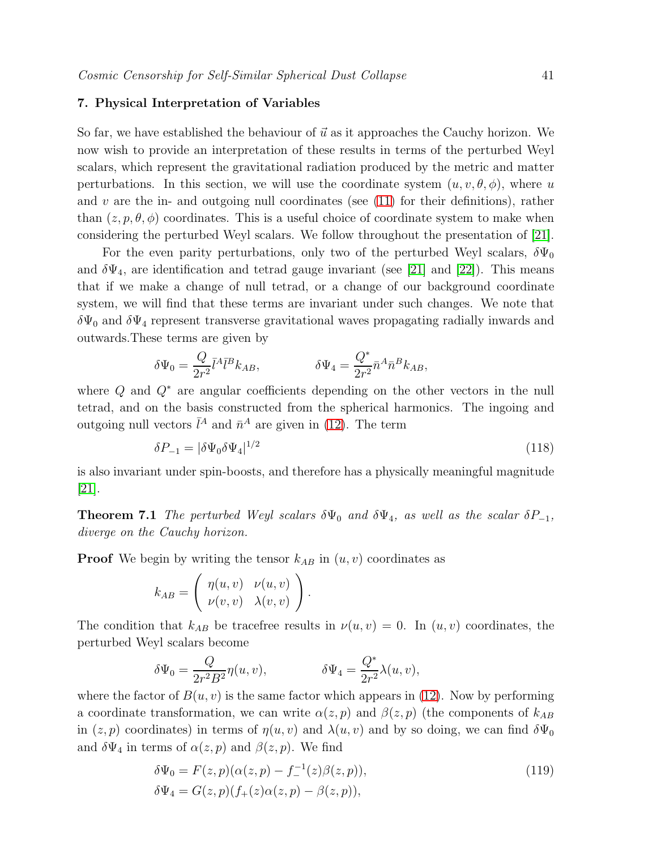### <span id="page-40-0"></span>7. Physical Interpretation of Variables

So far, we have established the behaviour of  $\vec{u}$  as it approaches the Cauchy horizon. We now wish to provide an interpretation of these results in terms of the perturbed Weyl scalars, which represent the gravitational radiation produced by the metric and matter perturbations. In this section, we will use the coordinate system  $(u, v, \theta, \phi)$ , where u and  $v$  are the in- and outgoing null coordinates (see [\(11\)](#page-4-5) for their definitions), rather than  $(z, p, \theta, \phi)$  coordinates. This is a useful choice of coordinate system to make when considering the perturbed Weyl scalars. We follow throughout the presentation of [\[21\]](#page-48-6).

For the even parity perturbations, only two of the perturbed Weyl scalars,  $\delta\Psi_0$ and  $\delta\Psi_4$ , are identification and tetrad gauge invariant (see [\[21\]](#page-48-6) and [\[22\]](#page-48-7)). This means that if we make a change of null tetrad, or a change of our background coordinate system, we will find that these terms are invariant under such changes. We note that  $\delta\Psi_0$  and  $\delta\Psi_4$  represent transverse gravitational waves propagating radially inwards and outwards.These terms are given by

$$
\delta\Psi_0=\frac{Q}{2r^2}\bar{l}^A\bar{l}^Bk_{AB},\hspace{30pt}\delta\Psi_4=\frac{Q^*}{2r^2}\bar{n}^A\bar{n}^Bk_{AB},
$$

where  $Q$  and  $Q^*$  are angular coefficients depending on the other vectors in the null tetrad, and on the basis constructed from the spherical harmonics. The ingoing and outgoing null vectors  $\bar{l}^A$  and  $\bar{n}^A$  are given in [\(12\)](#page-4-6). The term

$$
\delta P_{-1} = |\delta \Psi_0 \delta \Psi_4|^{1/2} \tag{118}
$$

is also invariant under spin-boosts, and therefore has a physically meaningful magnitude [\[21\]](#page-48-6).

**Theorem 7.1** The perturbed Weyl scalars  $\delta\Psi_0$  and  $\delta\Psi_4$ , as well as the scalar  $\delta P_{-1}$ , diverge on the Cauchy horizon.

**Proof** We begin by writing the tensor  $k_{AB}$  in  $(u, v)$  coordinates as

$$
k_{AB} = \begin{pmatrix} \eta(u,v) & \nu(u,v) \\ \nu(v,v) & \lambda(v,v) \end{pmatrix}.
$$

The condition that  $k_{AB}$  be tracefree results in  $\nu(u, v) = 0$ . In  $(u, v)$  coordinates, the perturbed Weyl scalars become

$$
\delta\Psi_0=\frac{Q}{2r^2B^2}\eta(u,v),\hspace{1.5cm}\delta\Psi_4=\frac{Q^*}{2r^2}\lambda(u,v),
$$

where the factor of  $B(u, v)$  is the same factor which appears in [\(12\)](#page-4-6). Now by performing a coordinate transformation, we can write  $\alpha(z, p)$  and  $\beta(z, p)$  (the components of  $k_{AB}$ in  $(z, p)$  coordinates) in terms of  $\eta(u, v)$  and  $\lambda(u, v)$  and by so doing, we can find  $\delta \Psi_0$ and  $\delta \Psi_4$  in terms of  $\alpha(z, p)$  and  $\beta(z, p)$ . We find

<span id="page-40-1"></span>
$$
\delta\Psi_0 = F(z, p)(\alpha(z, p) - f^{-1}(z)\beta(z, p)), \n\delta\Psi_4 = G(z, p)(f_+(z)\alpha(z, p) - \beta(z, p)),
$$
\n(119)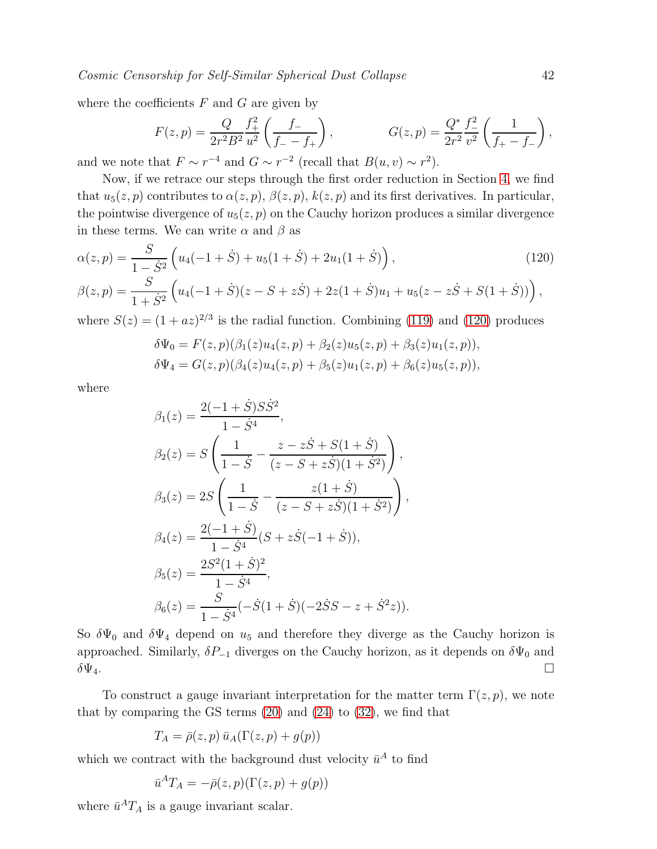where the coefficients  $F$  and  $G$  are given by

$$
F(z,p) = \frac{Q}{2r^2B^2} \frac{f_+^2}{u^2} \left( \frac{f_-}{f_- - f_+} \right), \qquad G(z,p) = \frac{Q^*}{2r^2} \frac{f_-^2}{v^2} \left( \frac{1}{f_+ - f_-} \right),
$$

and we note that  $F \sim r^{-4}$  and  $G \sim r^{-2}$  (recall that  $B(u, v) \sim r^2$ ).

Now, if we retrace our steps through the first order reduction in Section [4,](#page-10-0) we find that  $u_5(z, p)$  contributes to  $\alpha(z, p)$ ,  $\beta(z, p)$ ,  $k(z, p)$  and its first derivatives. In particular, the pointwise divergence of  $u_5(z, p)$  on the Cauchy horizon produces a similar divergence in these terms. We can write  $\alpha$  and  $\beta$  as

<span id="page-41-0"></span>
$$
\alpha(z,p) = \frac{S}{1-\dot{S}^2} \left( u_4(-1+\dot{S}) + u_5(1+\dot{S}) + 2u_1(1+\dot{S}) \right),
$$
\n
$$
\beta(z,p) = \frac{S}{1+\dot{S}^2} \left( u_4(-1+\dot{S})(z-S+z\dot{S}) + 2z(1+\dot{S})u_1 + u_5(z-z\dot{S}+S(1+\dot{S})) \right),
$$
\n(120)

where  $S(z) = (1 + az)^{2/3}$  is the radial function. Combining [\(119\)](#page-40-1) and [\(120\)](#page-41-0) produces

$$
\delta\Psi_0 = F(z, p)(\beta_1(z)u_4(z, p) + \beta_2(z)u_5(z, p) + \beta_3(z)u_1(z, p)),
$$
  
\n
$$
\delta\Psi_4 = G(z, p)(\beta_4(z)u_4(z, p) + \beta_5(z)u_1(z, p) + \beta_6(z)u_5(z, p)),
$$

where

$$
\beta_1(z) = \frac{2(-1+\dot{S})S\dot{S}^2}{1-\dot{S}^4},
$$
  
\n
$$
\beta_2(z) = S\left(\frac{1}{1-\dot{S}} - \frac{z-z\dot{S} + S(1+\dot{S})}{(z-S+z\dot{S})(1+\dot{S}^2)}\right),
$$
  
\n
$$
\beta_3(z) = 2S\left(\frac{1}{1-\dot{S}} - \frac{z(1+\dot{S})}{(z-S+z\dot{S})(1+\dot{S}^2)}\right),
$$
  
\n
$$
\beta_4(z) = \frac{2(-1+\dot{S})}{1-\dot{S}^4}(S+z\dot{S}(-1+\dot{S})),
$$
  
\n
$$
\beta_5(z) = \frac{2S^2(1+\dot{S})^2}{1-\dot{S}^4},
$$
  
\n
$$
\beta_6(z) = \frac{S}{1-\dot{S}^4}(-\dot{S}(1+\dot{S})(-2\dot{S}S-z+\dot{S}^2z)).
$$

So  $\delta\Psi_0$  and  $\delta\Psi_4$  depend on  $u_5$  and therefore they diverge as the Cauchy horizon is approached. Similarly,  $\delta P_{-1}$  diverges on the Cauchy horizon, as it depends on  $\delta \Psi_0$  and  $\delta\Psi_4$ .

To construct a gauge invariant interpretation for the matter term  $\Gamma(z, p)$ , we note that by comparing the GS terms  $(20)$  and  $(24)$  to  $(32)$ , we find that

$$
T_A = \bar{\rho}(z, p) \bar{u}_A(\Gamma(z, p) + g(p))
$$

which we contract with the background dust velocity  $\bar{u}^A$  to find

$$
\bar{u}^A T_A = -\bar{\rho}(z, p)(\Gamma(z, p) + g(p))
$$

where  $\bar{u}^A T_A$  is a gauge invariant scalar.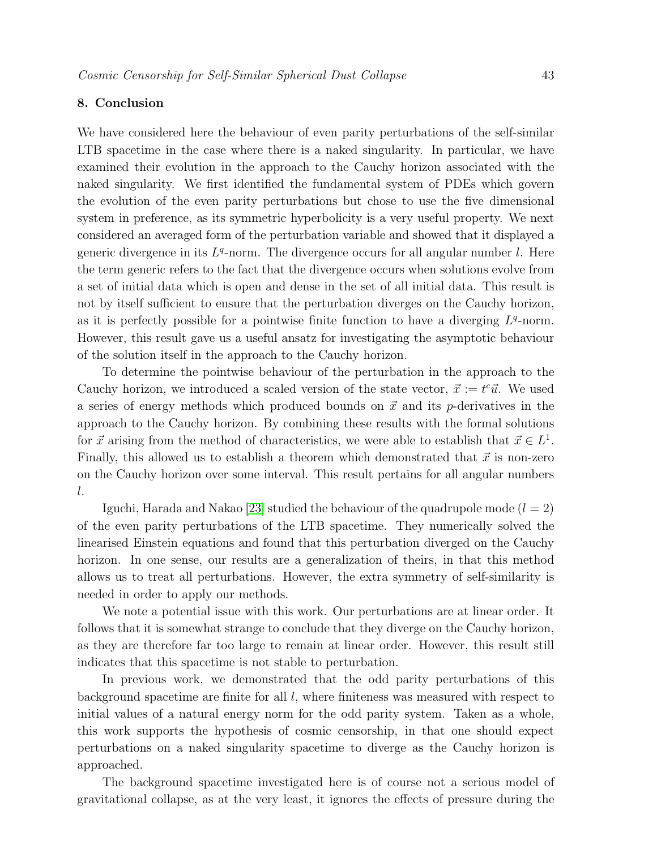### <span id="page-42-0"></span>8. Conclusion

We have considered here the behaviour of even parity perturbations of the self-similar LTB spacetime in the case where there is a naked singularity. In particular, we have examined their evolution in the approach to the Cauchy horizon associated with the naked singularity. We first identified the fundamental system of PDEs which govern the evolution of the even parity perturbations but chose to use the five dimensional system in preference, as its symmetric hyperbolicity is a very useful property. We next considered an averaged form of the perturbation variable and showed that it displayed a generic divergence in its  $L<sup>q</sup>$ -norm. The divergence occurs for all angular number l. Here the term generic refers to the fact that the divergence occurs when solutions evolve from a set of initial data which is open and dense in the set of all initial data. This result is not by itself sufficient to ensure that the perturbation diverges on the Cauchy horizon, as it is perfectly possible for a pointwise finite function to have a diverging  $L<sup>q</sup>$ -norm. However, this result gave us a useful ansatz for investigating the asymptotic behaviour of the solution itself in the approach to the Cauchy horizon.

To determine the pointwise behaviour of the perturbation in the approach to the Cauchy horizon, we introduced a scaled version of the state vector,  $\vec{x} := t^c \vec{u}$ . We used a series of energy methods which produced bounds on  $\vec{x}$  and its p-derivatives in the approach to the Cauchy horizon. By combining these results with the formal solutions for  $\vec{x}$  arising from the method of characteristics, we were able to establish that  $\vec{x} \in L^1$ . Finally, this allowed us to establish a theorem which demonstrated that  $\vec{x}$  is non-zero on the Cauchy horizon over some interval. This result pertains for all angular numbers l.

Iguchi, Harada and Nakao [\[23\]](#page-48-8) studied the behaviour of the quadrupole mode  $(l = 2)$ of the even parity perturbations of the LTB spacetime. They numerically solved the linearised Einstein equations and found that this perturbation diverged on the Cauchy horizon. In one sense, our results are a generalization of theirs, in that this method allows us to treat all perturbations. However, the extra symmetry of self-similarity is needed in order to apply our methods.

We note a potential issue with this work. Our perturbations are at linear order. It follows that it is somewhat strange to conclude that they diverge on the Cauchy horizon, as they are therefore far too large to remain at linear order. However, this result still indicates that this spacetime is not stable to perturbation.

In previous work, we demonstrated that the odd parity perturbations of this background spacetime are finite for all  $l$ , where finiteness was measured with respect to initial values of a natural energy norm for the odd parity system. Taken as a whole, this work supports the hypothesis of cosmic censorship, in that one should expect perturbations on a naked singularity spacetime to diverge as the Cauchy horizon is approached.

The background spacetime investigated here is of course not a serious model of gravitational collapse, as at the very least, it ignores the effects of pressure during the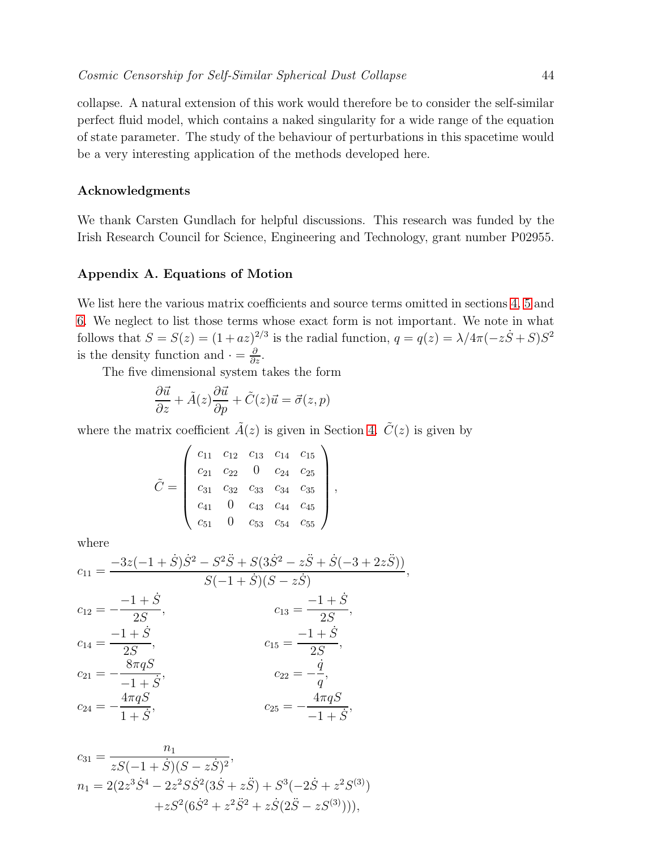collapse. A natural extension of this work would therefore be to consider the self-similar perfect fluid model, which contains a naked singularity for a wide range of the equation of state parameter. The study of the behaviour of perturbations in this spacetime would be a very interesting application of the methods developed here.

### Acknowledgments

We thank Carsten Gundlach for helpful discussions. This research was funded by the Irish Research Council for Science, Engineering and Technology, grant number P02955.

### Appendix A. Equations of Motion

We list here the various matrix coefficients and source terms omitted in sections [4,](#page-10-0) [5](#page-18-0) and [6.](#page-25-0) We neglect to list those terms whose exact form is not important. We note in what follows that  $S = S(z) = (1 + az)^{2/3}$  is the radial function,  $q = q(z) = \lambda/4\pi(-z\dot{S} + S)S^2$ is the density function and  $\cdot = \frac{\partial}{\partial z}$ .

,

The five dimensional system takes the form

$$
\frac{\partial \vec{u}}{\partial z} + \tilde{A}(z)\frac{\partial \vec{u}}{\partial p} + \tilde{C}(z)\vec{u} = \vec{\sigma}(z,p)
$$

where the matrix coefficient  $\tilde{A}(z)$  is given in Section [4.](#page-10-0)  $\tilde{C}(z)$  is given by

$$
\tilde{C} = \left(\begin{array}{cccc} c_{11} & c_{12} & c_{13} & c_{14} & c_{15} \\ c_{21} & c_{22} & 0 & c_{24} & c_{25} \\ c_{31} & c_{32} & c_{33} & c_{34} & c_{35} \\ c_{41} & 0 & c_{43} & c_{44} & c_{45} \\ c_{51} & 0 & c_{53} & c_{54} & c_{55} \end{array}\right)
$$

where

$$
c_{11} = \frac{-3z(-1+\dot{S})\dot{S}^2 - S^2\ddot{S} + S(3\dot{S}^2 - z\ddot{S} + \dot{S}(-3+2z\ddot{S}))}{S(-1+\dot{S})(S-z\dot{S})},
$$
  
\n
$$
c_{12} = -\frac{-1+\dot{S}}{2S}, \qquad c_{13} = \frac{-1+\dot{S}}{2S},
$$
  
\n
$$
c_{14} = \frac{-1+\dot{S}}{2S}, \qquad c_{15} = \frac{-1+\dot{S}}{2S},
$$
  
\n
$$
c_{21} = -\frac{8\pi qS}{-1+\dot{S}}, \qquad c_{22} = -\frac{\dot{q}}{q},
$$
  
\n
$$
c_{24} = -\frac{4\pi qS}{1+\dot{S}}, \qquad c_{25} = -\frac{4\pi qS}{-1+\dot{S}},
$$

$$
c_{31} = \frac{n_1}{zS(-1+\dot{S})(S-z\dot{S})^2},
$$
  
\n
$$
n_1 = 2(2z^3\dot{S}^4 - 2z^2S\dot{S}^2(3\dot{S} + z\ddot{S}) + S^3(-2\dot{S} + z^2S^{(3)})
$$
  
\n
$$
+zS^2(6\dot{S}^2 + z^2\ddot{S}^2 + z\dot{S}(2\ddot{S} - zS^{(3)}))),
$$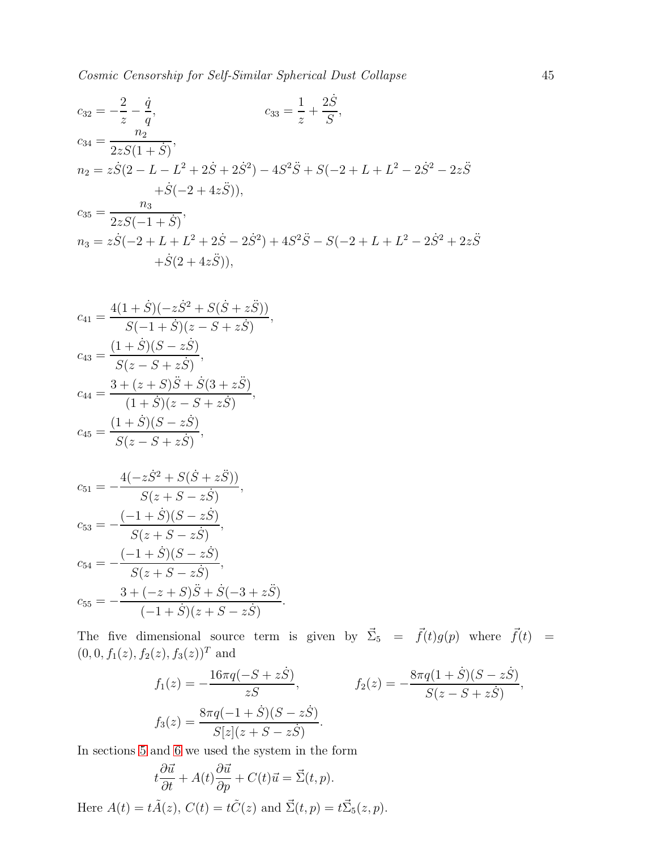$$
c_{32} = -\frac{2}{z} - \frac{\dot{q}}{q}, \qquad c_{33} = \frac{1}{z} + \frac{2\dot{S}}{S},
$$
  
\n
$$
c_{34} = \frac{n_2}{2zS(1+\dot{S})},
$$
  
\n
$$
n_2 = z\dot{S}(2 - L - L^2 + 2\dot{S} + 2\dot{S}^2) - 4S^2\ddot{S} + S(-2 + L + L^2 - 2\dot{S}^2 - 2z\ddot{S} + \dot{S}(-2 + 4z\ddot{S})),
$$
  
\n
$$
c_{35} = \frac{n_3}{2zS(-1+\dot{S})},
$$
  
\n
$$
n_3 = z\dot{S}(-2 + L + L^2 + 2\dot{S} - 2\dot{S}^2) + 4S^2\ddot{S} - S(-2 + L + L^2 - 2\dot{S}^2 + 2z\ddot{S} + \dot{S}(2 + 4z\ddot{S})),
$$

$$
c_{41} = \frac{4(1+\dot{S})(-z\dot{S}^2 + S(\dot{S} + z\ddot{S}))}{S(-1+\dot{S})(z - S + z\dot{S})},
$$
  
\n
$$
c_{43} = \frac{(1+\dot{S})(S - z\dot{S})}{S(z - S + z\dot{S})},
$$
  
\n
$$
c_{44} = \frac{3 + (z+S)\ddot{S} + \dot{S}(3 + z\ddot{S})}{(1+\dot{S})(z - S + z\dot{S})},
$$
  
\n
$$
c_{45} = \frac{(1+\dot{S})(S - z\dot{S})}{S(z - S + z\dot{S})},
$$

$$
c_{51} = -\frac{4(-z\dot{S}^2 + S(\dot{S} + z\ddot{S}))}{S(z + S - z\dot{S})},
$$
  
\n
$$
c_{53} = -\frac{(-1 + \dot{S})(S - z\dot{S})}{S(z + S - z\dot{S})},
$$
  
\n
$$
c_{54} = -\frac{(-1 + \dot{S})(S - z\dot{S})}{S(z + S - z\dot{S})},
$$
  
\n
$$
c_{55} = -\frac{3 + (-z + S)\ddot{S} + \dot{S}(-3 + z\ddot{S})}{(-1 + \dot{S})(z + S - z\dot{S})}.
$$

The five dimensional source term is given by  $\vec{\Sigma}_5 = \vec{f}(t)g(p)$  where  $\vec{f}(t) =$  $(0, 0, f_1(z), f_2(z), f_3(z))^T$  and

$$
f_1(z) = -\frac{16\pi q(-S + z\dot{S})}{zS}, \qquad f_2(z) = -\frac{8\pi q(1+\dot{S})(S - z\dot{S})}{S(z - S + z\dot{S})},
$$

$$
f_3(z) = \frac{8\pi q(-1+\dot{S})(S - z\dot{S})}{S[z](z + S - z\dot{S})}.
$$

In sections [5](#page-18-0) and [6](#page-25-0) we used the system in the form

$$
t\frac{\partial \vec{u}}{\partial t} + A(t)\frac{\partial \vec{u}}{\partial p} + C(t)\vec{u} = \vec{\Sigma}(t, p).
$$

Here  $A(t) = t\tilde{A}(z)$ ,  $C(t) = t\tilde{C}(z)$  and  $\vec{\Sigma}(t, p) = t\vec{\Sigma}_5(z, p)$ .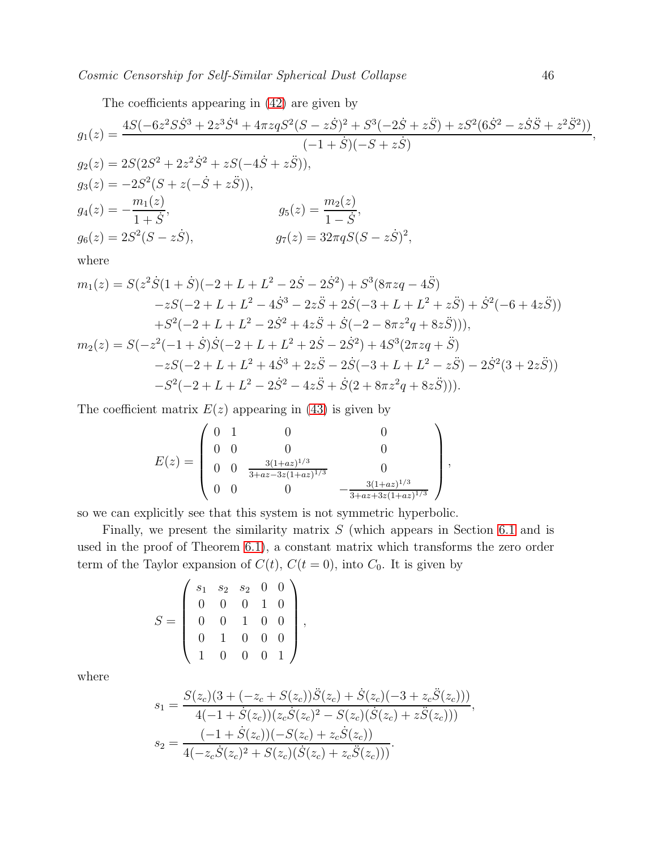The coefficients appearing in [\(42\)](#page-13-0) are given by

$$
g_1(z) = \frac{4S(-6z^2S\dot{S}^3 + 2z^3\dot{S}^4 + 4\pi z qS^2(S - z\dot{S})^2 + S^3(-2\dot{S} + z\ddot{S}) + zS^2(6\dot{S}^2 - z\dot{S}\ddot{S} + z^2\ddot{S}^2))}{(-1 + \dot{S})(-S + z\dot{S})},
$$
  
\n
$$
g_2(z) = 2S(2S^2 + 2z^2\dot{S}^2 + zS(-4\dot{S} + z\ddot{S})),
$$
  
\n
$$
g_3(z) = -2S^2(S + z(-\dot{S} + z\ddot{S})),
$$
  
\n
$$
g_4(z) = -\frac{m_1(z)}{1 + \dot{S}},
$$
  
\n
$$
g_5(z) = \frac{m_2(z)}{1 - \dot{S}},
$$
  
\n
$$
g_6(z) = 2S^2(S - z\dot{S}),
$$
  
\n
$$
g_7(z) = 32\pi qS(S - z\dot{S})^2,
$$
  
\nwhere  
\n
$$
m_1(z) = S(z^2\dot{S}(1 + \dot{S})(-2 + I + I^2 - 2\dot{S} - 2\dot{S}^2) + S^3(8\pi zg - 4\ddot{S})
$$

$$
m_1(z) = S(z^2 \dot{S}(1+\dot{S})(-2+L+L^2-2\dot{S}-2\dot{S}^2)+S^3(8\pi zq-4\ddot{S})
$$
  
\n
$$
-zS(-2+L+L^2-4\dot{S}^3-2z\ddot{S}+2\dot{S}(-3+L+L^2+z\ddot{S})+\dot{S}^2(-6+4z\ddot{S}))
$$
  
\n
$$
+S^2(-2+L+L^2-2\dot{S}^2+4z\ddot{S}+\dot{S}(-2-8\pi z^2q+8z\ddot{S}))),
$$
  
\n
$$
m_2(z) = S(-z^2(-1+\dot{S})\dot{S}(-2+L+L^2+2\dot{S}-2\dot{S}^2)+4S^3(2\pi zq+\ddot{S})
$$
  
\n
$$
-zS(-2+L+L^2+4\dot{S}^3+2z\ddot{S}-2\dot{S}(-3+L+L^2-z\ddot{S})-2\dot{S}^2(3+2z\ddot{S}))
$$
  
\n
$$
-S^2(-2+L+L^2-2\dot{S}^2-4z\ddot{S}+\dot{S}(2+8\pi z^2q+8z\ddot{S}))).
$$

The coefficient matrix  $E(z)$  appearing in [\(43\)](#page-14-1) is given by

$$
E(z) = \begin{pmatrix} 0 & 1 & 0 & 0 \\ 0 & 0 & 0 & 0 \\ 0 & 0 & \frac{3(1+az)^{1/3}}{3+az-3z(1+az)^{1/3}} & 0 \\ 0 & 0 & 0 & -\frac{3(1+az)^{1/3}}{3+az+3z(1+az)^{1/3}} \end{pmatrix},
$$

so we can explicitly see that this system is not symmetric hyperbolic.

Finally, we present the similarity matrix  $S$  (which appears in Section [6.1](#page-26-3) and is used in the proof of Theorem [6.1\)](#page-26-0), a constant matrix which transforms the zero order term of the Taylor expansion of  $C(t)$ ,  $C(t = 0)$ , into  $C_0$ . It is given by

$$
S = \left(\begin{array}{cccc} s_1 & s_2 & s_2 & 0 & 0 \\ 0 & 0 & 0 & 1 & 0 \\ 0 & 0 & 1 & 0 & 0 \\ 0 & 1 & 0 & 0 & 0 \\ 1 & 0 & 0 & 0 & 1 \end{array}\right),
$$

where

$$
s_1 = \frac{S(z_c)(3 + (-z_c + S(z_c))\ddot{S}(z_c) + \dot{S}(z_c)(-3 + z_c\ddot{S}(z_c)))}{4(-1 + \dot{S}(z_c))(z_c\dot{S}(z_c)^2 - S(z_c)(\dot{S}(z_c) + z\ddot{S}(z_c)))},
$$
  
\n
$$
s_2 = \frac{(-1 + \dot{S}(z_c))(-S(z_c) + z_c\dot{S}(z_c))}{4(-z_c\dot{S}(z_c)^2 + S(z_c)(\dot{S}(z_c) + z_c\ddot{S}(z_c)))}.
$$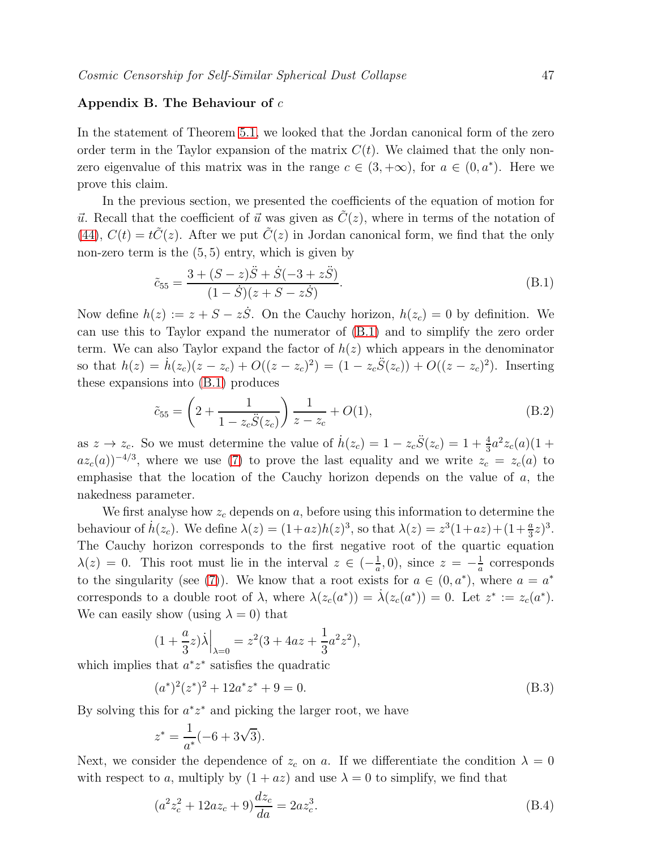### Appendix B. The Behaviour of  $c$

In the statement of Theorem [5.1,](#page-18-2) we looked that the Jordan canonical form of the zero order term in the Taylor expansion of the matrix  $C(t)$ . We claimed that the only nonzero eigenvalue of this matrix was in the range  $c \in (3, +\infty)$ , for  $a \in (0, a^*)$ . Here we prove this claim.

In the previous section, we presented the coefficients of the equation of motion for  $\vec{u}$ . Recall that the coefficient of  $\vec{u}$  was given as  $\tilde{C}(z)$ , where in terms of the notation of [\(44\)](#page-14-0),  $C(t) = t\tilde{C}(z)$ . After we put  $\tilde{C}(z)$  in Jordan canonical form, we find that the only non-zero term is the  $(5, 5)$  entry, which is given by

<span id="page-46-0"></span>
$$
\tilde{c}_{55} = \frac{3 + (S - z)\ddot{S} + \dot{S}(-3 + z\ddot{S})}{(1 - \dot{S})(z + S - z\dot{S})}.
$$
\n(B.1)

Now define  $h(z) := z + S - z\dot{S}$ . On the Cauchy horizon,  $h(z_c) = 0$  by definition. We can use this to Taylor expand the numerator of [\(B.1\)](#page-46-0) and to simplify the zero order term. We can also Taylor expand the factor of  $h(z)$  which appears in the denominator so that  $h(z) = \dot{h}(z_c)(z - z_c) + O((z - z_c)^2) = (1 - z_c \ddot{S}(z_c)) + O((z - z_c)^2)$ . Inserting these expansions into [\(B.1\)](#page-46-0) produces

<span id="page-46-3"></span>
$$
\tilde{c}_{55} = \left(2 + \frac{1}{1 - z_c \ddot{S}(z_c)}\right) \frac{1}{z - z_c} + O(1),\tag{B.2}
$$

as  $z \to z_c$ . So we must determine the value of  $\dot{h}(z_c) = 1 - z_c \ddot{S}(z_c) = 1 + \frac{4}{3}a^2 z_c(a)(1 +$  $az_c(a))^{-4/3}$ , where we use [\(7\)](#page-4-2) to prove the last equality and we write  $z_c = z_c(a)$  to emphasise that the location of the Cauchy horizon depends on the value of a, the nakedness parameter.

We first analyse how  $z_c$  depends on  $a$ , before using this information to determine the behaviour of  $\dot{h}(z_c)$ . We define  $\lambda(z) = (1+az)h(z)^3$ , so that  $\lambda(z) = z^3(1+az)+(1+\frac{a}{3}z)^3$ . The Cauchy horizon corresponds to the first negative root of the quartic equation  $\lambda(z) = 0$ . This root must lie in the interval  $z \in \left(-\frac{1}{a}\right)$  $(\frac{1}{a}, 0)$ , since  $z = -\frac{1}{a}$  $\frac{1}{a}$  corresponds to the singularity (see [\(7\)](#page-4-2)). We know that a root exists for  $a \in (0, a^*)$ , where  $a = a^*$ corresponds to a double root of  $\lambda$ , where  $\lambda(z_c(a^*)) = \dot{\lambda}(z_c(a^*)) = 0$ . Let  $z^* := z_c(a^*)$ . We can easily show (using  $\lambda = 0$ ) that

$$
(1 + \frac{a}{3}z)\dot{\lambda}\Big|_{\lambda=0} = z^2(3 + 4az + \frac{1}{3}a^2z^2),
$$

which implies that  $a^*z^*$  satisfies the quadratic

<span id="page-46-1"></span>
$$
(a^*)^2(z^*)^2 + 12a^*z^* + 9 = 0.
$$
 (B.3)

By solving this for  $a^*z^*$  and picking the larger root, we have

$$
z^* = \frac{1}{a^*}(-6 + 3\sqrt{3}).
$$

Next, we consider the dependence of  $z_c$  on a. If we differentiate the condition  $\lambda = 0$ with respect to a, multiply by  $(1 + az)$  and use  $\lambda = 0$  to simplify, we find that

<span id="page-46-2"></span>
$$
(a2zc2 + 12azc + 9)\frac{dz_c}{da} = 2az_c3.
$$
 (B.4)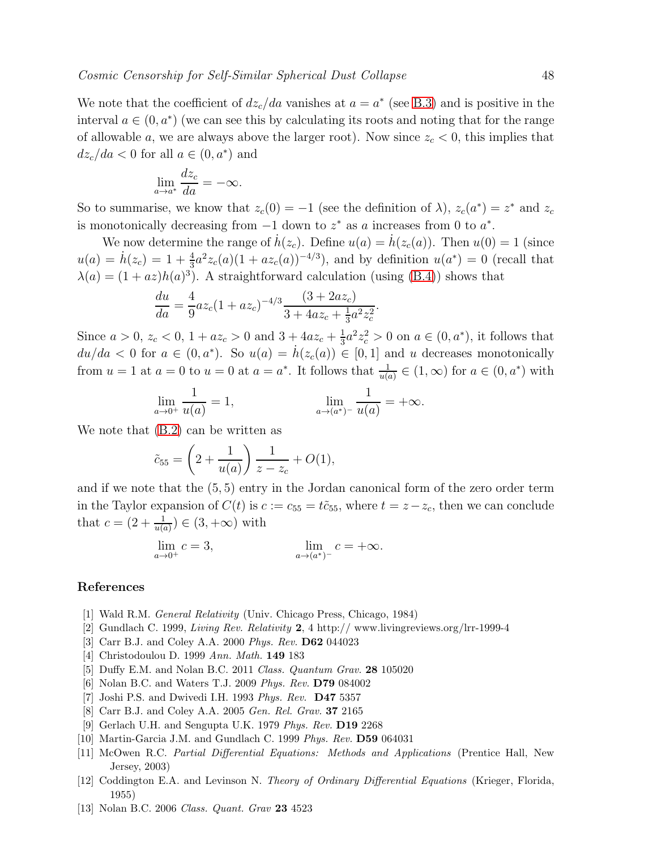We note that the coefficient of  $dz_c/da$  vanishes at  $a = a^*$  (see [B.3\)](#page-46-1) and is positive in the interval  $a \in (0, a^*)$  (we can see this by calculating its roots and noting that for the range of allowable a, we are always above the larger root). Now since  $z_c < 0$ , this implies that  $dz_c/da < 0$  for all  $a \in (0, a^*)$  and

$$
\lim_{a \to a^*} \frac{dz_c}{da} = -\infty.
$$

So to summarise, we know that  $z_c(0) = -1$  (see the definition of  $\lambda$ ),  $z_c(a^*) = z^*$  and  $z_c$ is monotonically decreasing from  $-1$  down to  $z^*$  as a increases from 0 to  $a^*$ .

We now determine the range of  $h(z_c)$ . Define  $u(a) = h(z_c(a))$ . Then  $u(0) = 1$  (since  $u(a) = \dot{h}(z_c) = 1 + \frac{4}{3}a^2z_c(a)(1 + az_c(a))^{-4/3}),$  and by definition  $u(a^*) = 0$  (recall that  $\lambda(a) = (1 + az)h(a)^3$ . A straightforward calculation (using [\(B.4\)](#page-46-2)) shows that

$$
\frac{du}{da} = \frac{4}{9}az_c(1+az_c)^{-4/3}\frac{(3+2az_c)}{3+4az_c+\frac{1}{3}a^2z_c^2}.
$$

Since  $a > 0$ ,  $z_c < 0$ ,  $1 + az_c > 0$  and  $3 + 4az_c + \frac{1}{3}$  $\frac{1}{3}a^2z_c^2 > 0$  on  $a \in (0, a^*)$ , it follows that  $du/da < 0$  for  $a \in (0, a^*)$ . So  $u(a) = h(z_c(a)) \in [0, 1]$  and u decreases monotonically from  $u = 1$  at  $a = 0$  to  $u = 0$  at  $a = a^*$ . It follows that  $\frac{1}{u(a)} \in (1, \infty)$  for  $a \in (0, a^*)$  with

$$
\lim_{a \to 0^+} \frac{1}{u(a)} = 1, \qquad \lim_{a \to (a^*)^-} \frac{1}{u(a)} = +\infty.
$$

We note that [\(B.2\)](#page-46-3) can be written as

$$
\tilde{c}_{55} = \left(2 + \frac{1}{u(a)}\right) \frac{1}{z - z_c} + O(1),
$$

and if we note that the (5, 5) entry in the Jordan canonical form of the zero order term in the Taylor expansion of  $C(t)$  is  $c := c_{55} = t\tilde{c}_{55}$ , where  $t = z - z_c$ , then we can conclude that  $c = (2 + \frac{1}{u(a)}) \in (3, +\infty)$  with

$$
\lim_{a \to 0^+} c = 3, \qquad \lim_{a \to (a^*)^-} c = +\infty.
$$

### <span id="page-47-0"></span>References

- <span id="page-47-1"></span>[1] Wald R.M. General Relativity (Univ. Chicago Press, Chicago, 1984)
- <span id="page-47-2"></span>[2] Gundlach C. 1999, Living Rev. Relativity 2, 4 http:// www.livingreviews.org/lrr-1999-4
- <span id="page-47-3"></span>[3] Carr B.J. and Coley A.A. 2000 Phys. Rev. D62 044023
- <span id="page-47-4"></span>[4] Christodoulou D. 1999 Ann. Math. 149 183
- <span id="page-47-5"></span>[5] Duffy E.M. and Nolan B.C. 2011 Class. Quantum Grav. 28 105020
- <span id="page-47-7"></span>[6] Nolan B.C. and Waters T.J. 2009 Phys. Rev. D79 084002
- <span id="page-47-6"></span>[7] Joshi P.S. and Dwivedi I.H. 1993 Phys. Rev. D47 5357
- <span id="page-47-8"></span>[8] Carr B.J. and Coley A.A. 2005 Gen. Rel. Grav. 37 2165
- <span id="page-47-9"></span>[9] Gerlach U.H. and Sengupta U.K. 1979 Phys. Rev. D19 2268
- <span id="page-47-10"></span>[10] Martin-Garcia J.M. and Gundlach C. 1999 Phys. Rev. D59 064031
- [11] McOwen R.C. Partial Differential Equations: Methods and Applications (Prentice Hall, New Jersey, 2003)
- <span id="page-47-11"></span>[12] Coddington E.A. and Levinson N. Theory of Ordinary Differential Equations (Krieger, Florida, 1955)
- <span id="page-47-12"></span>[13] Nolan B.C. 2006 Class. Quant. Grav 23 4523